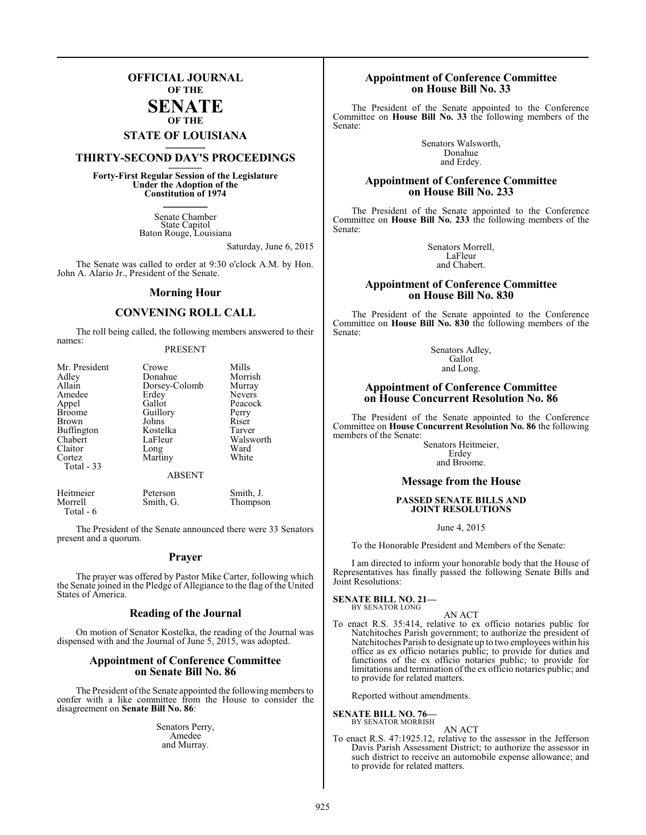## **OFFICIAL JOURNAL OF THE**

#### **SENATE OF THE**

# **STATE OF LOUISIANA \_\_\_\_\_\_\_**

## **THIRTY-SECOND DAY'S PROCEEDINGS \_\_\_\_\_\_\_**

**Forty-First Regular Session of the Legislature Under the Adoption of the Constitution of 1974 \_\_\_\_\_\_\_**

> Senate Chamber State Capitol Baton Rouge, Louisiana

> > Saturday, June 6, 2015

The Senate was called to order at 9:30 o'clock A.M. by Hon. John A. Alario Jr., President of the Senate.

#### **Morning Hour**

#### **CONVENING ROLL CALL**

The roll being called, the following members answered to their names:

#### PRESENT

| Crowe         | Mills         |
|---------------|---------------|
| Donahue       | Morrish       |
| Dorsey-Colomb | Murray        |
| Erdey         | <b>Nevers</b> |
| Gallot        | Peacock       |
| Guillory      | Perry         |
| Johns         | Riser         |
| Kostelka      | Tarver        |
| LaFleur       | Walsworth     |
|               | Ward          |
| Martiny       | White         |
|               |               |
| <b>ABSENT</b> |               |
|               | Long          |

Heitmeier Peterson Smith, J.<br>
Morrell Smith, G. Thompson Smith, G. Total - 6

The President of the Senate announced there were 33 Senators present and a quorum.

#### **Prayer**

The prayer was offered by Pastor Mike Carter, following which the Senate joined in the Pledge of Allegiance to the flag of the United States of America.

#### **Reading of the Journal**

On motion of Senator Kostelka, the reading of the Journal was dispensed with and the Journal of June 5, 2015, was adopted.

#### **Appointment of Conference Committee on Senate Bill No. 86**

The President of the Senate appointed the following members to confer with a like committee from the House to consider the disagreement on **Senate Bill No. 86**:

> Senators Perry, Amedee and Murray.

#### **Appointment of Conference Committee on House Bill No. 33**

The President of the Senate appointed to the Conference Committee on **House Bill No. 33** the following members of the Senate:

> Senators Walsworth, Donahue and Erdey.

#### **Appointment of Conference Committee on House Bill No. 233**

The President of the Senate appointed to the Conference Committee on **House Bill No. 233** the following members of the Senate:

> Senators Morrell, LaFleur and Chabert.

### **Appointment of Conference Committee on House Bill No. 830**

The President of the Senate appointed to the Conference Committee on **House Bill No. 830** the following members of the Senate:

> Senators Adley, **Gallot** and Long.

#### **Appointment of Conference Committee on House Concurrent Resolution No. 86**

The President of the Senate appointed to the Conference Committee on **House Concurrent Resolution No. 86** the following members of the Senate:

Senators Heitmeier, Erdey and Broome.

#### **Message from the House**

#### **PASSED SENATE BILLS AND JOINT RESOLUTIONS**

June 4, 2015

To the Honorable President and Members of the Senate:

I am directed to inform your honorable body that the House of Representatives has finally passed the following Senate Bills and Joint Resolutions:

#### **SENATE BILL NO. 21—** BY SENATOR LONG

AN ACT

To enact R.S. 35:414, relative to ex officio notaries public for Natchitoches Parish government; to authorize the president of Natchitoches Parish to designate up to two employees within his office as ex officio notaries public; to provide for duties and functions of the ex officio notaries public; to provide for limitations and termination of the ex officio notaries public; and to provide for related matters.

Reported without amendments.

**SENATE BILL NO. 76—** BY SENATOR MORRISH

AN ACT

To enact R.S. 47:1925.12, relative to the assessor in the Jefferson Davis Parish Assessment District; to authorize the assessor in such district to receive an automobile expense allowance; and to provide for related matters.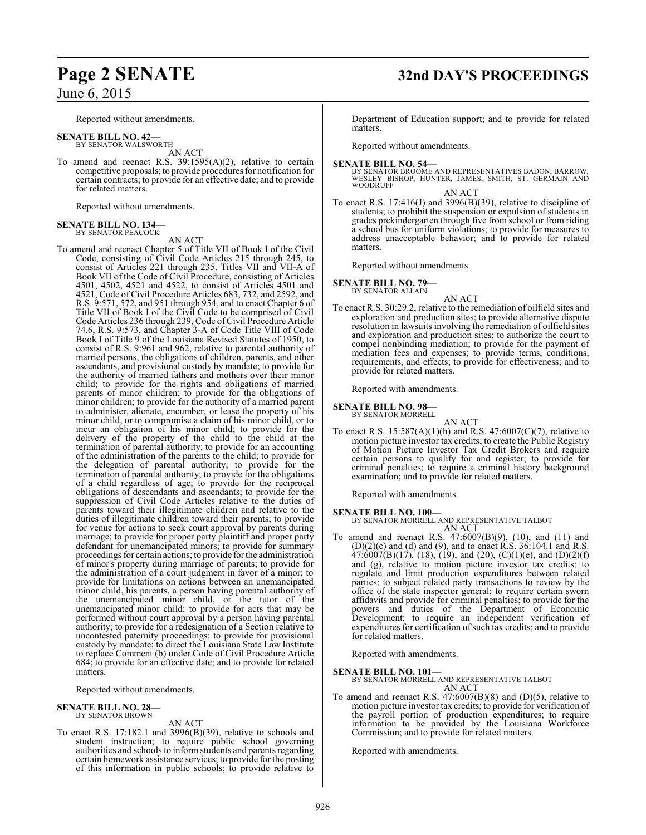Reported without amendments.

- **SENATE BILL NO. 42—** BY SENATOR WALSWORTH
- AN ACT To amend and reenact R.S. 39:1595(A)(2), relative to certain competitive proposals; to provide procedures for notification for certain contracts; to provide for an effective date; and to provide for related matters.

Reported without amendments.

#### **SENATE BILL NO. 134—** BY SENATOR PEACOCK

AN ACT

To amend and reenact Chapter 5 of Title VII of Book I of the Civil Code, consisting of Civil Code Articles 215 through 245, to consist of Articles 221 through 235, Titles VII and VII-A of Book VII of the Code of Civil Procedure, consisting of Articles 4501, 4502, 4521 and 4522, to consist of Articles 4501 and 4521, Code of Civil Procedure Articles 683, 732, and 2592, and R.S. 9:571, 572, and 951 through 954, and to enact Chapter 6 of Title VII of Book I of the Civil Code to be comprised of Civil Code Articles 236 through 239, Code ofCivil Procedure Article 74.6, R.S. 9:573, and Chapter 3-A of Code Title VIII of Code Book I of Title 9 of the Louisiana Revised Statutes of 1950, to consist of R.S. 9:961 and 962, relative to parental authority of married persons, the obligations of children, parents, and other ascendants, and provisional custody by mandate; to provide for the authority of married fathers and mothers over their minor child; to provide for the rights and obligations of married parents of minor children; to provide for the obligations of minor children; to provide for the authority of a married parent to administer, alienate, encumber, or lease the property of his minor child, or to compromise a claim of his minor child, or to incur an obligation of his minor child; to provide for the delivery of the property of the child to the child at the termination of parental authority; to provide for an accounting of the administration of the parents to the child; to provide for the delegation of parental authority; to provide for the termination of parental authority; to provide for the obligations of a child regardless of age; to provide for the reciprocal obligations of descendants and ascendants; to provide for the suppression of Civil Code Articles relative to the duties of parents toward their illegitimate children and relative to the duties of illegitimate children toward their parents; to provide for venue for actions to seek court approval by parents during marriage; to provide for proper party plaintiff and proper party defendant for unemancipated minors; to provide for summary proceedings for certain actions; to provide for the administration of minor's property during marriage of parents; to provide for the administration of a court judgment in favor of a minor; to provide for limitations on actions between an unemancipated minor child, his parents, a person having parental authority of the unemancipated minor child, or the tutor of the unemancipated minor child; to provide for acts that may be performed without court approval by a person having parental authority; to provide for a redesignation of a Section relative to uncontested paternity proceedings; to provide for provisional custody by mandate; to direct the Louisiana State Law Institute to replace Comment (b) under Code of Civil Procedure Article 684; to provide for an effective date; and to provide for related matters.

Reported without amendments.

## **SENATE BILL NO. 28—** BY SENATOR BROWN

AN ACT

To enact R.S. 17:182.1 and 3996(B)(39), relative to schools and student instruction; to require public school governing authorities and schools to informstudents and parents regarding certain homework assistance services; to provide for the posting of this information in public schools; to provide relative to

## **Page 2 SENATE 32nd DAY'S PROCEEDINGS**

Department of Education support; and to provide for related matters.

Reported without amendments.

#### **SENATE BILL NO. 54—**

BY SENATOR BROOME AND REPRESENTATIVES BADON, BARROW, WESLEY BISHOP, HUNTER, JAMES, SMITH, ST. GERMAIN AND WOODRUFF

AN ACT

To enact R.S. 17:416(J) and 3996(B)(39), relative to discipline of students; to prohibit the suspension or expulsion of students in grades prekindergarten through five from school or from riding a school bus for uniform violations; to provide for measures to address unacceptable behavior; and to provide for related matters.

Reported without amendments.

**SENATE BILL NO. 79—**

BY SENATOR ALLAIN

AN ACT To enact R.S. 30:29.2, relative to the remediation of oilfield sites and exploration and production sites; to provide alternative dispute resolution in lawsuits involving the remediation of oilfield sites and exploration and production sites; to authorize the court to compel nonbinding mediation; to provide for the payment of mediation fees and expenses; to provide terms, conditions, requirements, and effects; to provide for effectiveness; and to provide for related matters.

Reported with amendments.

**SENATE BILL NO. 98—**

BY SENATOR MORRELL AN ACT

To enact R.S.  $15:587(A)(1)(h)$  and R.S.  $47:6007(C)(7)$ , relative to motion picture investor tax credits; to create the Public Registry of Motion Picture Investor Tax Credit Brokers and require certain persons to qualify for and register; to provide for criminal penalties; to require a criminal history background examination; and to provide for related matters.

Reported with amendments.

#### **SENATE BILL NO. 100—**

BY SENATOR MORRELL AND REPRESENTATIVE TALBOT AN ACT

To amend and reenact R.S. 47:6007(B)(9), (10), and (11) and (D)(2)(c) and (d) and (9), and to enact R.S. 36:104.1 and R.S.  $47:6007(B)(17)$ ,  $(18)$ ,  $(19)$ , and  $(20)$ ,  $(C)(1)(e)$ , and  $(D)(2)(f)$ and (g), relative to motion picture investor tax credits; to regulate and limit production expenditures between related parties; to subject related party transactions to review by the office of the state inspector general; to require certain sworn affidavits and provide for criminal penalties; to provide for the powers and duties of the Department of Economic Development; to require an independent verification of expenditures for certification of such tax credits; and to provide for related matters.

Reported with amendments.

**SENATE BILL NO. 101—** BY SENATOR MORRELL AND REPRESENTATIVE TALBOT AN ACT

To amend and reenact R.S. 47:6007(B)(8) and (D)(5), relative to motion picture investor tax credits; to provide for verification of the payroll portion of production expenditures; to require information to be provided by the Louisiana Workforce Commission; and to provide for related matters.

Reported with amendments.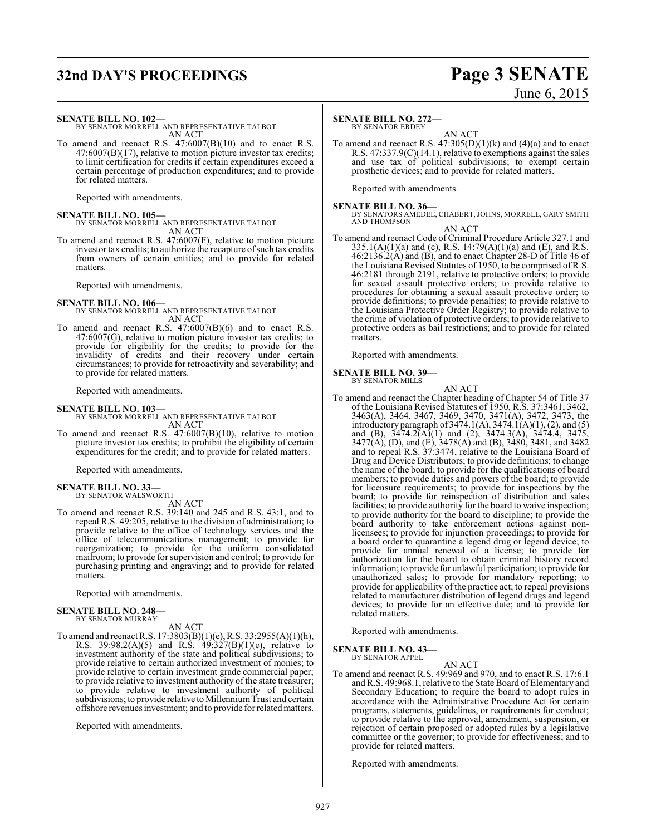## **32nd DAY'S PROCEEDINGS Page 3 SENATE**

# June 6, 2015

#### **SENATE BILL NO. 102—**

BY SENATOR MORRELL AND REPRESENTATIVE TALBOT AN ACT

To amend and reenact R.S. 47:6007(B)(10) and to enact R.S. 47:6007(B)(17), relative to motion picture investor tax credits; to limit certification for credits if certain expenditures exceed a certain percentage of production expenditures; and to provide for related matters.

Reported with amendments.

**SENATE BILL NO. 105—** BY SENATOR MORRELL AND REPRESENTATIVE TALBOT AN ACT

To amend and reenact R.S. 47:6007(F), relative to motion picture investor tax credits; to authorize the recapture of such tax credits from owners of certain entities; and to provide for related matters.

Reported with amendments.

#### **SENATE BILL NO. 106—**

- BY SENATOR MORRELL AND REPRESENTATIVE TALBOT AN ACT
- To amend and reenact R.S. 47:6007(B)(6) and to enact R.S. 47:6007(G), relative to motion picture investor tax credits; to provide for eligibility for the credits; to provide for the invalidity of credits and their recovery under certain circumstances; to provide for retroactivity and severability; and to provide for related matters.

Reported with amendments.

**SENATE BILL NO. 103—** BY SENATOR MORRELL AND REPRESENTATIVE TALBOT AN ACT

To amend and reenact R.S. 47:6007(B)(10), relative to motion picture investor tax credits; to prohibit the eligibility of certain expenditures for the credit; and to provide for related matters.

Reported with amendments.

#### **SENATE BILL NO. 33—** BY SENATOR WALSWORTH

AN ACT

To amend and reenact R.S. 39:140 and 245 and R.S. 43:1, and to repeal R.S. 49:205, relative to the division of administration; to provide relative to the office of technology services and the office of telecommunications management; to provide for reorganization; to provide for the uniform consolidated mailroom; to provide for supervision and control; to provide for purchasing printing and engraving; and to provide for related matters.

Reported with amendments.

#### **SENATE BILL NO. 248—**

BY SENATOR MURRAY

AN ACT

To amend and reenact R.S. 17:3803(B)(1)(e), R.S. 33:2955(A)(1)(h), R.S. 39:98.2(A)(5) and R.S. 49:327(B)(1)(e), relative to investment authority of the state and political subdivisions; to provide relative to certain authorized investment of monies; to provide relative to certain investment grade commercial paper; to provide relative to investment authority of the state treasurer; to provide relative to investment authority of political subdivisions; to provide relative to Millennium Trust and certain offshore revenues investment; and to provide for relatedmatters.

Reported with amendments.

#### **SENATE BILL NO. 272—**

BY SENATOR ERDEY

AN ACT To amend and reenact R.S.  $47:305(D)(1)(k)$  and  $(4)(a)$  and to enact R.S. 47:337.9(C)(14.1), relative to exemptions against the sales and use tax of political subdivisions; to exempt certain prosthetic devices; and to provide for related matters.

Reported with amendments.

**SENATE BILL NO. 36—** BY SENATORS AMEDEE, CHABERT, JOHNS, MORRELL, GARY SMITH AND THOMPSON

#### AN ACT

To amend and reenact Code of Criminal Procedure Article 327.1 and  $335.1(A)(1)(a)$  and (c), R.S.  $14:79(A)(1)(a)$  and (E), and R.S. 46:2136.2(A) and (B), and to enact Chapter 28-D of Title 46 of the Louisiana Revised Statutes of 1950, to be comprised of R.S. 46:2181 through 2191, relative to protective orders; to provide for sexual assault protective orders; to provide relative to procedures for obtaining a sexual assault protective order; to provide definitions; to provide penalties; to provide relative to the Louisiana Protective Order Registry; to provide relative to the crime of violation of protective orders; to provide relative to protective orders as bail restrictions; and to provide for related matters.

Reported with amendments.

#### **SENATE BILL NO. 39—** BY SENATOR MILLS

AN ACT

To amend and reenact the Chapter heading of Chapter 54 of Title 37 of the Louisiana Revised Statutes of 1950, R.S. 37:3461, 3462, 3463(A), 3464, 3467, 3469, 3470, 3471(A), 3472, 3473, the introductory paragraph of 3474.1(A), 3474.1(A)(1), (2), and (5) and (B), 3474.2(A)(1) and (2), 3474.3(A), 3474.4, 3475, 3477(A), (D), and (E), 3478(A) and (B), 3480, 3481, and 3482 and to repeal R.S. 37:3474, relative to the Louisiana Board of Drug and Device Distributors; to provide definitions; to change the name of the board; to provide for the qualifications of board members; to provide duties and powers of the board; to provide for licensure requirements; to provide for inspections by the board; to provide for reinspection of distribution and sales facilities; to provide authority for the board to waive inspection; to provide authority for the board to discipline; to provide the board authority to take enforcement actions against nonlicensees; to provide for injunction proceedings; to provide for a board order to quarantine a legend drug or legend device; to provide for annual renewal of a license; to provide for authorization for the board to obtain criminal history record information; to provide for unlawful participation; to provide for unauthorized sales; to provide for mandatory reporting; to provide for applicability of the practice act; to repeal provisions related to manufacturer distribution of legend drugs and legend devices; to provide for an effective date; and to provide for related matters.

Reported with amendments.

**SENATE BILL NO. 43—** BY SENATOR APPEL

#### AN ACT

To amend and reenact R.S. 49:969 and 970, and to enact R.S. 17:6.1 and R.S. 49:968.1, relative to the State Board of Elementary and Secondary Education; to require the board to adopt rules in accordance with the Administrative Procedure Act for certain programs, statements, guidelines, or requirements for conduct; to provide relative to the approval, amendment, suspension, or rejection of certain proposed or adopted rules by a legislative committee or the governor; to provide for effectiveness; and to provide for related matters.

Reported with amendments.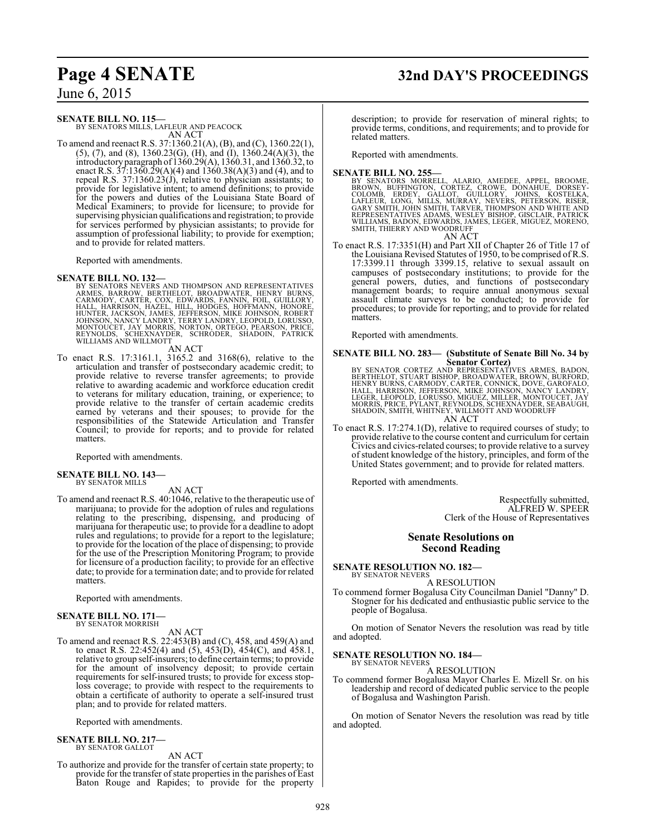#### **SENATE BILL NO. 115—**

BY SENATORS MILLS, LAFLEUR AND PEACOCK AN ACT

To amend and reenact R.S. 37:1360.21(A), (B), and (C), 1360.22(1), (5), (7), and (8), 1360.23(G), (H), and (I), 1360.24(A)(3), the introductoryparagraph of 1360.29(A), 1360.31, and 1360.32, to enact R.S.  $37:1360.29(A)(4)$  and  $1360.38(A)(3)$  and  $(4)$ , and to repeal R.S. 37:1360.23(J), relative to physician assistants; to provide for legislative intent; to amend definitions; to provide for the powers and duties of the Louisiana State Board of Medical Examiners; to provide for licensure; to provide for supervising physician qualifications and registration; to provide for services performed by physician assistants; to provide for assumption of professional liability; to provide for exemption; and to provide for related matters.

Reported with amendments.

**SENATE BILL NO. 132—**<br>BY SENATORS NEVERS AND THOMPSON AND REPRESENTATIVES<br>ARMES, BARROW, BERTHELOT, BROADWATER, HENRY BURNS,<br>CARMODY, CARTER, COX, EDWARDS, FANNIN, FOIL, GUILLORY,<br>HALL, HARRISON, HAZEL, HILL, HODGES, HOFF

AN ACT

To enact R.S. 17:3161.1, 3165.2 and 3168(6), relative to the articulation and transfer of postsecondary academic credit; to provide relative to reverse transfer agreements; to provide relative to awarding academic and workforce education credit to veterans for military education, training, or experience; to provide relative to the transfer of certain academic credits earned by veterans and their spouses; to provide for the responsibilities of the Statewide Articulation and Transfer Council; to provide for reports; and to provide for related matters.

Reported with amendments.

# **SENATE BILL NO. 143—** BY SENATOR MILLS

#### AN ACT

To amend and reenact R.S. 40:1046, relative to the therapeutic use of marijuana; to provide for the adoption of rules and regulations relating to the prescribing, dispensing, and producing of marijuana for therapeutic use; to provide for a deadline to adopt rules and regulations; to provide for a report to the legislature; to provide for the location of the place of dispensing; to provide for the use of the Prescription Monitoring Program; to provide for licensure of a production facility; to provide for an effective date; to provide for a termination date; and to provide for related matters.

Reported with amendments.

#### **SENATE BILL NO. 171—** BY SENATOR MORRISH

#### AN ACT

To amend and reenact R.S. 22:453(B) and (C), 458, and 459(A) and to enact R.S. 22:452(4) and (5), 453(D), 454(C), and 458.1, relative to group self-insurers; to define certain terms; to provide for the amount of insolvency deposit; to provide certain requirements for self-insured trusts; to provide for excess stoploss coverage; to provide with respect to the requirements to obtain a certificate of authority to operate a self-insured trust plan; and to provide for related matters.

Reported with amendments.

#### **SENATE BILL NO. 217—** BY SENATOR GALLOT

AN ACT

To authorize and provide for the transfer of certain state property; to provide for the transfer of state properties in the parishes of East Baton Rouge and Rapides; to provide for the property

description; to provide for reservation of mineral rights; to provide terms, conditions, and requirements; and to provide for related matters.

Reported with amendments.

#### **SENATE BILL NO. 255—**

- BY SENATORS MORRELL, ALARIO, AMEDEE, APPEL, BROOME,<br>BROWN, BUFFINGTON, CORTEZ, CROWE, DONAHUE, DORSEY-<br>COLOMB, ERDEY, GALLOT, GUILLORY, JOHNS, KOSTELKA,<br>LAFLEUR, LONG, MILLS, MURRAY, NEVERS, PETERSON, RISER,<br>GARY SMITH, JO AN ACT
- To enact R.S. 17:3351(H) and Part XII of Chapter 26 of Title 17 of the Louisiana Revised Statutes of 1950, to be comprised of R.S. 17:3399.11 through 3399.15, relative to sexual assault on campuses of postsecondary institutions; to provide for the general powers, duties, and functions of postsecondary management boards; to require annual anonymous sexual assault climate surveys to be conducted; to provide for procedures; to provide for reporting; and to provide for related matters.

Reported with amendments.

## **SENATE BILL NO. 283— (Substitute of Senate Bill No. 34 by**

**Senator Cortez)**<br>BERTHELOT, STUART BISHOP, BROADWATIVES ARMES, BADON,<br>BERTHELOT, STUART BISHOP, BROADWATER, BROWN, BURFORD,<br>HENRY BURNS, CARMODY, CARTER, CONNICK, DOVE, GAROFALO,<br>LEGER, LEOPOLD, LORUSSO, MIGUEZ, MILLER, M SHADOIN, SMITH, WHITNEY, WILLMOTT AND WOODRUFF AN ACT

To enact R.S. 17:274.1(D), relative to required courses of study; to provide relative to the course content and curriculum for certain Civics and civics-related courses; to provide relative to a survey of student knowledge of the history, principles, and form of the United States government; and to provide for related matters.

Reported with amendments.

Respectfully submitted, ALFRED W. SPEER Clerk of the House of Representatives

#### **Senate Resolutions on Second Reading**

**SENATE RESOLUTION NO. 182—** BY SENATOR NEVERS

A RESOLUTION

To commend former Bogalusa City Councilman Daniel "Danny" D. Stogner for his dedicated and enthusiastic public service to the people of Bogalusa.

On motion of Senator Nevers the resolution was read by title and adopted.

#### **SENATE RESOLUTION NO. 184—** BY SENATOR NEVERS

A RESOLUTION

To commend former Bogalusa Mayor Charles E. Mizell Sr. on his leadership and record of dedicated public service to the people of Bogalusa and Washington Parish.

On motion of Senator Nevers the resolution was read by title and adopted.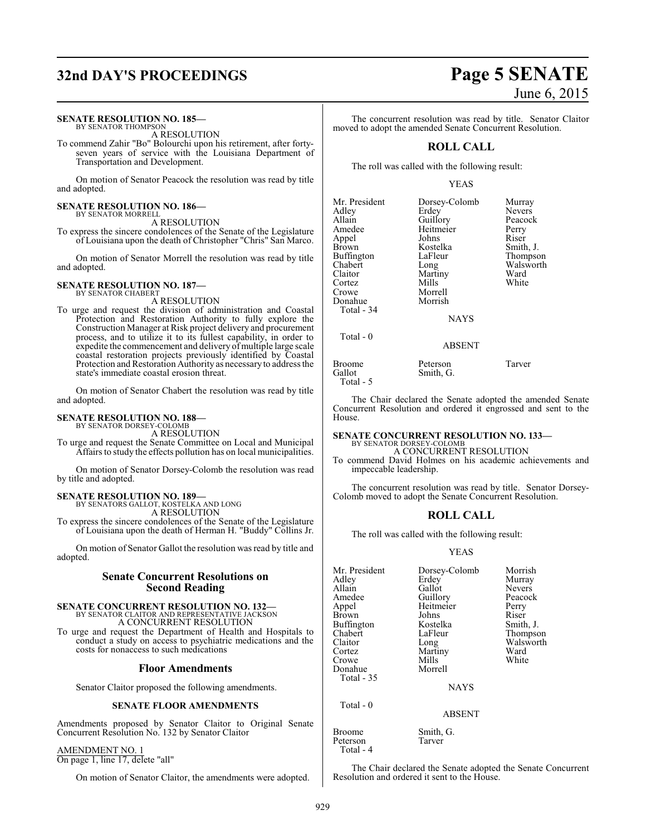## **32nd DAY'S PROCEEDINGS Page 5 SENATE**

#### **SENATE RESOLUTION NO. 185—**

BY SENATOR THOMPSON A RESOLUTION

To commend Zahir "Bo" Bolourchi upon his retirement, after fortyseven years of service with the Louisiana Department of Transportation and Development.

On motion of Senator Peacock the resolution was read by title and adopted.

#### **SENATE RESOLUTION NO. 186—** BY SENATOR MORRELL

A RESOLUTION

To express the sincere condolences of the Senate of the Legislature of Louisiana upon the death of Christopher "Chris" San Marco.

On motion of Senator Morrell the resolution was read by title and adopted.

#### **SENATE RESOLUTION NO. 187—** BY SENATOR CHABERT

A RESOLUTION

To urge and request the division of administration and Coastal Protection and Restoration Authority to fully explore the Construction Manager at Risk project delivery and procurement process, and to utilize it to its fullest capability, in order to expedite the commencement and delivery of multiple large scale coastal restoration projects previously identified by Coastal Protection and Restoration Authority as necessary to address the state's immediate coastal erosion threat.

On motion of Senator Chabert the resolution was read by title and adopted.

#### **SENATE RESOLUTION NO. 188—** BY SENATOR DORSEY-COLOMB

A RESOLUTION

To urge and request the Senate Committee on Local and Municipal Affairs to study the effects pollution has on local municipalities.

On motion of Senator Dorsey-Colomb the resolution was read by title and adopted.

## **SENATE RESOLUTION NO. 189—** BY SENATORS GALLOT, KOSTELKA AND LONG

A RESOLUTION

To express the sincere condolences of the Senate of the Legislature of Louisiana upon the death of Herman H. "Buddy" Collins Jr.

On motion of Senator Gallot the resolution was read by title and adopted.

#### **Senate Concurrent Resolutions on Second Reading**

#### **SENATE CONCURRENT RESOLUTION NO. 132—** BY SENATOR CLAITOR AND REPRESENTATIVE JACKSON

A CONCURRENT RESOLUTION

To urge and request the Department of Health and Hospitals to conduct a study on access to psychiatric medications and the costs for nonaccess to such medications

#### **Floor Amendments**

Senator Claitor proposed the following amendments.

#### **SENATE FLOOR AMENDMENTS**

Amendments proposed by Senator Claitor to Original Senate Concurrent Resolution No. 132 by Senator Claitor

AMENDMENT NO. 1

On page 1, line 17, delete "all"

On motion of Senator Claitor, the amendments were adopted.

# June 6, 2015

The concurrent resolution was read by title. Senator Claitor moved to adopt the amended Senate Concurrent Resolution.

#### **ROLL CALL**

The roll was called with the following result:

#### YEAS

| Mr. President<br>Adley<br>Allain<br>Amedee<br>Appel<br>Brown<br>Buffington<br>Chabert<br>Claitor<br>Cortez<br>Crowe<br>Donahue<br>Total - 34 | Dorsey-Colomb<br>Erdey<br>Guillory<br>Heitmeier<br>Johns<br>Kostelka<br>LaFleur<br>Long<br>Martiny<br>Mills<br>Morrell<br>Morrish<br><b>NAYS</b> | Murray<br><b>Nevers</b><br>Peacock<br>Perry<br>Riser<br>Smith, J.<br>Thompson<br>Walsworth<br>Ward<br>White |
|----------------------------------------------------------------------------------------------------------------------------------------------|--------------------------------------------------------------------------------------------------------------------------------------------------|-------------------------------------------------------------------------------------------------------------|
| Total $-0$                                                                                                                                   | ABSENT                                                                                                                                           |                                                                                                             |

Broome Peterson Tarver<br>
Gallot Smith G.

Total - 5

The Chair declared the Senate adopted the amended Senate Concurrent Resolution and ordered it engrossed and sent to the House.

# **SENATE CONCURRENT RESOLUTION NO. 133—** BY SENATOR DORSEY-COLOMB

Smith, G.

A CONCURRENT RESOLUTION

To commend David Holmes on his academic achievements and impeccable leadership.

The concurrent resolution was read by title. Senator Dorsey-Colomb moved to adopt the Senate Concurrent Resolution.

#### **ROLL CALL**

The roll was called with the following result:

#### YEAS

| Mr. President<br>Adlev<br>Allain<br>Amedee<br>Appel<br>Brown<br>Buffington<br>Chabert<br>Claitor<br>Cortez<br>Crowe<br>Donahue<br>Total - 35 | Dorsey-Colomb<br>Erdey<br>Gallot<br>Guillory<br>Heitmeier<br>Johns<br>Kostelka<br>LaFleur<br>Long<br>Martiny<br>Mills<br>Morrell<br><b>NAYS</b> | Morrish<br>Murray<br><b>Nevers</b><br>Peacock<br>Perry<br>Riser<br>Smith, J.<br>Thompson<br>Walsworth<br>Ward<br>White |
|----------------------------------------------------------------------------------------------------------------------------------------------|-------------------------------------------------------------------------------------------------------------------------------------------------|------------------------------------------------------------------------------------------------------------------------|
| Total - 0                                                                                                                                    |                                                                                                                                                 |                                                                                                                        |

ABSENT

Broome Smith, G.<br>Peterson Tarver

The Chair declared the Senate adopted the Senate Concurrent Resolution and ordered it sent to the House.

Peterson Total - 4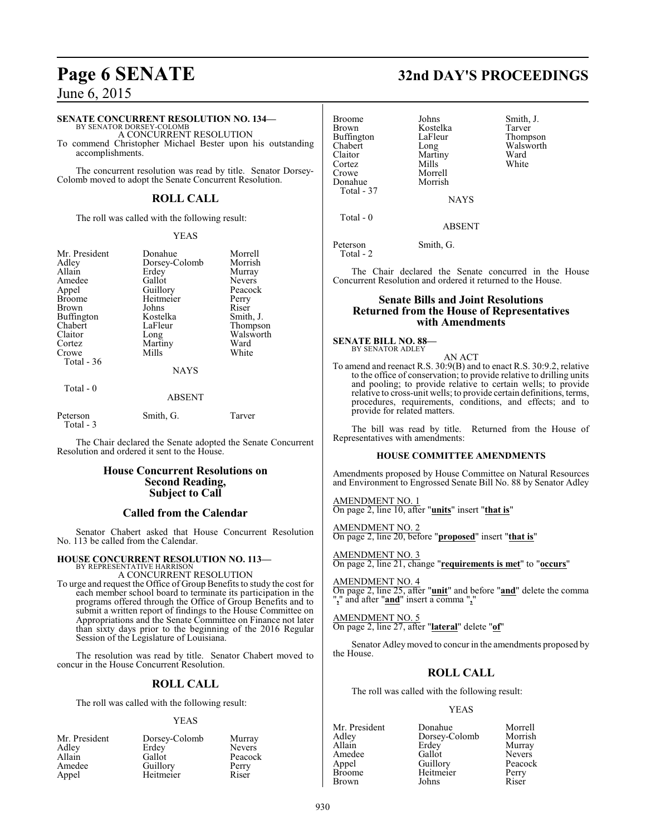#### **SENATE CONCURRENT RESOLUTION NO. 134—**

BY SENATOR DORSEY-COLOMB A CONCURRENT RESOLUTION

To commend Christopher Michael Bester upon his outstanding accomplishments.

The concurrent resolution was read by title. Senator Dorsey-Colomb moved to adopt the Senate Concurrent Resolution.

#### **ROLL CALL**

The roll was called with the following result:

#### YEAS

| Mr. President | Donahue       | Morrell       |
|---------------|---------------|---------------|
| Adley         | Dorsey-Colomb | Morrish       |
| Allain        | Erdey         | Murray        |
| Amedee        | Gallot        | <b>Nevers</b> |
| Appel         | Guillory      | Peacock       |
| <b>Broome</b> | Heitmeier     | Perry         |
| Brown         | Johns         | Riser         |
| Buffington    | Kostelka      | Smith, J.     |
| Chabert       | LaFleur       | Thompson      |
| Claitor       | Long          | Walsworth     |
| Cortez        | Martiny       | Ward          |
| Crowe         | Mills         | White         |
| Total $-36$   |               |               |
|               | <b>NAYS</b>   |               |
| $Total - 0$   |               |               |

#### ABSENT

Peterson Smith, G. Tarver Total - 3

The Chair declared the Senate adopted the Senate Concurrent Resolution and ordered it sent to the House.

#### **House Concurrent Resolutions on Second Reading, Subject to Call**

#### **Called from the Calendar**

Senator Chabert asked that House Concurrent Resolution No. 113 be called from the Calendar.

## **HOUSE CONCURRENT RESOLUTION NO. 113—**

BY REPRESENTATIVE HARRISON A CONCURRENT RESOLUTION

To urge and request the Office of Group Benefits to study the cost for each member school board to terminate its participation in the programs offered through the Office of Group Benefits and to submit a written report of findings to the House Committee on Appropriations and the Senate Committee on Finance not later than sixty days prior to the beginning of the 2016 Regular Session of the Legislature of Louisiana.

The resolution was read by title. Senator Chabert moved to concur in the House Concurrent Resolution.

## **ROLL CALL**

The roll was called with the following result:

#### YEAS

| Mr. President | Dorsey-Colomb | Murray        |
|---------------|---------------|---------------|
| Adley         | Erdey         | <b>Nevers</b> |
| Allain        | Gallot        | Peacock       |
| Amedee        | Guillory      | Perry         |
| Appel         | Heitmeier     | Riser         |

| <b>Broome</b>     | Johns    | Smith, J. |
|-------------------|----------|-----------|
| <b>Brown</b>      | Kostelka | Tarver    |
| <b>Buffington</b> | LaFleur  | Thompson  |
| Chabert           | Long     | Walsworth |
| Claitor           | Martiny  | Ward      |
| Cortez            | Mills    | White     |
| Crowe             | Morrell  |           |
| Donahue           | Morrish  |           |
| Total - 37        |          |           |
|                   |          |           |

NAYS

ABSENT

Peterson Smith, G. Total - 2

Total - 0

The Chair declared the Senate concurred in the House Concurrent Resolution and ordered it returned to the House.

#### **Senate Bills and Joint Resolutions Returned from the House of Representatives with Amendments**

#### **SENATE BILL NO. 88—**

BY SENATOR ADLEY

AN ACT To amend and reenact R.S. 30:9(B) and to enact R.S. 30:9.2, relative to the office of conservation; to provide relative to drilling units and pooling; to provide relative to certain wells; to provide relative to cross-unit wells; to provide certain definitions, terms, procedures, requirements, conditions, and effects; and to provide for related matters.

The bill was read by title. Returned from the House of Representatives with amendments:

#### **HOUSE COMMITTEE AMENDMENTS**

Amendments proposed by House Committee on Natural Resources and Environment to Engrossed Senate Bill No. 88 by Senator Adley

AMENDMENT NO. 1 On page 2, line 10, after "**units**" insert "**that is**"

AMENDMENT NO. 2 On page 2, line 20, before "**proposed**" insert "**that is**"

AMENDMENT NO. 3 On page 2, line 21, change "**requirements is met**" to "**occurs**"

AMENDMENT NO. 4 On page 2, line 25, after "**unit**" and before "**and**" delete the comma "**,**" and after "**and**" insert a comma "**,**"

AMENDMENT NO. 5 On page 2, line 27, after "**lateral**" delete "**of**"

Senator Adleymoved to concur in the amendments proposed by the House.

## **ROLL CALL**

The roll was called with the following result:

#### YEAS

Mr. President Donahue Morrell<br>Adley Dorsey-Colomb Morrish Adley Dorsey-Colomb<br>Allain Erdey Erdey Murray<br>Gallot Nevers Amedee Gallot Nevers<br>
Appel Guillory Peacock Appel Guillory Peaco<br>Broome Heitmeier Perry Heitmeier Perry<br>Johns Riser **Brown** 

# **Page 6 SENATE 32nd DAY'S PROCEEDINGS**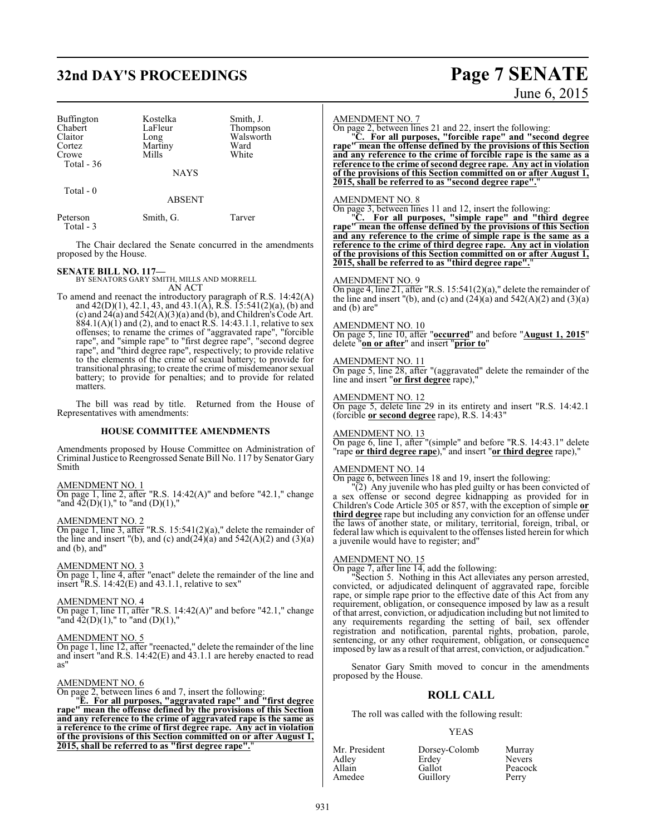## **32nd DAY'S PROCEEDINGS Page 7 SENATE**

| <b>Buffington</b><br>Chabert<br>Claitor<br>Cortez<br>Crowe<br>Total $-36$ | Kostelka<br>LaFleur<br>Long<br>Martiny<br>Mills | Smith, J.<br>Thompson<br>Walsworth<br>Ward<br>White |
|---------------------------------------------------------------------------|-------------------------------------------------|-----------------------------------------------------|
|                                                                           | <b>NAYS</b>                                     |                                                     |
| Total $-0$                                                                | <b>ABSENT</b>                                   |                                                     |
| Peterson                                                                  | Smith. G.                                       | Farver                                              |

Total - 3

The Chair declared the Senate concurred in the amendments proposed by the House.

**SENATE BILL NO. 117—**<br>BY SENATORS GARY SMITH, MILLS AND MORRELL<br>AN ACT

To amend and reenact the introductory paragraph of R.S. 14:42(A) and 42(D)(1), 42.1, 43, and 43.1(A), R.S. 15:541(2)(a), (b) and (c) and  $24(a)$  and  $542(A)(3)(a)$  and (b), and Children's Code Art.  $884.1(A)(1)$  and (2), and to enact R.S. 14:43.1.1, relative to sex offenses; to rename the crimes of "aggravated rape", "forcible rape", and "simple rape" to "first degree rape", "second degree rape", and "third degree rape", respectively; to provide relative to the elements of the crime of sexual battery; to provide for transitional phrasing; to create the crime of misdemeanor sexual battery; to provide for penalties; and to provide for related matters.

The bill was read by title. Returned from the House of Representatives with amendments:

#### **HOUSE COMMITTEE AMENDMENTS**

Amendments proposed by House Committee on Administration of Criminal Justice to Reengrossed Senate Bill No. 117 by Senator Gary Smith

#### AMENDMENT NO. 1

On page 1, line 2, after "R.S. 14:42(A)" and before "42.1," change "and 42(D)(1)," to "and (D)(1),"

#### AMENDMENT NO. 2

On page 1, line 3, after "R.S. 15:541(2)(a)," delete the remainder of the line and insert "(b), and (c) and  $(24)(a)$  and  $542(A)(2)$  and  $(3)(a)$ and (b), and"

#### AMENDMENT NO. 3

On page 1, line 4, after "enact" delete the remainder of the line and insert  $\overline{R.S.}$  14:42(E) and 43.1.1, relative to sex"

#### AMENDMENT NO. 4

On page 1, line 11, after "R.S. 14:42(A)" and before "42.1," change "and  $\overline{42}(D)(1)$ ," to "and  $(D)(1)$ ,"

#### AMENDMENT NO. 5

On page 1, line 12, after "reenacted," delete the remainder of the line and insert "and R.S. 14:42(E) and 43.1.1 are hereby enacted to read as"

#### AMENDMENT NO. 6

On page 2, between lines 6 and 7, insert the following:

"**E. For all purposes, "aggravated rape" and "first degree rape" mean the offense defined by the provisions of this Section and any reference to the crime of aggravated rape is the same as a reference to the crime of first degree rape. Any act in violation of the provisions of this Section committed on or after August 1, 2015, shall be referred to as "first degree rape".**"

#### AMENDMENT NO. 7

On page 2, between lines 21 and 22, insert the following:

"**C. For all purposes, "forcible rape" and "second degree rape" mean the offense defined by the provisions of this Section and any reference to the crime of forcible rape is the same as a reference to the crime of second degree rape. Any act in violation of the provisions of this Section committed on or after August 1, 2015, shall be referred to as "second degree rape".**"

#### AMENDMENT NO. 8

On page 3, between lines 11 and 12, insert the following:

"**C. For all purposes, "simple rape" and "third degree rape" mean the offense defined by the provisions of this Section and any reference to the crime of simple rape is the same as a reference to the crime of third degree rape. Any act in violation of the provisions of this Section committed on or after August 1, 2015, shall be referred to as "third degree rape".**"

#### AMENDMENT NO. 9

On page 4, line 21, after "R.S. 15:541(2)(a)," delete the remainder of the line and insert  $"$ (b), and (c) and  $(24)(a)$  and  $542(A)(2)$  and  $(3)(a)$ and (b) are"

#### AMENDMENT NO. 10

On page 5, line 10, after "**occurred**" and before "**August 1, 2015**" delete "**on or after**" and insert "**prior to**"

#### AMENDMENT NO. 11

On page 5, line 28, after "(aggravated" delete the remainder of the line and insert "**or first degree** rape),"

#### AMENDMENT NO. 12

On page 5, delete line 29 in its entirety and insert "R.S. 14:42.1 (forcible **or second degree** rape), R.S. 14:43"

#### AMENDMENT NO. 13

On page 6, line 1, after "(simple" and before "R.S. 14:43.1" delete "rape **or third degree rape**)," and insert "**or third degree** rape),"

#### AMENDMENT NO. 14

On page 6, between lines 18 and 19, insert the following:

"(2) Any juvenile who has pled guilty or has been convicted of a sex offense or second degree kidnapping as provided for in Children's Code Article 305 or 857, with the exception of simple **or third degree** rape but including any conviction for an offense under the laws of another state, or military, territorial, foreign, tribal, or federal law which is equivalent to the offenses listed herein for which a juvenile would have to register; and"

#### AMENDMENT NO. 15

On page 7, after line 14, add the following:

"Section 5. Nothing in this Act alleviates any person arrested, convicted, or adjudicated delinquent of aggravated rape, forcible rape, or simple rape prior to the effective date of this Act from any requirement, obligation, or consequence imposed by law as a result of that arrest, conviction, or adjudication including but not limited to any requirements regarding the setting of bail, sex offender registration and notification, parental rights, probation, parole, sentencing, or any other requirement, obligation, or consequence imposed by law as a result of that arrest, conviction, or adjudication."

Senator Gary Smith moved to concur in the amendments proposed by the House.

#### **ROLL CALL**

The roll was called with the following result:

#### YEAS

| Mr. President | Dorsey-Colomb | Murray        |
|---------------|---------------|---------------|
| Adley         | Erdey         | <b>Nevers</b> |
| Allain        | Gallot        | Peacock       |
| Amedee        | Guillory      | Perry         |

# June 6, 2015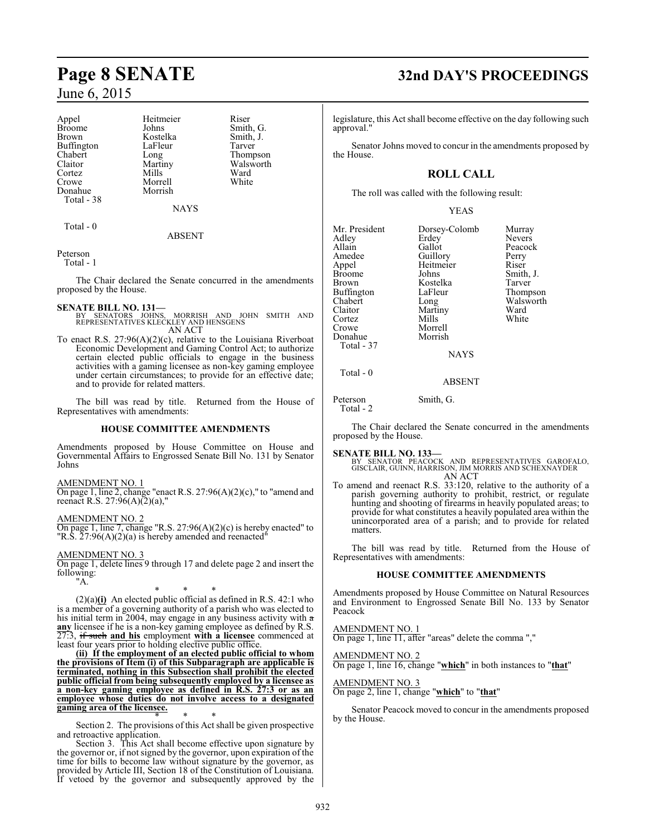Appel Heitmeier Riser<br>Broome Johns Smith Broome Johns Smith, G.<br>Brown Kostelka Smith, J. Buffington LaFle<br>Chabert Long Chabert Long Thompson<br>Claitor Martiny Walsworth Claitor Martiny Walsworth<br>
Cortez Mills Ward Cortez Mills Ward Crowe Morrell White Donahue Total - 38

Kostelka Smith,<br>LaFleur Tarver

NAYS

#### ABSENT

Peterson

Total - 1

Total - 0

The Chair declared the Senate concurred in the amendments proposed by the House.

#### **SENATE BILL NO. 131—**

- SENATORS JOHNS, MORRISH AND JOHN SMITH AND REPRESENTATIVES KLECKLEY AND HENSGENS AN ACT
- To enact R.S. 27:96(A)(2)(c), relative to the Louisiana Riverboat Economic Development and Gaming Control Act; to authorize certain elected public officials to engage in the business activities with a gaming licensee as non-key gaming employee under certain circumstances; to provide for an effective date; and to provide for related matters.

The bill was read by title. Returned from the House of Representatives with amendments:

#### **HOUSE COMMITTEE AMENDMENTS**

Amendments proposed by House Committee on House and Governmental Affairs to Engrossed Senate Bill No. 131 by Senator Johns

#### AMENDMENT NO. 1

On page 1, line 2, change "enact R.S. 27:96(A)(2)(c)," to "amend and reenact R.S.  $27:96(A)(2)(a)$ ,"

#### AMENDMENT NO. 2

On page 1, line 7, change "R.S. 27:96(A)(2)(c) is hereby enacted" to "R.S. 27:96(A)(2)(a) is hereby amended and reenacted"

AMENDMENT NO. 3

On page 1, delete lines 9 through 17 and delete page 2 and insert the following:

"A.

\* \* \* (2)(a)**(i)** An elected public official as defined in R.S. 42:1 who is a member of a governing authority of a parish who was elected to his initial term in 2004, may engage in any business activity with a any licensee if he is a non-key gaming employee as defined by R.S. 27:3, if such **and his** employment **with a licensee** commenced at least four years prior to holding elective public office.

**(ii) If the employment of an elected public official to whom the provisions of Item (i) of this Subparagraph are applicable is terminated, nothing in this Subsection shall prohibit the elected public official from being subsequently employed by a licensee as a non-key gaming employee as defined in R.S. 27:3 or as an employee whose duties do not involve access to a designated gaming area of the licensee.**

\* \* \* Section 2. The provisions of this Act shall be given prospective and retroactive application.

Section 3. This Act shall become effective upon signature by the governor or, if not signed by the governor, upon expiration of the time for bills to become law without signature by the governor, as provided by Article III, Section 18 of the Constitution of Louisiana. If vetoed by the governor and subsequently approved by the

## **Page 8 SENATE 32nd DAY'S PROCEEDINGS**

legislature, this Act shall become effective on the day following such approval."

Senator Johns moved to concur in the amendments proposed by the House.

## **ROLL CALL**

The roll was called with the following result:

YEAS

| Mr. President<br>Adley<br>Allain<br>Amedee<br>Appel<br><b>Broome</b><br><b>Brown</b><br>Buffington<br>Chabert<br>Claitor<br>Cortez<br>Crowe<br>Donahue<br>Total - 37 | Dorsey-Colomb<br>Erdey<br>Gallot<br>Guillory<br>Heitmeier<br>Johns<br>Kostelka<br>LaFleur<br>Long<br>Martiny<br>Mills<br>Morrell<br>Morrish | Murray<br><b>Nevers</b><br>Peacock<br>Perry<br>Riser<br>Smith, J.<br>Tarver<br>Thompson<br>Walsworth<br>Ward<br>White |
|----------------------------------------------------------------------------------------------------------------------------------------------------------------------|---------------------------------------------------------------------------------------------------------------------------------------------|-----------------------------------------------------------------------------------------------------------------------|
|                                                                                                                                                                      | <b>NAYS</b>                                                                                                                                 |                                                                                                                       |
| Total - 0                                                                                                                                                            |                                                                                                                                             |                                                                                                                       |

Peterson Smith, G. Total - 2

The Chair declared the Senate concurred in the amendments proposed by the House.

ABSENT

**SENATE BILL NO. 133—**<br>BY SENATOR PEACOCK AND REPRESENTATIVES GAROFALO,<br>GISCLAIR, GUINN, HARRISON, JIM MORRIS AND SCHEXNAYDER<br>AN ACT

To amend and reenact R.S. 33:120, relative to the authority of a parish governing authority to prohibit, restrict, or regulate hunting and shooting of firearms in heavily populated areas; to provide for what constitutes a heavily populated area within the unincorporated area of a parish; and to provide for related matters.

The bill was read by title. Returned from the House of Representatives with amendments:

#### **HOUSE COMMITTEE AMENDMENTS**

Amendments proposed by House Committee on Natural Resources and Environment to Engrossed Senate Bill No. 133 by Senator Peacock

AMENDMENT NO. 1

On page 1, line 11, after "areas" delete the comma ","

#### AMENDMENT NO. 2

On page 1, line 16, change "**which**" in both instances to "**that**"

AMENDMENT NO. 3

On page 2, line 1, change "**which**" to "**that**"

Senator Peacock moved to concur in the amendments proposed by the House.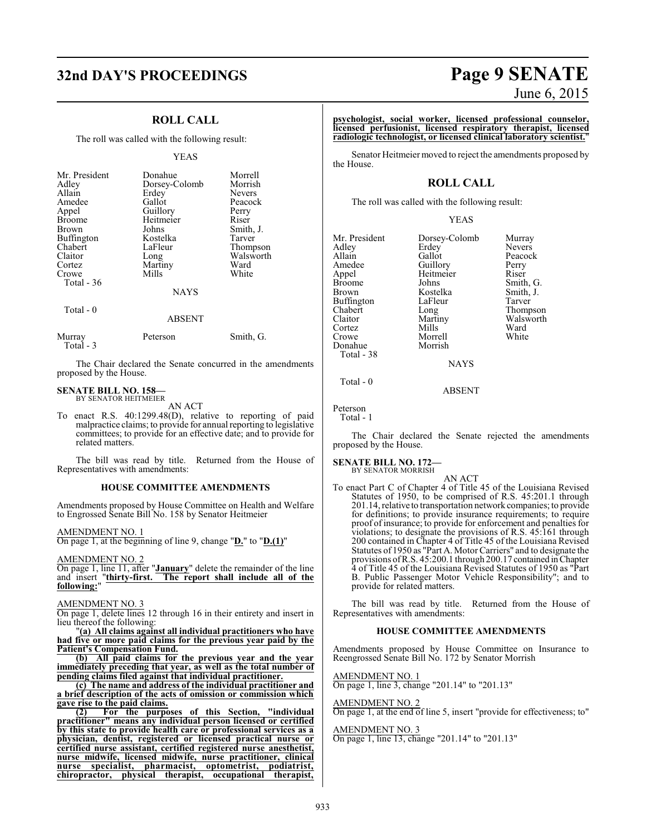## **32nd DAY'S PROCEEDINGS Page 9 SENATE**

### **ROLL CALL**

The roll was called with the following result:

#### YEAS

| Mr. President<br>Adley<br>Allain<br>Amedee<br>Appel<br><b>Broome</b><br>Brown<br>Buffington<br>Chabert<br>Claitor<br>Cortez<br>Crowe | Donahue<br>Dorsey-Colomb<br>Erdey<br>Gallot<br>Guillory<br>Heitmeier<br>Johns<br>Kostelka<br>LaFleur<br>Long<br>Martiny<br>Mills | Morrell<br>Morrish<br><b>Nevers</b><br>Peacock<br>Perry<br>Riser<br>Smith, J.<br>Tarver<br>Thompson<br>Walsworth<br>Ward<br>White |
|--------------------------------------------------------------------------------------------------------------------------------------|----------------------------------------------------------------------------------------------------------------------------------|-----------------------------------------------------------------------------------------------------------------------------------|
| Total - 36                                                                                                                           | <b>NAYS</b>                                                                                                                      |                                                                                                                                   |
| Total - 0                                                                                                                            | ABSENT                                                                                                                           |                                                                                                                                   |

| Murray    | Peterson | Smith, G. |
|-----------|----------|-----------|
| Total - 3 |          |           |

The Chair declared the Senate concurred in the amendments proposed by the House.

#### **SENATE BILL NO. 158—** BY SENATOR HEITMEIER

AN ACT

To enact R.S. 40:1299.48(D), relative to reporting of paid malpractice claims; to provide for annual reporting to legislative committees; to provide for an effective date; and to provide for related matters.

The bill was read by title. Returned from the House of Representatives with amendments:

#### **HOUSE COMMITTEE AMENDMENTS**

Amendments proposed by House Committee on Health and Welfare to Engrossed Senate Bill No. 158 by Senator Heitmeier

#### AMENDMENT NO. 1

On page 1, at the beginning of line 9, change "**D.**" to "**D.(1)**"

AMENDMENT NO. 2

On page 1, line 11, after "**January**" delete the remainder of the line and insert "**thirty-first. The report shall include all of the following:**"

#### AMENDMENT NO. 3

On page 1, delete lines 12 through 16 in their entirety and insert in lieu thereof the following:

"**(a) All claims against all individual practitioners who have had five or more paid claims for the previous year paid by the Patient's Compensation Fund.**

**(b) All paid claims for the previous year and the year immediately preceding that year, as well as the total number of pending claims filed against that individual practitioner.**

**(c) The name and address of the individual practitioner and a brief description of the acts of omission or commission which gave rise to the paid claims.**<br>(2) For the purpo

**(2) For the purposes of this Section, "individual practitioner" means any individual person licensed or certified by this state to provide health care or professional services as a physician, dentist, registered or licensed practical nurse or certified nurse assistant, certified registered nurse anesthetist, nurse midwife, licensed midwife, nurse practitioner, clinical nurse specialist, pharmacist, optometrist, podiatrist, chiropractor, physical therapist, occupational therapist,**

# June 6, 2015

**psychologist, social worker, licensed professional counselor, licensed perfusionist, licensed respiratory therapist, licensed radiologic technologist, or licensed clinical laboratory scientist.**"

Senator Heitmeier moved to reject the amendments proposed by the House.

#### **ROLL CALL**

The roll was called with the following result:

#### YEAS

Mr. President Dorsey-Colomb Murray<br>Adley Erdey Nevers Adley Erdey Nevers<br>Allain Gallot Peacocl Allain Gallot Peacock<br>Amedee Guillory Perry Amedee Guillory Perry<br>Appel Heitmeier Riser Appel Heitmeier<br>Broome Johns Broome Johns Smith, G.<br>Brown Kostelka Smith, J. Buffington LaFle<br>Chabert Long Chabert Long Thompson Cortez Mills Ward<br>Crowe Morrell White Donahue Total - 38

Kostelka Smith,<br>LaFleur Tarver Martiny Walsworth<br>Mills Ward

ABSENT

Morrell<br>Morrish

Peterson

Total - 0

Total - 1

The Chair declared the Senate rejected the amendments proposed by the House.

**NAYS** 

## **SENATE BILL NO. 172—** BY SENATOR MORRISH

AN ACT To enact Part C of Chapter 4 of Title 45 of the Louisiana Revised Statutes of 1950, to be comprised of R.S. 45:201.1 through 201.14, relative to transportation network companies; to provide for definitions; to provide insurance requirements; to require proof of insurance; to provide for enforcement and penalties for violations; to designate the provisions of R.S. 45:161 through 200 contained in Chapter 4 of Title 45 of the Louisiana Revised Statutes of 1950 as "Part A. Motor Carriers" and to designate the provisions ofR.S. 45:200.1 through 200.17 contained inChapter 4 of Title 45 of the Louisiana Revised Statutes of 1950 as "Part B. Public Passenger Motor Vehicle Responsibility"; and to provide for related matters.

The bill was read by title. Returned from the House of Representatives with amendments:

#### **HOUSE COMMITTEE AMENDMENTS**

Amendments proposed by House Committee on Insurance to Reengrossed Senate Bill No. 172 by Senator Morrish

AMENDMENT NO. 1

On page 1, line 3, change "201.14" to "201.13"

#### AMENDMENT NO. 2

On page 1, at the end of line 5, insert "provide for effectiveness; to"

AMENDMENT NO. 3

On page 1, line 13, change "201.14" to "201.13"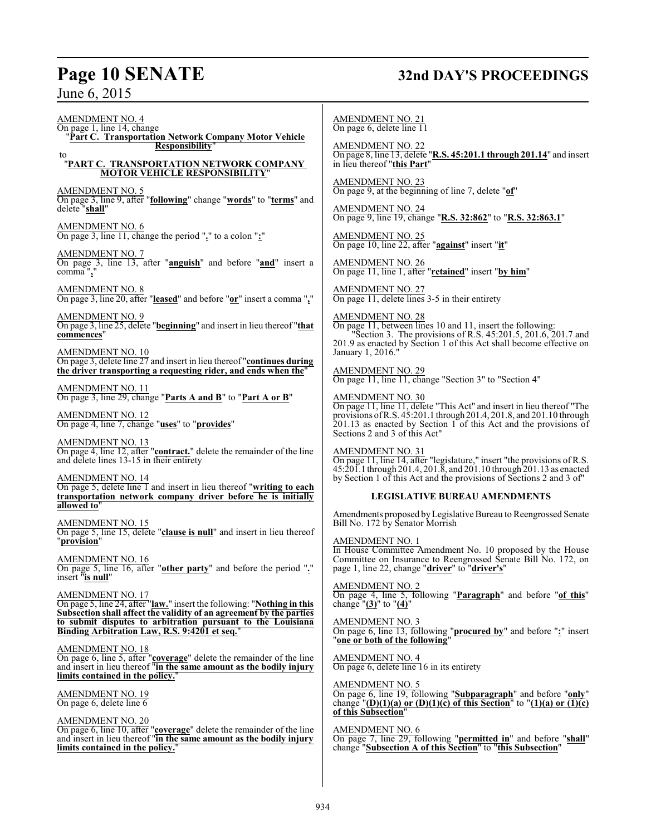## **Page 10 SENATE 32nd DAY'S PROCEEDINGS**

June 6, 2015

AMENDMENT NO. 4 On page 1, line 14, change "**Part C. Transportation Network Company Motor Vehicle Responsibility**" to "**PART C. TRANSPORTATION NETWORK COMPANY MOTOR VEHICLE RESPONSIBILITY**" AMENDMENT NO. 5 On page 3, line 9, after "**following**" change "**words**" to "**terms**" and delete "**shall**" AMENDMENT NO. 6 On page 3, line 11, change the period "**.**" to a colon "**:**" AMENDMENT NO. 7 On page 3, line 13, after "**anguish**" and before "**and**" insert a comma "**,**" AMENDMENT NO. 8 On page 3, line 20, after "**leased**" and before "**or**" insert a comma "**,**" AMENDMENT NO. 9 On page 3, line 25, delete "**beginning**" and insert in lieu thereof "**that commences**" AMENDMENT NO. 10 On page 3, delete line 27 and insert in lieu thereof "**continues during the driver transporting a requesting rider, and ends when the**" AMENDMENT NO. 11 On page 3, line 29, change "**Parts A and B**" to "**Part A or B**" AMENDMENT NO. 12 On page 4, line 7, change "**uses**" to "**provides**" AMENDMENT NO. 13 On page 4, line 12, after "**contract.**" delete the remainder of the line and delete lines 13-15 in their entirety AMENDMENT NO. 14 On page 5, delete line 1 and insert in lieu thereof "**writing to each transportation network company driver before he is initially allowed to**" AMENDMENT NO. 15 On page 5, line 15, delete "**clause is null**" and insert in lieu thereof "**provision**" AMENDMENT NO. 16 On page 5, line 16, after "**other party**" and before the period "**.**" insert "**is null**" AMENDMENT NO. 17 On page 5, line 24, after "**law.**" insert the following: "**Nothing in this Subsection shall affect the validity of an agreement by the parties to submit disputes to arbitration pursuant to the Louisiana Binding Arbitration Law, R.S. 9:4201 et seq.**" AMENDMENT NO. 18 On page 6, line 5, after "**coverage**" delete the remainder of the line and insert in lieu thereof "**in the same amount as the bodily injury limits contained in the policy.**" AMENDMENT NO. 19 On page 6, delete line 6 AMENDMENT NO. 20 On page 6, line 10, after "**coverage**" delete the remainder of the line and insert in lieu thereof "**in the same amount as the bodily injury limits contained in the policy.**" AMENDMENT NO. 21 On page 6, delete line 11 AMENDMENT NO. 22 AMENDMENT NO. 23 AMENDMENT NO. 24 AMENDMENT NO. 25 AMENDMENT NO. 26 AMENDMENT NO. 27 AMENDMENT NO. 28 January 1, 2016." AMENDMENT NO. 29 AMENDMENT NO. 30 AMENDMENT NO. 31 AMENDMENT NO. 1 AMENDMENT NO. 2 change "**(3)**" to "**(4)**" AMENDMENT NO. 3 AMENDMENT NO. 4 AMENDMENT NO. 5 **of this Subsection**" AMENDMENT NO. 6

On page 8, line 13, delete "**R.S. 45:201.1 through 201.14**" and insert in lieu thereof "**this Part**"

On page 9, at the beginning of line 7, delete "**of**"

On page 9, line 19, change "**R.S. 32:862**" to "**R.S. 32:863.1**"

On page 10, line 22, after "**against**" insert "**it**"

On page 11, line 1, after "**retained**" insert "**by him**"

On page 11, delete lines 3-5 in their entirety

On page 11, between lines 10 and 11, insert the following: "Section 3. The provisions of R.S. 45:201.5, 201.6, 201.7 and 201.9 as enacted by Section 1 of this Act shall become effective on

On page 11, line 11, change "Section 3" to "Section 4"

On page 11, line 11, delete "This Act" and insert in lieu thereof "The provisions ofR.S. 45:201.1 through 201.4, 201.8, and 201.10 through 201.13 as enacted by Section 1 of this Act and the provisions of Sections 2 and 3 of this Act"

On page 11, line 14, after "legislature," insert "the provisions of R.S. 45:201.1 through 201.4, 201.8, and 201.10 through 201.13 as enacted by Section 1 of this Act and the provisions of Sections 2 and 3 of"

#### **LEGISLATIVE BUREAU AMENDMENTS**

Amendments proposed byLegislative Bureau to Reengrossed Senate Bill No. 172 by Senator Morrish

In House Committee Amendment No. 10 proposed by the House Committee on Insurance to Reengrossed Senate Bill No. 172, on page 1, line 22, change "**driver**" to "**driver's**"

On page 4, line 5, following "**Paragraph**" and before "**of this**"

On page 6, line 13, following "**procured by**" and before "**:**" insert "**one or both of the following**"

On page 6, delete line 16 in its entirety

On page 6, line 19, following "**Subparagraph**" and before "**only**" change " $(D)(1)(a)$  or  $(D)(1)(c)$  of this Section" to " $(1)(a)$  or  $\overline{(1)(c)}$ 

On page 7, line 29, following "**permitted in**" and before "**shall**" change "**Subsection A of this Section**" to "**this Subsection**"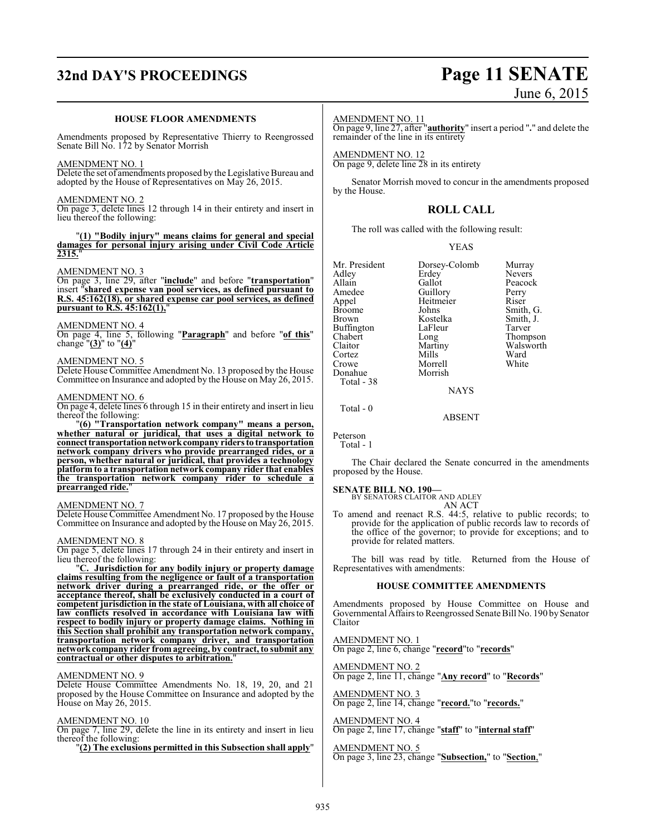## **32nd DAY'S PROCEEDINGS Page 11 SENATE**

# June 6, 2015

#### **HOUSE FLOOR AMENDMENTS**

Amendments proposed by Representative Thierry to Reengrossed Senate Bill No. 172 by Senator Morrish

#### AMENDMENT NO. 1

Delete the set of amendments proposed by the Legislative Bureau and adopted by the House of Representatives on May 26, 2015.

#### AMENDMENT NO. 2

On page 3, delete lines 12 through 14 in their entirety and insert in lieu thereof the following:

#### "**(1) "Bodily injury" means claims for general and special damages for personal injury arising under Civil Code Article 2315.**"

#### AMENDMENT NO. 3

On page 3, line 29, after "**include**" and before "**transportation**" insert "**shared expense van pool services, as defined pursuant to R.S. 45:162(18), or shared expense car pool services, as defined pursuant to R.S. 45:162(1),**"

#### AMENDMENT NO. 4

On page 4, line 5, following "**Paragraph**" and before "**of this**" change "**(3)**" to "**(4)**"

#### AMENDMENT NO. 5

Delete House Committee Amendment No. 13 proposed by the House Committee on Insurance and adopted by the House on May 26, 2015.

#### AMENDMENT NO. 6

On page 4, delete lines 6 through 15 in their entirety and insert in lieu thereof the following:

"**(6) "Transportation network company" means a person, whether natural or juridical, that uses a digital network to connect transportation network company riders to transportation network company drivers who provide prearranged rides, or a person, whether natural or juridical, that provides a technology platform to a transportation network company rider that enables the transportation network company rider to schedule a prearranged ride.**"

#### AMENDMENT NO. 7

Delete House Committee Amendment No. 17 proposed by the House Committee on Insurance and adopted by the House on May 26, 2015.

#### AMENDMENT NO. 8

On page 5, delete lines 17 through 24 in their entirety and insert in lieu thereof the following:

"**C. Jurisdiction for any bodily injury or property damage claims resulting from the negligence or fault of a transportation network driver during a prearranged ride, or the offer or acceptance thereof, shall be exclusively conducted in a court of competent jurisdiction in the state of Louisiana, with all choice of law conflicts resolved in accordance with Louisiana law with respect to bodily injury or property damage claims. Nothing in this Section shall prohibit any transportation network company, transportation network company driver, and transportation networkcompany rider from agreeing, by contract, to submit any contractual or other disputes to arbitration.**"

#### AMENDMENT NO. 9

Delete House Committee Amendments No. 18, 19, 20, and 21 proposed by the House Committee on Insurance and adopted by the House on May 26, 2015.

#### AMENDMENT NO. 10

On page 7, line 29, delete the line in its entirety and insert in lieu thereof the following:

"**(2) The exclusions permitted in this Subsection shall apply**"

#### AMENDMENT NO. 11

On page 9, line 27, after "**authority**" insert a period "**.**" and delete the remainder of the line in its entirety

AMENDMENT NO. 12 On page 9, delete line 28 in its entirety

Senator Morrish moved to concur in the amendments proposed by the House.

#### **ROLL CALL**

The roll was called with the following result:

#### YEAS

| Mr. President | Dorsey-Colomb | Murray        |
|---------------|---------------|---------------|
| Adley         | Erdey         | <b>Nevers</b> |
| Allain        | Gallot        | Peacock       |
| Amedee        | Guillory      | Perry         |
| Appel         | Heitmeier     | Riser         |
| Broome        | Johns         | Smith, G.     |
| Brown         | Kostelka      | Smith, J.     |
| Buffington    | LaFleur       | Tarver        |
| Chabert       | Long          | Thompson      |
| Claitor       | Martiny       | Walsworth     |
| Cortez        | Mills         | Ward          |
| Crowe         | Morrell       | White         |
| Donahue       | Morrish       |               |
| Total - 38    |               |               |
|               | NAYS          |               |

Total - 0

Peterson Total - 1

The Chair declared the Senate concurred in the amendments proposed by the House.

ABSENT

#### **SENATE BILL NO. 190—**

BY SENATORS CLAITOR AND ADLEY

AN ACT To amend and reenact R.S. 44:5, relative to public records; to provide for the application of public records law to records of the office of the governor; to provide for exceptions; and to provide for related matters.

The bill was read by title. Returned from the House of Representatives with amendments:

#### **HOUSE COMMITTEE AMENDMENTS**

Amendments proposed by House Committee on House and Governmental Affairs to Reengrossed Senate Bill No. 190 by Senator Claitor

AMENDMENT NO. 1 On page 2, line 6, change "**record**"to "**records**"

AMENDMENT NO. 2 On page 2, line 11, change "**Any record**" to "**Records**"

AMENDMENT NO. 3 On page 2, line 14, change "**record.**"to "**records.**"

AMENDMENT NO. 4 On page 2, line 17, change "**staff**" to "**internal staff**"

AMENDMENT NO. 5 On page 3, line 23, change "**Subsection,**" to "**Section**,"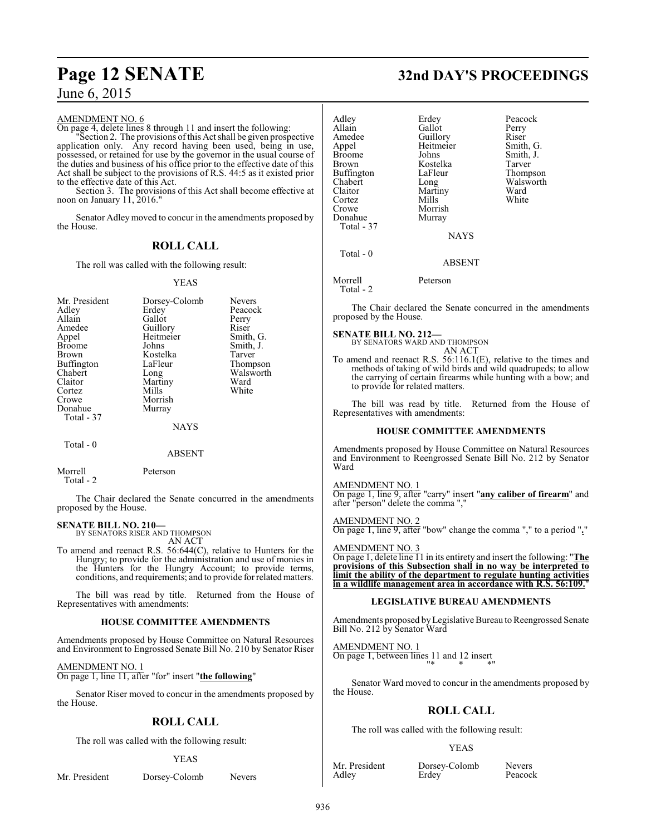#### AMENDMENT NO. 6

On page 4, delete lines 8 through 11 and insert the following:

"Section 2. The provisions ofthis Act shall be given prospective application only. Any record having been used, being in use, possessed, or retained for use by the governor in the usual course of the duties and business of his office prior to the effective date of this Act shall be subject to the provisions of R.S. 44:5 as it existed prior to the effective date of this Act.

Section 3. The provisions of this Act shall become effective at noon on January 11, 2016."

Senator Adleymoved to concur in the amendments proposed by the House.

## **ROLL CALL**

The roll was called with the following result:

#### YEAS

| Mr. President<br>Adley<br>Allain<br>Amedee<br>Appel<br><b>Broome</b><br><b>Brown</b><br>Buffington<br>Chabert<br>Claitor<br>Cortez<br>Crowe<br>Donahue<br>Total - 37 | Dorsey-Colomb<br>Erdey<br>Gallot<br>Guillory<br>Heitmeier<br>Johns<br>Kostelka<br>LaFleur<br>Long<br>Martiny<br>Mills<br>Morrish<br>Murray<br><b>NAYS</b> | <b>Nevers</b><br>Peacock<br>Perry<br>Riser<br>Smith, G.<br>Smith, J.<br>Tarver<br>Thompson<br>Walsworth<br>Ward<br>White |
|----------------------------------------------------------------------------------------------------------------------------------------------------------------------|-----------------------------------------------------------------------------------------------------------------------------------------------------------|--------------------------------------------------------------------------------------------------------------------------|
| Total $-0$                                                                                                                                                           | ABSENT                                                                                                                                                    |                                                                                                                          |

Morrell Peterson

Total - 2

The Chair declared the Senate concurred in the amendments proposed by the House.

#### **SENATE BILL NO. 210—**

BY SENATORS RISER AND THOMPSON

AN ACT To amend and reenact R.S. 56:644(C), relative to Hunters for the Hungry; to provide for the administration and use of monies in the Hunters for the Hungry Account; to provide terms, conditions, and requirements; and to provide forrelated matters.

The bill was read by title. Returned from the House of Representatives with amendments:

#### **HOUSE COMMITTEE AMENDMENTS**

Amendments proposed by House Committee on Natural Resources and Environment to Engrossed Senate Bill No. 210 by Senator Riser

AMENDMENT NO. 1

On page 1, line 11, after "for" insert "**the following**"

Senator Riser moved to concur in the amendments proposed by the House.

## **ROLL CALL**

The roll was called with the following result:

#### YEAS

Mr. President Dorsey-Colomb Nevers

## **Page 12 SENATE 32nd DAY'S PROCEEDINGS**

Adley Erdey Peacock Allain Callot Perry<br>Amedee Guillory Riser Amedee Guillory<br>Appel Heitmeier Appel Heitmeier Smith, G.<br>Broome Johns Smith, J. Broome Johns Smith, J.<br>Brown Kostelka Tarver Kostelka Tarver<br>LaFleur Thompson Buffington<br>Chabert Chabert Long Walsworth<br>Claitor Martiny Ward Martiny Ward<br>
Mills White Cortez<br>Crowe Morrish<br>Murray Donahue Total - 37 **NAYS** Total - 0

ABSENT

Morrell Peterson Total - 2

The Chair declared the Senate concurred in the amendments proposed by the House.

**SENATE BILL NO. 212—**

BY SENATORS WARD AND THOMPSON AN ACT

To amend and reenact R.S. 56:116.1(E), relative to the times and methods of taking of wild birds and wild quadrupeds; to allow the carrying of certain firearms while hunting with a bow; and to provide for related matters.

The bill was read by title. Returned from the House of Representatives with amendments:

#### **HOUSE COMMITTEE AMENDMENTS**

Amendments proposed by House Committee on Natural Resources and Environment to Reengrossed Senate Bill No. 212 by Senator Ward

AMENDMENT NO. 1 On page 1, line 9, after "carry" insert "**any caliber of firearm**" and after "person" delete the comma ",'

AMENDMENT NO. 2 On page 1, line 9, after "bow" change the comma "," to a period "**.**"

AMENDMENT NO. 3 On page 1, delete line 11 in its entirety and insert the following: "**The provisions of this Subsection shall in no way be interpreted to limit the ability of the department to regulate hunting activities in a wildlife management area in accordance with R.S. 56:109.**"

#### **LEGISLATIVE BUREAU AMENDMENTS**

Amendments proposed byLegislative Bureau to Reengrossed Senate Bill No. 212 by Senator Ward

AMENDMENT NO. 1 On page 1, between lines 11 and 12 insert "\* \* \*"

Senator Ward moved to concur in the amendments proposed by the House.

## **ROLL CALL**

The roll was called with the following result:

Erdey<sup>1</sup>

#### YEAS

Mr. President Dorsey-Colomb Nevers<br>Adley Erdey Peacock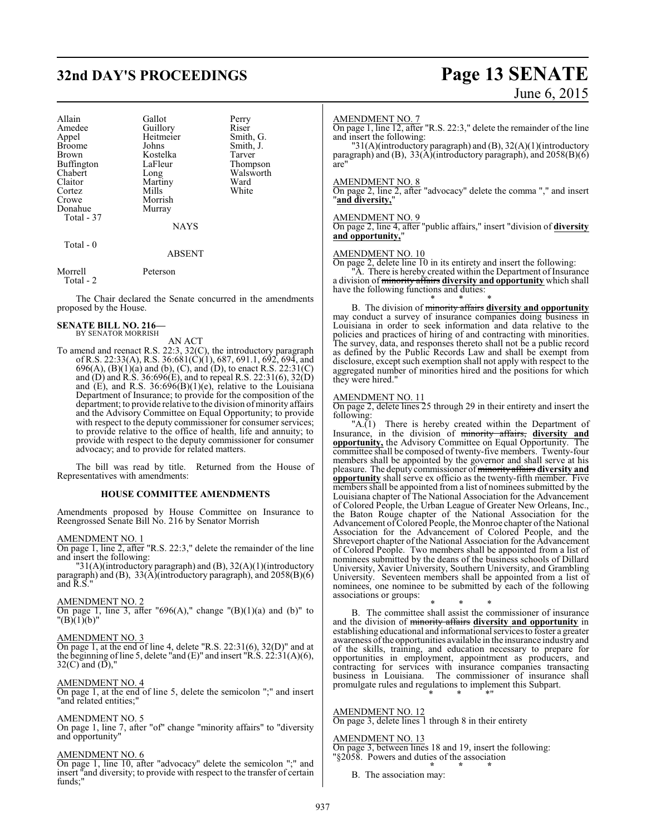## **32nd DAY'S PROCEEDINGS Page 13 SENATE**

| Allain<br>Amedee<br>Appel<br><b>Broome</b><br><b>Brown</b> | Gallot<br>Guillory<br>Heitmeier<br>Johns<br>Kostelka | Perry<br>Riser<br>Smith, G.<br>Smith, J.<br>Tarver |
|------------------------------------------------------------|------------------------------------------------------|----------------------------------------------------|
| <b>Buffington</b>                                          | LaFleur                                              | Thompson<br>Walsworth                              |
| Chabert                                                    | Long                                                 |                                                    |
| Claitor                                                    | Martiny                                              | Ward                                               |
| Cortez                                                     | Mills                                                | White                                              |
| Crowe                                                      | Morrish                                              |                                                    |
| Donahue                                                    | Murray                                               |                                                    |
| Total - 37                                                 |                                                      |                                                    |
|                                                            | <b>NAYS</b>                                          |                                                    |
| Total - 0                                                  |                                                      |                                                    |

#### ABSENT

Morrell Peterson Total - 2

The Chair declared the Senate concurred in the amendments proposed by the House.

#### **SENATE BILL NO. 216—** BY SENATOR MORRISH

AN ACT

To amend and reenact R.S. 22:3, 32(C), the introductory paragraph of R.S. 22:33(A), R.S. 36:681(C)(1), 687, 691.1, 692, 694, and 696(A), (B)(1)(a) and (b), (C), and (D), to enact R.S. 22:31(C) and (D) and R.S. 36:696(E), and to repeal R.S. 22:31(6), 32(D) and (E), and R.S. 36:696(B)(1)(e), relative to the Louisiana Department of Insurance; to provide for the composition of the department; to provide relative to the division ofminority affairs and the Advisory Committee on Equal Opportunity; to provide with respect to the deputy commissioner for consumer services; to provide relative to the office of health, life and annuity; to provide with respect to the deputy commissioner for consumer advocacy; and to provide for related matters.

The bill was read by title. Returned from the House of Representatives with amendments:

#### **HOUSE COMMITTEE AMENDMENTS**

Amendments proposed by House Committee on Insurance to Reengrossed Senate Bill No. 216 by Senator Morrish

#### AMENDMENT NO. 1

On page 1, line 2, after "R.S. 22:3," delete the remainder of the line and insert the following:

"31(A)(introductory paragraph) and (B), 32(A)(1)(introductory paragraph) and (B),  $33(A)$ (introductory paragraph), and  $2058(B)(6)$ and  $\tilde{R}$ .  $\tilde{S}$ 

#### AMENDMENT NO. 2

On page 1, line 3, after "696(A)," change " $(B)(1)(a)$  and  $(b)$ " to  $"({\rm B})\,(1)\,(b)"$ 

#### AMENDMENT NO. 3

On page 1, at the end of line 4, delete "R.S. 22:31(6), 32(D)" and at the beginning of line 5, delete "and  $(E)$ " and insert "R.S. 22:31(A)(6),  $32(C)$  and  $(D)$ ,"

#### AMENDMENT NO. 4

On page 1, at the end of line 5, delete the semicolon ";" and insert "and related entities;"

#### AMENDMENT NO. 5

On page 1, line 7, after "of" change "minority affairs" to "diversity and opportunity"

#### AMENDMENT NO. 6

On page 1, line 10, after "advocacy" delete the semicolon ";" and insert "and diversity; to provide with respect to the transfer of certain funds;"

# June 6, 2015

#### AMENDMENT NO. 7

On page 1, line 12, after "R.S. 22:3," delete the remainder of the line and insert the following:

"31(A)(introductory paragraph) and (B), 32(A)(1)(introductory paragraph) and (B), 33(A)(introductory paragraph), and 2058(B)(6) are"

#### AMENDMENT NO. 8

On page 2, line 2, after "advocacy" delete the comma "," and insert "**and diversity,**"

#### AMENDMENT NO. 9

On page 2, line 4, after "public affairs," insert "division of **diversity** and opportunity,

#### AMENDMENT NO. 10

On page 2, delete line 10 in its entirety and insert the following: "A. There is hereby created within the Department of Insurance a division of minority affairs **diversity and opportunity** which shall have the following functions and duties:

\* \* \* B. The division of minority affairs **diversity and opportunity** may conduct a survey of insurance companies doing business in Louisiana in order to seek information and data relative to the policies and practices of hiring of and contracting with minorities. The survey, data, and responses thereto shall not be a public record as defined by the Public Records Law and shall be exempt from disclosure, except such exemption shall not apply with respect to the aggregated number of minorities hired and the positions for which they were hired."

#### AMENDMENT NO. 11

On page 2, delete lines 25 through 29 in their entirety and insert the

following:<br> $"A.(1)$ There is hereby created within the Department of Insurance, in the division of minority affairs, **diversity and opportunity,** the Advisory Committee on Equal Opportunity. The committee shall be composed of twenty-five members. Twenty-four members shall be appointed by the governor and shall serve at his pleasure. The deputy commissioner ofminority affairs **diversity and opportunity** shall serve ex officio as the twenty-fifth member. Five members shall be appointed from a list of nominees submitted by the Louisiana chapter of The National Association for the Advancement of Colored People, the Urban League of Greater New Orleans, Inc., the Baton Rouge chapter of the National Association for the Advancement of Colored People, the Monroe chapter of the National Association for the Advancement of Colored People, and the Shreveport chapter of the National Association for the Advancement of Colored People. Two members shall be appointed from a list of nominees submitted by the deans of the business schools of Dillard University, Xavier University, Southern University, and Grambling University. Seventeen members shall be appointed from a list of nominees, one nominee to be submitted by each of the following associations or groups:

\* \* \* B. The committee shall assist the commissioner of insurance and the division of minority affairs **diversity and opportunity** in establishing educational and informational services to foster a greater awareness ofthe opportunities available in the insurance industry and of the skills, training, and education necessary to prepare for opportunities in employment, appointment as producers, and contracting for services with insurance companies transacting business in Louisiana. The commissioner of insurance shall promulgate rules and regulations to implement this Subpart. \* \* \*"

#### AMENDMENT NO. 12

On page 3, delete lines 1 through 8 in their entirety

#### AMENDMENT NO. 13

On page 3, between lines 18 and 19, insert the following: "§2058. Powers and duties of the association **\* \* \***

B. The association may: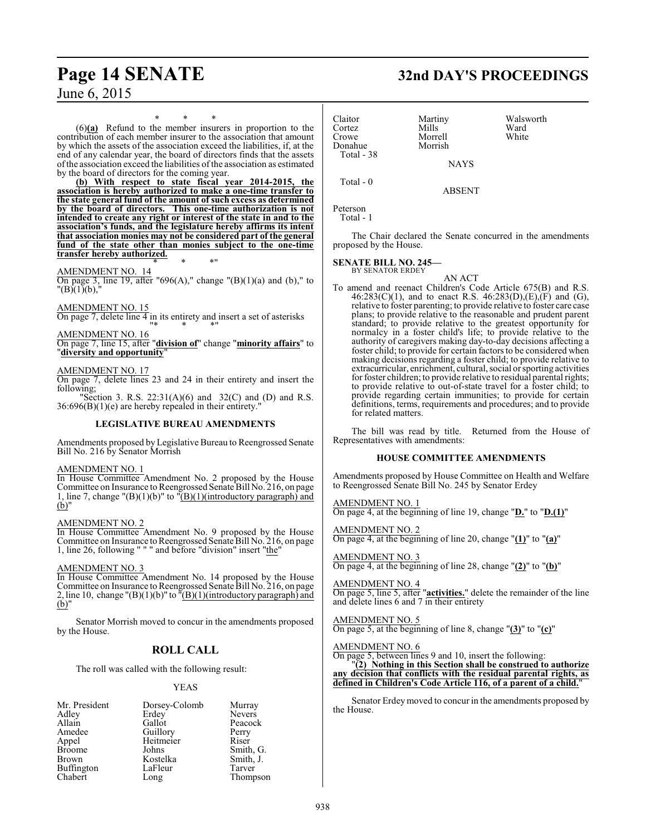## **Page 14 SENATE 32nd DAY'S PROCEEDINGS**

June 6, 2015

\* \* \* (6)**(a)** Refund to the member insurers in proportion to the contribution of each member insurer to the association that amount by which the assets of the association exceed the liabilities, if, at the end of any calendar year, the board of directors finds that the assets ofthe association exceed the liabilities ofthe association as estimated by the board of directors for the coming year.

**(b) With respect to state fiscal year 2014-2015, the association is hereby authorized to make a one-time transfer to the state general fund of the amount of such excess as determined by the board of directors. This one-time authorization is not intended to create any right or interest of the state in and to the association's funds, and the legislature hereby affirms its intent that association monies may not be considered part of the general fund of the state other than monies subject to the one-time transfer hereby authorized.** \* \* \*"

#### AMENDMENT NO. 14

On page 3, line 19, after "696(A)," change " $(B)(1)(a)$  and  $(b)$ ," to  $"({\rm B})(1)(b),"$ 

#### AMENDMENT NO. 15

On page 7, delete line  $\overline{4}$  in its entirety and insert a set of asterisks "\* \* \*"

#### AMENDMENT NO. 16

On page 7, line 15, after "**division of**" change "**minority affairs**" to "**diversity and opportunity**"

#### AMENDMENT NO. 17

On page 7, delete lines 23 and 24 in their entirety and insert the following;

"Section 3. R.S.  $22:31(A)(6)$  and  $32(C)$  and (D) and R.S. 36:696(B)(1)(e) are hereby repealed in their entirety."

#### **LEGISLATIVE BUREAU AMENDMENTS**

Amendments proposed by Legislative Bureau to Reengrossed Senate Bill No. 216 by Senator Morrish

#### AMENDMENT NO. 1

In House Committee Amendment No. 2 proposed by the House Committee on Insurance to Reengrossed Senate Bill No. 216, on page 1, line 7, change " $(B)(1)(b)$ " to " $(B)(1)(introductiony paragraph)$  and (b)"

#### AMENDMENT NO. 2

In House Committee Amendment No. 9 proposed by the House Committee on Insurance to Reengrossed Senate Bill No. 216, on page 1, line 26, following " " " and before "division" insert "the"

#### AMENDMENT NO. 3

In House Committee Amendment No. 14 proposed by the House Committee on Insurance to Reengrossed Senate Bill No. 216, on page 2, line 10, change " $(B)(1)(b)$ " to  $\overline{B}(1)(introductory paragraph)$  and (b)"

Senator Morrish moved to concur in the amendments proposed by the House.

### **ROLL CALL**

The roll was called with the following result:

#### YEAS

| Mr. President | Dorsey-Colomb | Murray        |
|---------------|---------------|---------------|
| Adley         | Erdey         | <b>Nevers</b> |
| Allain        | Gallot        | Peacock       |
| Amedee        | Guillory      | Perry         |
| Appel         | Heitmeier     | Riser         |
| <b>Broome</b> | Johns         | Smith, G.     |
| Brown         | Kostelka      | Smith, J.     |
| Buffington    | LaFleur       | Tarver        |
| Chabert       | Long          | Thompson      |

Claitor Martiny Walsworth<br>Cortez Mills Ward Cortez Mills Ward<br>Crowe Morrell White Morrell<br>Morrish Donahue Total - 38 NAYS Total - 0 ABSENT

```
Peterson
   Total - 1
```
The Chair declared the Senate concurred in the amendments proposed by the House.

## **SENATE BILL NO. 245—** BY SENATOR ERDEY

AN ACT

To amend and reenact Children's Code Article 675(B) and R.S.  $46:283(C)(1)$ , and to enact R.S.  $46:283(D),(E),(F)$  and  $(G)$ , relative to foster parenting; to provide relative to foster care case plans; to provide relative to the reasonable and prudent parent standard; to provide relative to the greatest opportunity for normalcy in a foster child's life; to provide relative to the authority of caregivers making day-to-day decisions affecting a foster child; to provide for certain factors to be considered when making decisions regarding a foster child; to provide relative to extracurricular, enrichment, cultural, social or sporting activities for foster children; to provide relative to residual parental rights; to provide relative to out-of-state travel for a foster child; to provide regarding certain immunities; to provide for certain definitions, terms, requirements and procedures; and to provide for related matters.

The bill was read by title. Returned from the House of Representatives with amendments:

#### **HOUSE COMMITTEE AMENDMENTS**

Amendments proposed by House Committee on Health and Welfare to Reengrossed Senate Bill No. 245 by Senator Erdey

AMENDMENT NO. 1 On page 4, at the beginning of line 19, change "**D.**" to "**D.(1)**"

AMENDMENT NO. 2 On page 4, at the beginning of line 20, change "**(1)**" to "**(a)**"

AMENDMENT NO. 3 On page 4, at the beginning of line 28, change "**(2)**" to "**(b)**"

AMENDMENT NO. 4 On page 5, line 5, after "**activities.**" delete the remainder of the line and delete lines 6 and 7 in their entirety

#### AMENDMENT NO. 5

On page 5, at the beginning of line 8, change "**(3)**" to "**(c)**"

#### AMENDMENT NO. 6

On page 5, between lines 9 and 10, insert the following:

"**(2) Nothing in this Section shall be construed to authorize any decision that conflicts with the residual parental rights, as defined in Children's Code Article 116, of a parent of a child.**"

Senator Erdey moved to concur in the amendments proposed by the House.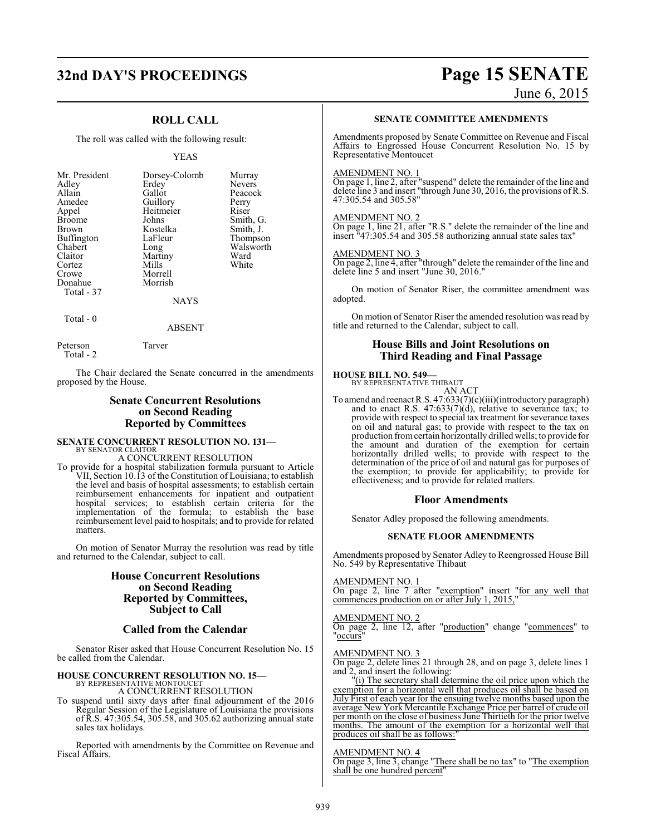## **32nd DAY'S PROCEEDINGS Page 15 SENATE**

## June 6, 2015

## **ROLL CALL**

The roll was called with the following result:

#### YEAS

Smith, G. Smith, J. Thompson Walsworth<br>Ward

| Murray        |
|---------------|
|               |
| <b>Nevers</b> |
| Peacock       |
| Perry         |
| Riser         |
| Smith, C      |
| Smith, J      |
| <b>Thomps</b> |
| Walswo        |
| Ward          |
| White         |
|               |
|               |
|               |
|               |
|               |

 $Total - 0$ 

ABSENT

Peterson Tarver Total - 2

The Chair declared the Senate concurred in the amendments proposed by the House.

#### **Senate Concurrent Resolutions on Second Reading Reported by Committees**

#### **SENATE CONCURRENT RESOLUTION NO. 131—** BY SENATOR CLAITOR

A CONCURRENT RESOLUTION

To provide for a hospital stabilization formula pursuant to Article VII, Section 10.13 of the Constitution of Louisiana; to establish the level and basis of hospital assessments; to establish certain reimbursement enhancements for inpatient and outpatient hospital services; to establish certain criteria for the implementation of the formula; to establish the base reimbursement level paid to hospitals; and to provide for related matters.

On motion of Senator Murray the resolution was read by title and returned to the Calendar, subject to call.

#### **House Concurrent Resolutions on Second Reading Reported by Committees, Subject to Call**

#### **Called from the Calendar**

Senator Riser asked that House Concurrent Resolution No. 15 be called from the Calendar.

#### **HOUSE CONCURRENT RESOLUTION NO. 15—**

BY REPRESENTATIVE MONTOUCET A CONCURRENT RESOLUTION

To suspend until sixty days after final adjournment of the 2016 Regular Session of the Legislature of Louisiana the provisions of R.S. 47:305.54, 305.58, and 305.62 authorizing annual state sales tax holidays.

Reported with amendments by the Committee on Revenue and Fiscal Affairs.

#### **SENATE COMMITTEE AMENDMENTS**

Amendments proposed by Senate Committee on Revenue and Fiscal Affairs to Engrossed House Concurrent Resolution No. 15 by Representative Montoucet

#### AMENDMENT NO. 1

On page 1, line 2, after "suspend" delete the remainder of the line and delete line 3 and insert "through June 30, 2016, the provisions of R.S. 47:305.54 and 305.58"

#### AMENDMENT NO. 2

On page 1, line 21, after "R.S." delete the remainder of the line and insert "47:305.54 and 305.58 authorizing annual state sales tax"

#### AMENDMENT NO. 3

On page 2, line 4, after "through" delete the remainder of the line and delete line 5 and insert "June 30, 2016."

On motion of Senator Riser, the committee amendment was adopted.

On motion of Senator Riser the amended resolution was read by title and returned to the Calendar, subject to call.

#### **House Bills and Joint Resolutions on Third Reading and Final Passage**

## **HOUSE BILL NO. 549—**



To amend and reenact R.S. 47:633(7)(c)(iii)(introductory paragraph) and to enact R.S.  $47:633(7)(d)$ , relative to severance tax; to provide with respect to special tax treatment for severance taxes on oil and natural gas; to provide with respect to the tax on production fromcertain horizontally drilled wells; to provide for the amount and duration of the exemption for certain horizontally drilled wells; to provide with respect to the determination of the price of oil and natural gas for purposes of the exemption; to provide for applicability; to provide for effectiveness; and to provide for related matters.

#### **Floor Amendments**

Senator Adley proposed the following amendments.

#### **SENATE FLOOR AMENDMENTS**

Amendments proposed by Senator Adley to Reengrossed House Bill No. 549 by Representative Thibaut

#### AMENDMENT NO. 1

On page 2, line 7 after "exemption" insert "for any well that commences production on or after July 1, 2015,"

#### AMENDMENT NO. 2

On page 2, line 12, after "production" change "commences" to "occurs"

#### AMENDMENT NO. 3

On page 2, delete lines 21 through 28, and on page 3, delete lines 1 and 2, and insert the following:

"(i) The secretary shall determine the oil price upon which the exemption for a horizontal well that produces oil shall be based on July First of each year for the ensuing twelve months based upon the average New York Mercantile Exchange Price per barrel of crude oil per month on the close of business June Thirtieth for the prior twelve months. The amount of the exemption for a horizontal well that produces oil shall be as follows:

#### AMENDMENT NO. 4

On page 3, line 3, change "There shall be no tax" to "The exemption shall be one hundred percent"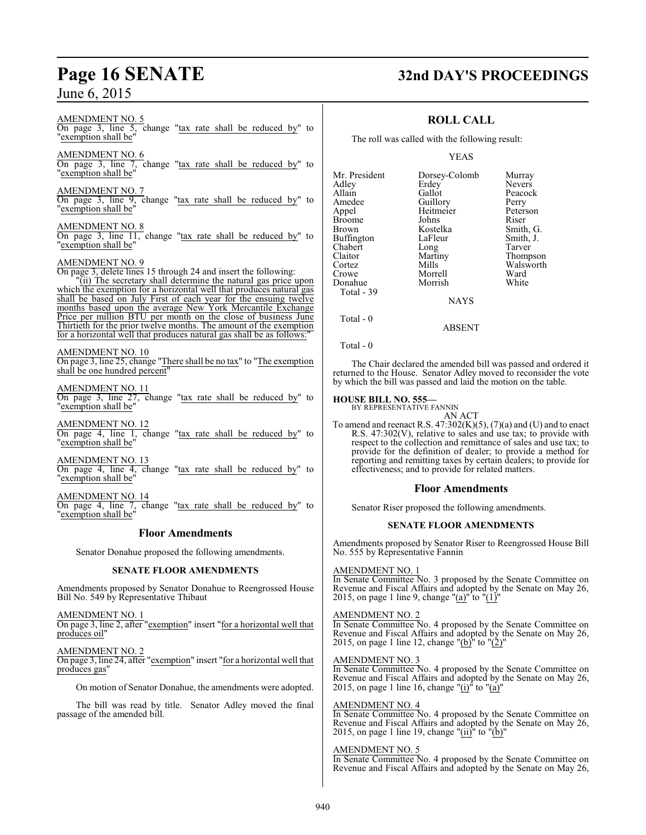# **Page 16 SENATE 32nd DAY'S PROCEEDINGS**

Murray Nevers Peacock<br>Perry

Peterson<br>Riser

Smith, G. Smith, J. Tarver Thompson Walsworth<br>Ward

## **ROLL CALL**

The roll was called with the following result:

#### YEAS

| Mr. President | Dorsey-Colomb   | Murra        |
|---------------|-----------------|--------------|
| Adley         | Erdey           | Never        |
| Allain        | Gallot          | Peaco        |
| Amedee        | Guillory        | Perry        |
| Appel         | Heitmeier       | Peters       |
| Broome        | Johns           | Riser        |
| Brown         | Kostelka        | Smith        |
| Buffington    | LaFleur         | <b>Smith</b> |
| Chabert       | Long            | Tarver       |
| Claitor       | Martiny         | Thom         |
| Cortez        | Mills           | Walsy        |
| Crowe         | Morrell         | Ward         |
| Donahue       | Morrish         | White        |
| Total - 39    |                 |              |
|               | <b>NI A VZC</b> |              |

NAYS

Total - 0

Total - 0

The Chair declared the amended bill was passed and ordered it returned to the House. Senator Adley moved to reconsider the vote by which the bill was passed and laid the motion on the table.

ABSENT

**HOUSE BILL NO. 555—** BY REPRESENTATIVE FANNIN AN ACT

To amend and reenact R.S.  $47:302(K)(5)$ ,  $(7)(a)$  and (U) and to enact R.S. 47:302(V), relative to sales and use tax; to provide with respect to the collection and remittance of sales and use tax; to provide for the definition of dealer; to provide a method for reporting and remitting taxes by certain dealers; to provide for effectiveness; and to provide for related matters.

#### **Floor Amendments**

Senator Riser proposed the following amendments.

#### **SENATE FLOOR AMENDMENTS**

Amendments proposed by Senator Riser to Reengrossed House Bill No. 555 by Representative Fannin

#### AMENDMENT NO. 1

In Senate Committee No. 3 proposed by the Senate Committee on Revenue and Fiscal Affairs and adopted by the Senate on May 26, 2015, on page 1 line 9, change " $(a)$ " to " $(1)'$ 

#### AMENDMENT NO. 2

In Senate Committee No. 4 proposed by the Senate Committee on Revenue and Fiscal Affairs and adopted by the Senate on May 26, 2015, on page 1 line 12, change "(b)" to " $(2)$ "

#### AMENDMENT NO. 3

In Senate Committee No. 4 proposed by the Senate Committee on Revenue and Fiscal Affairs and adopted by the Senate on May 26, 2015, on page 1 line 16, change "(i)" to "(a)"

AMENDMENT NO. 4

In Senate Committee No. 4 proposed by the Senate Committee on Revenue and Fiscal Affairs and adopted by the Senate on May 26, 2015, on page 1 line 19, change "(ii)" to " $(b)$ "

#### AMENDMENT NO. 5

In Senate Committee No. 4 proposed by the Senate Committee on Revenue and Fiscal Affairs and adopted by the Senate on May 26,

On page 3, line 5, change "tax rate shall be reduced by" to "exemption shall be"

AMENDMENT NO. 5

AMENDMENT NO. 6 On page 3, line 7, change "tax rate shall be reduced by" to "exemption shall be"

AMENDMENT NO. 7

On page 3, line 9, change "tax rate shall be reduced by" to "exemption shall be"

#### AMENDMENT NO. 8

On page 3, line 11, change "tax rate shall be reduced by" to 'exemption shall be'

#### AMENDMENT NO. 9

On page 3, delete lines 15 through 24 and insert the following:

"(ii) The secretary shall determine the natural gas price upon which the exemption for a horizontal well that produces natural gas shall be based on July First of each year for the ensuing twelve months based upon the average New York Mercantile Exchange Price per million BTU per month on the close of business June Thirtieth for the prior twelve months. The amount of the exemption for a horizontal well that produces natural gas shall be as follows:

#### AMENDMENT NO. 10

On page 3, line 25, change "There shall be no tax" to "The exemption shall be one hundred percent"

#### AMENDMENT NO. 11

On page 3, line 27, change "tax rate shall be reduced by" to 'exemption shall be'

AMENDMENT NO. 12 On page 4, line 1, change "tax rate shall be reduced by" to "exemption shall be"

AMENDMENT NO. 13 On page 4, line 4, change "tax rate shall be reduced by" to 'exemption shall be'

AMENDMENT NO. 14 On page 4, line 7, change "tax rate shall be reduced by" to "exemption shall be"

#### **Floor Amendments**

Senator Donahue proposed the following amendments.

#### **SENATE FLOOR AMENDMENTS**

Amendments proposed by Senator Donahue to Reengrossed House Bill No. 549 by Representative Thibaut

AMENDMENT NO. 1

On page 3, line 2, after "exemption" insert "for a horizontal well that produces oil"

AMENDMENT NO. 2

On page 3, line 24, after "exemption" insert "for a horizontal well that produces gas"

On motion of Senator Donahue, the amendments were adopted.

The bill was read by title. Senator Adley moved the final passage of the amended bill.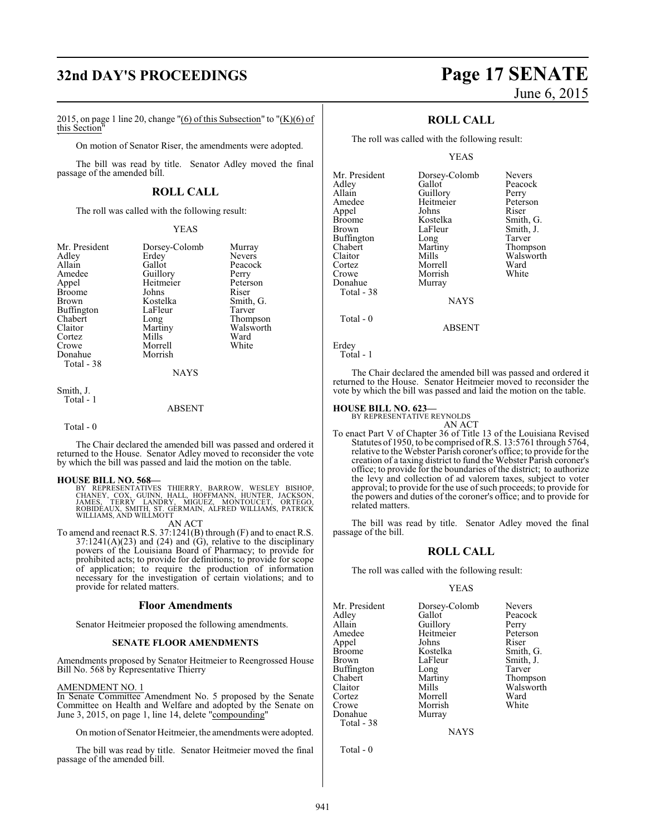## **32nd DAY'S PROCEEDINGS Page 17 SENATE**

2015, on page 1 line 20, change "(6) of this Subsection" to " $(K)(6)$  of this Section" `

On motion of Senator Riser, the amendments were adopted.

The bill was read by title. Senator Adley moved the final passage of the amended bill.

#### **ROLL CALL**

The roll was called with the following result:

#### YEAS

|             | Murray                    |
|-------------|---------------------------|
| Erdey       | <b>Nevers</b>             |
| Gallot      | Peacock                   |
|             | Perry                     |
| Heitmeier   | Peterson                  |
| Johns       | Riser                     |
| Kostelka    | Smith, G.                 |
| LaFleur     | Tarver                    |
| Long        | Thompson                  |
| Martiny     | Walsworth                 |
| Mills       | Ward                      |
| Morrell     | White                     |
| Morrish     |                           |
|             |                           |
| <b>NAYS</b> |                           |
|             | Dorsey-Colomb<br>Guillory |

#### Smith, J. Total - 1

#### ABSENT

Total - 0

The Chair declared the amended bill was passed and ordered it returned to the House. Senator Adley moved to reconsider the vote by which the bill was passed and laid the motion on the table.

**HOUSE BILL NO. 568—**<br>BY REPRESENTATIVES THIERRY, BARROW, WESLEY BISHOP,<br>CHANEY, COX, GUINN, HALL, HOFFMANN, HUNTER, JACKSON,<br>JAMES, TERRY LANDRY, MIGUEZ, MONTOUCET, ORTEGO,<br>ROBIDÉAUX, SMITH, ST. GERMAIN, ALFRED WILLIAMS,

AN ACT

To amend and reenact R.S. 37:1241(B) through (F) and to enact R.S.  $37:1241(A)(23)$  and  $(24)$  and  $(\overrightarrow{G})$ , relative to the disciplinary powers of the Louisiana Board of Pharmacy; to provide for prohibited acts; to provide for definitions; to provide for scope of application; to require the production of information necessary for the investigation of certain violations; and to provide for related matters.

#### **Floor Amendments**

Senator Heitmeier proposed the following amendments.

#### **SENATE FLOOR AMENDMENTS**

Amendments proposed by Senator Heitmeier to Reengrossed House Bill No. 568 by Representative Thierry

#### AMENDMENT NO. 1

In Senate Committee Amendment No. 5 proposed by the Senate Committee on Health and Welfare and adopted by the Senate on June 3, 2015, on page 1, line 14, delete "compounding"

On motion of Senator Heitmeier, the amendments were adopted.

The bill was read by title. Senator Heitmeier moved the final passage of the amended bill.

# June 6, 2015

### **ROLL CALL**

The roll was called with the following result:

#### YEAS

| Mr. President | Dorsey-Colomb | <b>Nevers</b> |
|---------------|---------------|---------------|
| Adley         | Gallot        | Peacock       |
| Allain        | Guillory      | Perry         |
| Amedee        | Heitmeier     | Peterson      |
| Appel         | Johns         | Riser         |
| <b>Broome</b> | Kostelka      | Smith, G.     |
| <b>Brown</b>  | LaFleur       | Smith, J.     |
| Buffington    | Long          | Tarver        |
| Chabert       | Martiny       | Thompson      |
| Claitor       | Mills         | Walsworth     |
| Cortez        | Morrell       | Ward          |
| Crowe         | Morrish       | White         |
| Donahue       | Murray        |               |
| Total - 38    |               |               |
|               | <b>NAYS</b>   |               |
| Total - 0     |               |               |

Erdey

```
 Total - 1
```
The Chair declared the amended bill was passed and ordered it returned to the House. Senator Heitmeier moved to reconsider the vote by which the bill was passed and laid the motion on the table.

ABSENT

#### **HOUSE BILL NO. 623—**

BY REPRESENTATIVE REYNOLDS

AN ACT To enact Part V of Chapter 36 of Title 13 of the Louisiana Revised Statutes of 1950, to be comprised ofR.S. 13:5761 through 5764, relative to the Webster Parish coroner's office; to provide for the creation of a taxing district to fund the Webster Parish coroner's office; to provide for the boundaries of the district; to authorize the levy and collection of ad valorem taxes, subject to voter approval; to provide for the use of such proceeds; to provide for the powers and duties of the coroner's office; and to provide for related matters.

The bill was read by title. Senator Adley moved the final passage of the bill.

#### **ROLL CALL**

The roll was called with the following result:

#### YEAS

| Mr. President | Dorsey-Colomb | <b>Nevers</b> |
|---------------|---------------|---------------|
| Adley         | Gallot        | Peacock       |
| Allain        | Guillory      | Perry         |
| Amedee        | Heitmeier     | Peterson      |
| Appel         | Johns         | Riser         |
| Broome        | Kostelka      | Smith, G.     |
| Brown         | LaFleur       | Smith, J.     |
| Buffington    | Long          | Tarver        |
| Chabert       | Martiny       | Thompson      |
| Claitor       | Mills         | Walsworth     |
| Cortez        | Morrell       | Ward          |
| Crowe         | Morrish       | White         |
| Donahue       | Murray        |               |
| Total - 38    |               |               |
|               |               |               |

**NAYS** 

Total - 0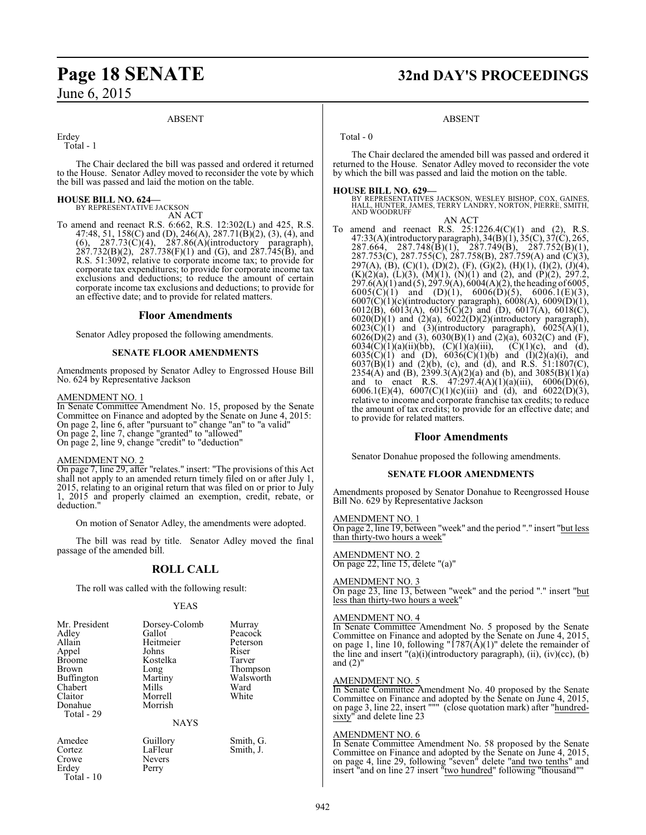#### ABSENT

Erdey

 $Total - 1$ 

The Chair declared the bill was passed and ordered it returned to the House. Senator Adley moved to reconsider the vote by which the bill was passed and laid the motion on the table.

#### **HOUSE BILL NO. 624—**

BY REPRESENTATIVE JACKSON AN ACT

To amend and reenact R.S. 6:662, R.S. 12:302(L) and 425, R.S. 47:48, 51, 158(C) and (D), 246(A), 287.71(B)(2), (3), (4), and  $(6)$ , 287.73 $(\dot{C})(4)$ , 287.86 $(A)($ introductory paragraph),  $287.732(B)(2)$ ,  $287.738(F)(1)$  and (G), and  $287.745(B)$ , and R.S. 51:3092, relative to corporate income tax; to provide for corporate tax expenditures; to provide for corporate income tax exclusions and deductions; to reduce the amount of certain corporate income tax exclusions and deductions; to provide for an effective date; and to provide for related matters.

#### **Floor Amendments**

Senator Adley proposed the following amendments.

#### **SENATE FLOOR AMENDMENTS**

Amendments proposed by Senator Adley to Engrossed House Bill No. 624 by Representative Jackson

#### AMENDMENT NO. 1

In Senate Committee Amendment No. 15, proposed by the Senate Committee on Finance and adopted by the Senate on June 4, 2015: On page 2, line 6, after "pursuant to" change "an" to "a valid" On page 2, line 7, change "granted" to "allowed" On page 2, line 9, change "credit" to "deduction"

#### AMENDMENT NO. 2

On page 7, line 29, after "relates." insert: "The provisions of this Act shall not apply to an amended return timely filed on or after July 1, 2015, relating to an original return that was filed on or prior to July 1, 2015 and properly claimed an exemption, credit, rebate, or deduction.

On motion of Senator Adley, the amendments were adopted.

The bill was read by title. Senator Adley moved the final passage of the amended bill.

## **ROLL CALL**

The roll was called with the following result:

#### YEAS

| Mr. President<br>Adley<br>Allain<br>Appel<br><b>Broome</b><br><b>Brown</b><br>Buffington<br>Chabert<br>Claitor<br>Donahue<br>Total - 29 | Dorsey-Colomb<br>Gallot<br>Heitmeier<br>Johns<br>Kostelka<br>Long<br>Martiny<br>Mills<br>Morrell<br>Morrish | Murray<br>Peacock<br>Peterson<br>Riser<br>Tarver<br>Thompson<br>Walsworth<br>Ward<br>White |
|-----------------------------------------------------------------------------------------------------------------------------------------|-------------------------------------------------------------------------------------------------------------|--------------------------------------------------------------------------------------------|
|                                                                                                                                         | <b>NAYS</b>                                                                                                 |                                                                                            |
|                                                                                                                                         |                                                                                                             |                                                                                            |

Erdey Total - 10

Amedee Guillory Smith, G.<br>Cortez LaFleur Smith, J. Cortez LaFleur Smith, J.<br>Crowe Nevers Nevers<br>Perry

## **Page 18 SENATE 32nd DAY'S PROCEEDINGS**

#### ABSENT

Total - 0

The Chair declared the amended bill was passed and ordered it returned to the House. Senator Adley moved to reconsider the vote by which the bill was passed and laid the motion on the table.

**HOUSE BILL NO. 629—** BY REPRESENTATIVES JACKSON, WESLEY BISHOP, COX, GAINES, HALL, HUNTER, JAMES, TERRY LANDRY, NORTON, PIERRE, SMITH, AND WOODRUFF

AN ACT To amend and reenact R.S. 25:1226.4(C)(1) and (2), R.S. 47:33(A)(introductory paragraph), 34(B)(1), 35(C), 37(C), 265, 287.664, 287.748(B)(1), 287.749(B), 287.752(B)(1), 287.753(C), 287.755(C), 287.758(B), 287.759(A) and (C)(3), 297(A), (B), (C)(1), (D)(2), (F), (G)(2), (H)(1), (I)(2), (J)(4),  $(K)(2)(a)$ ,  $(L)(3)$ ,  $(M)(1)$ ,  $(N)(1)$  and  $(2)$ , and  $(P)(2)$ , 297.2,  $297.6(A)(1)$  and  $(5)$ ,  $297.9(A)$ ,  $6004(A)(2)$ , the heading of 6005,  $6005(C)(1)$  and  $(D)(1)$ ,  $6006(D)(5)$ ,  $6006.1(E)(3)$ , 6007(C)(1)(c)(introductory paragraph), 6008(A), 6009(D)(1), 6012(B), 6013(A), 6015(C)(2) and (D), 6017(A), 6018(C),  $6020(D)(1)$  and  $(2)(a)$ ,  $6022(D)(2)(introductory paragraph)$ ,  $6023(\text{C})(1)$  and  $(3)(\text{introductory paragraph}), 6025(\text{A})(1),$ 6026(D)(2) and (3), 6030(B)(1) and (2)(a), 6032(C) and (F), 6034(C)(1)(a)(ii)(bb), (C)(1)(a)(iii), (C)(1)(c), and (d), 6035(C)(1) and (D), 6036(C)(1)(b) and (I)(2)(a)(i), and  $6037(B)(1)$  and  $(2)(b)$ , (c), and (d), and R.S. 51:1807(C), 2354(A) and (B), 2399.3(A)(2)(a) and (b), and 3085(B)(1)(a) and to enact R.S.  $47:297.4(A)(1)(a)(iii)$ ,  $6006(D)(6)$ , 6006.1(E)(4), 6007(C)(1)(c)(iii) and (d), and 6022(D)(3), relative to income and corporate franchise tax credits; to reduce the amount of tax credits; to provide for an effective date; and to provide for related matters.

#### **Floor Amendments**

Senator Donahue proposed the following amendments.

#### **SENATE FLOOR AMENDMENTS**

Amendments proposed by Senator Donahue to Reengrossed House Bill No. 629 by Representative Jackson

#### AMENDMENT NO. 1

On page 2, line 19, between "week" and the period "." insert "but less than thirty-two hours a week"

#### AMENDMENT NO. 2

On page 22, line 15, delete "(a)"

#### AMENDMENT NO. 3

On page 23, line 13, between "week" and the period "." insert "but less than thirty-two hours a week"

#### AMENDMENT NO. 4

In Senate Committee Amendment No. 5 proposed by the Senate Committee on Finance and adopted by the Senate on June 4, 2015, on page 1, line 10, following " $1787(\text{\AA})(1)$ " delete the remainder of the line and insert  $"({\rm a})$ (i)(introductory paragraph), (ii), (iv)(cc), (b) and (2)"

#### AMENDMENT NO. 5

In Senate Committee Amendment No. 40 proposed by the Senate Committee on Finance and adopted by the Senate on June 4, 2015, on page 3, line 22, insert """ (close quotation mark) after "hundredsixty" and delete line 23

#### AMENDMENT NO. 6

In Senate Committee Amendment No. 58 proposed by the Senate Committee on Finance and adopted by the Senate on June 4, 2015, on page 4, line 29, following "seven" delete "and two tenths" and insert "and on line 27 insert "two hundred" following "thousand""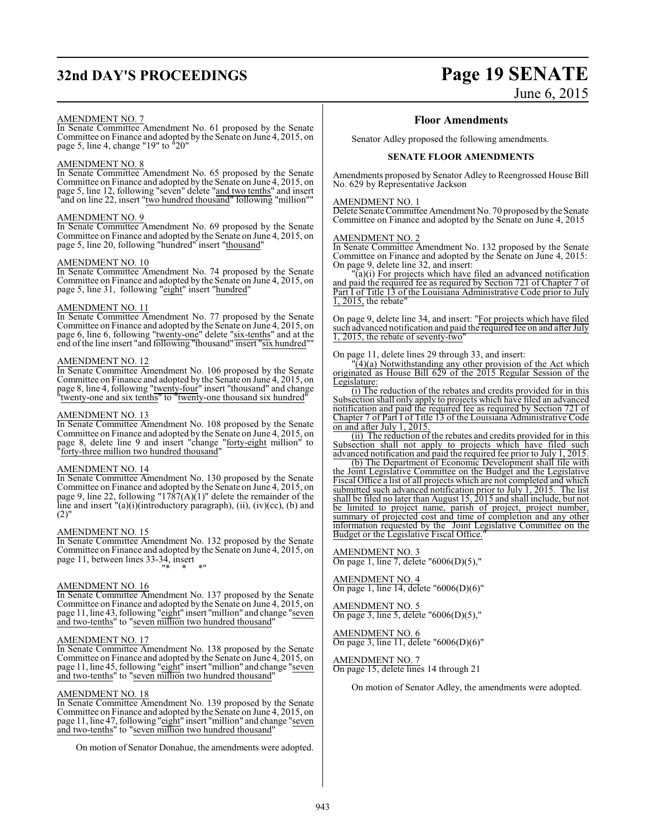## **32nd DAY'S PROCEEDINGS Page 19 SENATE**

# June 6, 2015

#### AMENDMENT NO. 7

In Senate Committee Amendment No. 61 proposed by the Senate Committee on Finance and adopted by the Senate on June 4, 2015, on page 5, line 4, change "19" to "20"

#### AMENDMENT NO. 8

In Senate Committee Amendment No. 65 proposed by the Senate Committee on Finance and adopted by the Senate on June 4, 2015, on page 5, line 12, following "seven" delete "and two tenths" and insert "and on line 22, insert "two hundred thousand" following "million""

#### AMENDMENT NO. 9

In Senate Committee Amendment No. 69 proposed by the Senate Committee on Finance and adopted by the Senate on June 4, 2015, on page 5, line 20, following "hundred" insert "thousand"

#### AMENDMENT NO. 10

In Senate Committee Amendment No. 74 proposed by the Senate Committee on Finance and adopted by the Senate on June 4, 2015, on page 5, line 31, following "eight" insert "hundred"

#### AMENDMENT NO. 11

In Senate Committee Amendment No. 77 proposed by the Senate Committee on Finance and adopted by the Senate on June 4, 2015, on page 6, line 6, following "twenty-one" delete "six-tenths" and at the end of the line insert "and following "thousand" insert "six hundred""

#### AMENDMENT NO. 12

In Senate Committee Amendment No. 106 proposed by the Senate Committee on Finance and adopted by the Senate on June 4, 2015, on page 8, line 4, following "<u>twenty-four</u>" insert "thousand" and change "twenty-one and six tenths" to "twenty-one thousand six hundred"

#### AMENDMENT NO. 13

In Senate Committee Amendment No. 108 proposed by the Senate Committee on Finance and adopted by the Senate on June 4, 2015, on page 8, delete line 9 and insert "change "forty-eight million" to "forty-three million two hundred thousand"

#### AMENDMENT NO. 14

In Senate Committee Amendment No. 130 proposed by the Senate Committee on Finance and adopted by the Senate on June 4, 2015, on page 9, line 22, following "1787(A)(1)" delete the remainder of the line and insert "(a)(i)(introductory paragraph), (ii), (iv)(cc), (b) and  $(2)$ "

#### AMENDMENT NO. 15

In Senate Committee Amendment No. 132 proposed by the Senate Committee on Finance and adopted by the Senate on June 4, 2015, on page 11, between lines 33-34, insert "\* \* \*"

#### AMENDMENT NO. 16

In Senate Committee Amendment No. 137 proposed by the Senate Committee on Finance and adopted by the Senate on June 4, 2015, on page 11, line 43, following "<u>eight</u>" insert "million" and change "<u>seven</u> and two-tenths" to "seven million two hundred thousand"

#### AMENDMENT NO. 17

In Senate Committee Amendment No. 138 proposed by the Senate Committee on Finance and adopted by the Senate on June 4, 2015, on page 11, line 45, following "eight" insert "million" and change "seven and two-tenths" to "seven million two hundred thousand"

#### AMENDMENT NO. 18

In Senate Committee Amendment No. 139 proposed by the Senate Committee on Finance and adopted by the Senate on June 4, 2015, on page 11, line 47, following "eight" insert "million" and change "seven and two-tenths" to "seven million two hundred thousand"

On motion of Senator Donahue, the amendments were adopted.

#### **Floor Amendments**

Senator Adley proposed the following amendments.

#### **SENATE FLOOR AMENDMENTS**

Amendments proposed by Senator Adley to Reengrossed House Bill No. 629 by Representative Jackson

#### AMENDMENT NO. 1

Delete Senate Committee Amendment No. 70 proposed by the Senate Committee on Finance and adopted by the Senate on June 4, 2015

#### AMENDMENT NO. 2

In Senate Committee Amendment No. 132 proposed by the Senate Committee on Finance and adopted by the Senate on June 4, 2015: On page 9, delete line 32, and insert:

"(a)(i) For projects which have filed an advanced notification and paid the required fee as required by Section 721 of Chapter 7 of Part I of Title 13 of the Louisiana Administrative Code prior to July 1, 2015, the rebate"

On page 9, delete line 34, and insert: "For projects which have filed such advanced notification and paid the required fee on and after July 1, 2015, the rebate of seventy-two"

On page 11, delete lines 29 through 33, and insert:

"(4)(a) Notwithstanding any other provision of the Act which originated as House Bill 629 of the 2015 Regular Session of the Legislature:

(i) The reduction of the rebates and credits provided for in this Subsection shall only apply to projects which have filed an advanced notification and paid the required fee as required by Section 721 of Chapter 7 of Part I of Title 13 of the Louisiana Administrative Code on and after July 1, 2015.

(ii) The reduction of the rebates and credits provided for in this Subsection shall not apply to projects which have filed such advanced notification and paid the required fee prior to July 1, 2015.

(b) The Department of Economic Development shall file with the Joint Legislative Committee on the Budget and the Legislative Fiscal Office a list of all projects which are not completed and which submitted such advanced notification prior to July 1, 2015. The list shall be filed no later than August 15, 2015 and shall include, but not be limited to project name, parish of project, project number, summary of projected cost and time of completion and any other information requested by the Joint Legislative Committee on the Budget or the Legislative Fiscal Office."

AMENDMENT NO. 3 On page 1, line 7, delete "6006(D)(5),"

AMENDMENT NO. 4 On page 1, line 14, delete "6006(D)(6)"

AMENDMENT NO. 5 On page 3, line 5, delete "6006(D)(5),"

AMENDMENT NO. 6 On page 3, line 11, delete "6006(D)(6)"

AMENDMENT NO. 7 On page 15, delete lines 14 through 21

On motion of Senator Adley, the amendments were adopted.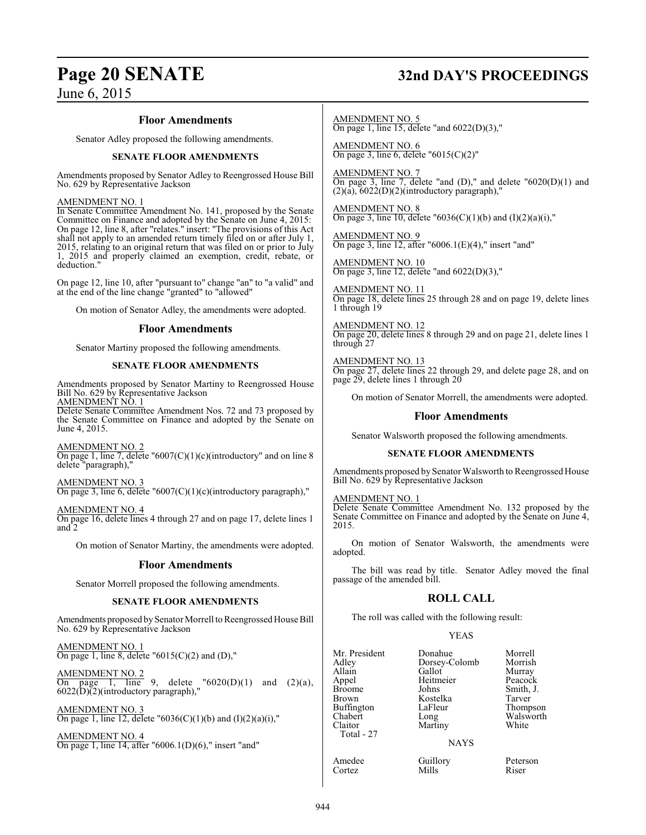# **Page 20 SENATE 32nd DAY'S PROCEEDINGS**

#### **Floor Amendments**

Senator Adley proposed the following amendments.

#### **SENATE FLOOR AMENDMENTS**

Amendments proposed by Senator Adley to Reengrossed House Bill No. 629 by Representative Jackson

#### AMENDMENT NO. 1

In Senate Committee Amendment No. 141, proposed by the Senate Committee on Finance and adopted by the Senate on June 4, 2015: On page 12, line 8, after "relates." insert: "The provisions of this Act shall not apply to an amended return timely filed on or after July 1, 2015, relating to an original return that was filed on or prior to July 1, 2015 and properly claimed an exemption, credit, rebate, or deduction."

On page 12, line 10, after "pursuant to" change "an" to "a valid" and at the end of the line change "granted" to "allowed"

On motion of Senator Adley, the amendments were adopted.

#### **Floor Amendments**

Senator Martiny proposed the following amendments.

#### **SENATE FLOOR AMENDMENTS**

Amendments proposed by Senator Martiny to Reengrossed House Bill No. 629 by Representative Jackson <u>AMENDMENT NO. 1</u>

Delete Senate Committee Amendment Nos. 72 and 73 proposed by the Senate Committee on Finance and adopted by the Senate on June 4, 2015.

#### AMENDMENT NO. 2

On page 1, line 7, delete " $6007(C)(1)(c)$ (introductory" and on line 8 delete "paragraph),"

#### AMENDMENT NO. 3 On page 3, line 6, delete "6007(C)(1)(c)(introductory paragraph),"

AMENDMENT NO. 4 On page 16, delete lines 4 through 27 and on page 17, delete lines 1

and 2

On motion of Senator Martiny, the amendments were adopted.

#### **Floor Amendments**

Senator Morrell proposed the following amendments.

#### **SENATE FLOOR AMENDMENTS**

Amendments proposed by Senator Morrell to Reengrossed House Bill No. 629 by Representative Jackson

AMENDMENT NO. 1 On page 1, line 8, delete " $6015(C)(2)$  and  $(D)$ ,"

AMENDMENT NO. 2 On page 1, line 9, delete  $0.20(D)(1)$  and  $(2)(a)$ , 6022(D)(2)(introductory paragraph),"

AMENDMENT NO. 3 On page 1, line 12, delete "6036(C)(1)(b) and (I)(2)(a)(i),"

AMENDMENT NO. 4 On page 1, line 14, after "6006.1(D)(6)," insert "and" AMENDMENT NO. 5 On page 1, line 15, delete "and  $6022(D)(3)$ ,"

AMENDMENT NO. 6 On page 3, line 6, delete "6015(C)(2)"

AMENDMENT NO. 7 On page 3, line 7, delete "and  $(D)$ ," and delete "6020 $(D)(1)$  and  $(2)(a)$ ,  $6022(D)(2)$ (introductory paragraph),"

AMENDMENT NO. 8 On page 3, line 10, delete "6036(C)(1)(b) and (I)(2)(a)(i),"

AMENDMENT NO. 9 On page 3, line 12, after " $6006.1(E)(4)$ ," insert "and"

AMENDMENT NO. 10 On page 3, line 12, delete "and 6022(D)(3),"

AMENDMENT NO. 11 On page 18, delete lines 25 through 28 and on page 19, delete lines 1 through 19

AMENDMENT NO. 12 On page 20, delete lines 8 through 29 and on page 21, delete lines 1 through 27

AMENDMENT NO. 13 On page 27, delete lines 22 through 29, and delete page 28, and on page 29, delete lines 1 through 20

On motion of Senator Morrell, the amendments were adopted.

#### **Floor Amendments**

Senator Walsworth proposed the following amendments.

#### **SENATE FLOOR AMENDMENTS**

Amendments proposed by Senator Walsworth to Reengrossed House Bill No. 629 by Representative Jackson

AMENDMENT NO. 1

Delete Senate Committee Amendment No. 132 proposed by the Senate Committee on Finance and adopted by the Senate on June 4, 2015.

On motion of Senator Walsworth, the amendments were adopted.

The bill was read by title. Senator Adley moved the final passage of the amended bill.

#### **ROLL CALL**

The roll was called with the following result:

#### YEAS

| Mr. President<br>Adley<br>Allain<br>Appel<br><b>Broome</b><br>Brown<br><b>Buffington</b><br>Chabert<br>Claitor<br>Total - 27 | Donahue<br>Dorsey-Colomb<br>Gallot<br>Heitmeier<br>Johns<br>Kostelka<br>LaFleur<br>Long<br>Martiny | Morrell<br>Morrish<br>Murray<br>Peacock<br>Smith, J.<br>Tarver<br>Thompson<br>Walsworth<br>White |
|------------------------------------------------------------------------------------------------------------------------------|----------------------------------------------------------------------------------------------------|--------------------------------------------------------------------------------------------------|
|                                                                                                                              | <b>NAYS</b>                                                                                        |                                                                                                  |
| Amedee<br>Cartez                                                                                                             | Guillory<br>Mille                                                                                  | Peterson<br>Riser                                                                                |

Amedee Guillory Peterson<br>Cortez Mills Riser Cortez Mills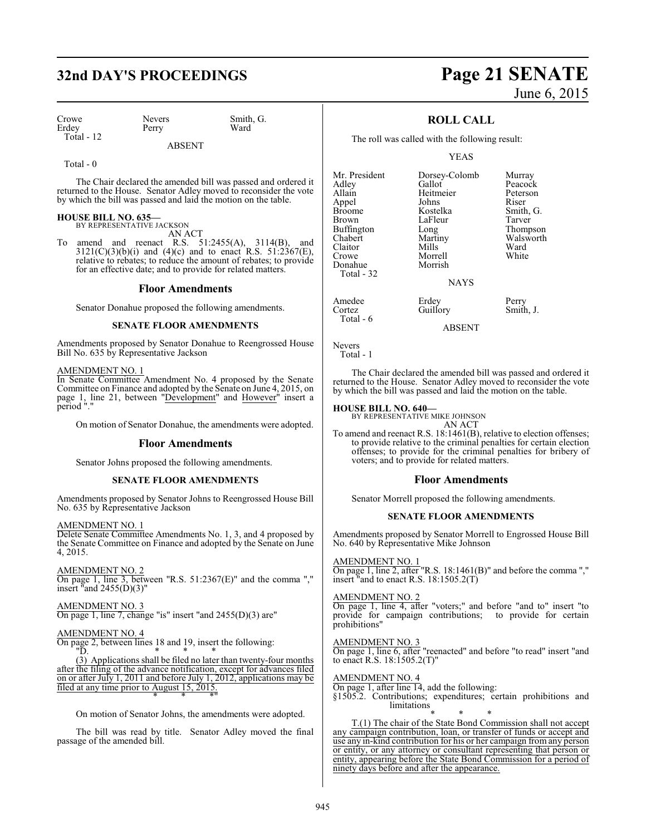## **32nd DAY'S PROCEEDINGS Page 21 SENATE**

Crowe Nevers Smith, G.<br>
Erdey Perry Ward Erdey Total - 12

ABSENT

Total - 0

The Chair declared the amended bill was passed and ordered it returned to the House. Senator Adley moved to reconsider the vote by which the bill was passed and laid the motion on the table.

#### **HOUSE BILL NO. 635—** BY REPRESENTATIVE JACKSON

AN ACT

To amend and reenact R.S. 51:2455(A), 3114(B), and  $3121(C)(3)(b)(i)$  and  $(4)(c)$  and to enact R.S.  $51:2367(E)$ , relative to rebates; to reduce the amount of rebates; to provide for an effective date; and to provide for related matters.

#### **Floor Amendments**

Senator Donahue proposed the following amendments.

#### **SENATE FLOOR AMENDMENTS**

Amendments proposed by Senator Donahue to Reengrossed House Bill No. 635 by Representative Jackson

#### AMENDMENT NO. 1

In Senate Committee Amendment No. 4 proposed by the Senate Committee on Finance and adopted by the Senate on June 4, 2015, on page 1, line 21, between "Development" and However" insert a period "."

On motion of Senator Donahue, the amendments were adopted.

#### **Floor Amendments**

Senator Johns proposed the following amendments.

#### **SENATE FLOOR AMENDMENTS**

Amendments proposed by Senator Johns to Reengrossed House Bill No. 635 by Representative Jackson

#### AMENDMENT NO. 1

Delete Senate Committee Amendments No. 1, 3, and 4 proposed by the Senate Committee on Finance and adopted by the Senate on June 4, 2015.

AMENDMENT NO. 2 On page 1, line 3, between "R.S. 51:2367(E)" and the comma ","

insert "and 2455(D)(3)"

AMENDMENT NO. 3 On page 1, line 7, change "is" insert "and 2455(D)(3) are"

#### AMENDMENT NO. 4

On page 2, between lines 18 and 19, insert the following:  $\sqrt{\frac{m}{n}}$ "D. \* \* \*

(3) Applications shall be filed no later than twenty-four months after the filing of the advance notification, except for advances filed on or after July 1, 2011 and before July 1, 2012, applications may be filed at any time prior to August 15, 2015. \* \* \*"

On motion of Senator Johns, the amendments were adopted.

The bill was read by title. Senator Adley moved the final passage of the amended bill.

# June 6, 2015

#### **ROLL CALL**

The roll was called with the following result:

Morrell<br>Morrish

Guillory

YEAS

Heitmeier Peters<br>Johns Riser

Mr. President Dorsey-Colomb Murray<br>Adley Gallot Peacocl Adley Gallot Peacock Appel Johns<br>Broome Kostelka Broome Kostelka Smith, G.<br>Brown LaFleur Tarver Brown LaFleur<br>Buffington Long Buffington Long Thompson<br>Chabert Martiny Walsworth Chabert Martiny Walsworth<br>Claitor Mills Ward Claitor Mills Ward<br>Crowe Morrell White Donahue Total - 32

Amedee Erdey Perry<br>
Cortez Guillory Smith. J. Total - 6

ABSENT

Nevers Total - 1

The Chair declared the amended bill was passed and ordered it returned to the House. Senator Adley moved to reconsider the vote by which the bill was passed and laid the motion on the table.

**NAYS** 

#### **HOUSE BILL NO. 640—**

BY REPRESENTATIVE MIKE JOHNSON

AN ACT To amend and reenact R.S. 18:1461(B), relative to election offenses; to provide relative to the criminal penalties for certain election offenses; to provide for the criminal penalties for bribery of voters; and to provide for related matters.

#### **Floor Amendments**

Senator Morrell proposed the following amendments.

#### **SENATE FLOOR AMENDMENTS**

Amendments proposed by Senator Morrell to Engrossed House Bill No. 640 by Representative Mike Johnson

#### AMENDMENT NO. 1

 $\overline{On}$  page 1, line 2, after "R.S. 18:1461(B)" and before the comma "," insert "and to enact R.S. 18:1505.2(T)

#### AMENDMENT NO. 2

On page 1, line 4, after "voters;" and before "and to" insert "to provide for campaign contributions; to provide for certain prohibitions"

#### AMENDMENT NO. 3

On page 1, line 6, after "reenacted" and before "to read" insert "and to enact R.S. 18:1505.2(T)"

#### AMENDMENT NO. 4

On page 1, after line 14, add the following:

§1505.2. Contributions; expenditures; certain prohibitions and limitations<sub>1</sub>

\* \* \* T.(1) The chair of the State Bond Commission shall not accept any campaign contribution, loan, or transfer of funds or accept and use any in-kind contribution for his or her campaign from any person or entity, or any attorney or consultant representing that person or entity, appearing before the State Bond Commission for a period of ninety days before and after the appearance.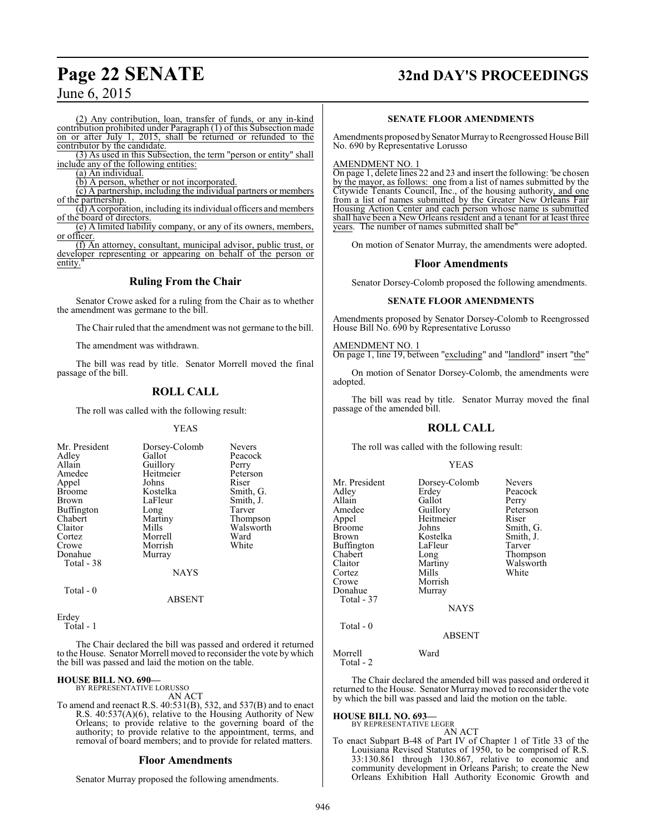## **Page 22 SENATE 32nd DAY'S PROCEEDINGS**

## June 6, 2015

(2) Any contribution, loan, transfer of funds, or any in-kind contribution prohibited under Paragraph (1) of this Subsection made on or after July 1, 2015, shall be returned or refunded to the contributor by the candidate.

(3) As used in this Subsection, the term "person or entity" shall include any of the following entities:

(a) An individual.

(b) A person, whether or not incorporated.

(c) A partnership, including the individual partners or members of the partnership.

(d) A corporation, including its individual officers and members of the board of directors.

(e) A limited liability company, or any of its owners, members, or officer.

(f) An attorney, consultant, municipal advisor, public trust, or developer representing or appearing on behalf of the person or entity.

### **Ruling From the Chair**

Senator Crowe asked for a ruling from the Chair as to whether the amendment was germane to the bill.

The Chair ruled that the amendment was not germane to the bill.

The amendment was withdrawn.

The bill was read by title. Senator Morrell moved the final passage of the bill.

## **ROLL CALL**

The roll was called with the following result:

#### YEAS

| Mr. President     | Dorsey-Colomb | <b>Nevers</b> |
|-------------------|---------------|---------------|
| Adley             | Gallot        | Peacock       |
| Allain            | Guillory      | Perry         |
| Amedee            | Heitmeier     | Peterson      |
| Appel             | Johns         | Riser         |
| <b>Broome</b>     | Kostelka      | Smith, G.     |
| Brown             | LaFleur       | Smith, J.     |
| <b>Buffington</b> | Long          | Tarver        |
| Chabert           | Martiny       | Thompson      |
| Claitor           | Mills         | Walsworth     |
| Cortez            | Morrell       | Ward          |
| Crowe             | Morrish       | White         |
| Donahue           | Murray        |               |
| Total - 38        |               |               |
|                   | <b>NAYS</b>   |               |
| __ _              |               |               |

Total - 0

Erdey Total - 1

The Chair declared the bill was passed and ordered it returned to the House. Senator Morrell moved to reconsider the vote by which the bill was passed and laid the motion on the table.

ABSENT

#### **HOUSE BILL NO. 690—**

BY REPRESENTATIVE LORUSSO

AN ACT

To amend and reenact R.S. 40:531(B), 532, and 537(B) and to enact R.S. 40:537(A)(6), relative to the Housing Authority of New Orleans; to provide relative to the governing board of the authority; to provide relative to the appointment, terms, and removal of board members; and to provide for related matters.

#### **Floor Amendments**

Senator Murray proposed the following amendments.

#### **SENATE FLOOR AMENDMENTS**

Amendments proposed by Senator Murray to Reengrossed House Bill No. 690 by Representative Lorusso

AMENDMENT NO. 1

On page 1, delete lines 22 and 23 and insert the following: 'be chosen by the mayor, as follows: one from a list of names submitted by the Citywide Tenants Council, Inc., of the housing authority, and one from a list of names submitted by the Greater New Orleans Fair Housing Action Center and each person whose name is submitted shall have been a New Orleans resident and a tenant for at least three years. The number of names submitted shall be"

On motion of Senator Murray, the amendments were adopted.

#### **Floor Amendments**

Senator Dorsey-Colomb proposed the following amendments.

#### **SENATE FLOOR AMENDMENTS**

Amendments proposed by Senator Dorsey-Colomb to Reengrossed House Bill No. 690 by Representative Lorusso

AMENDMENT NO. 1 On page 1, line 19, between "excluding" and "landlord" insert "the"

On motion of Senator Dorsey-Colomb, the amendments were adopted.

The bill was read by title. Senator Murray moved the final passage of the amended bill.

#### **ROLL CALL**

The roll was called with the following result:

#### YEAS

| Mr. President | Dorsey-Colomb | <b>Nevers</b> |
|---------------|---------------|---------------|
| Adley         | Erdey         | Peacock       |
| Allain        | Gallot        | Perry         |
| Amedee        | Guillory      | Peterson      |
| Appel         | Heitmeier     | Riser         |
| <b>Broome</b> | Johns         | Smith, G.     |
| Brown         | Kostelka      | Smith, J.     |
| Buffington    | LaFleur       | Tarver        |
| Chabert       | Long          | Thompson      |
| Claitor       | Martiny       | Walsworth     |
| Cortez        | Mills         | White         |
| Crowe         | Morrish       |               |
| Donahue       | Murray        |               |
| Total - 37    |               |               |
|               | <b>NAYS</b>   |               |
| Total - 0     |               |               |
|               | <b>ABSENT</b> |               |
| Morrell       | Ward          |               |

Total - 2

The Chair declared the amended bill was passed and ordered it returned to the House. Senator Murray moved to reconsider the vote by which the bill was passed and laid the motion on the table.

**HOUSE BILL NO. 693—** BY REPRESENTATIVE LEGER

AN ACT

To enact Subpart B-48 of Part IV of Chapter 1 of Title 33 of the Louisiana Revised Statutes of 1950, to be comprised of R.S. 33:130.861 through 130.867, relative to economic and community development in Orleans Parish; to create the New Orleans Exhibition Hall Authority Economic Growth and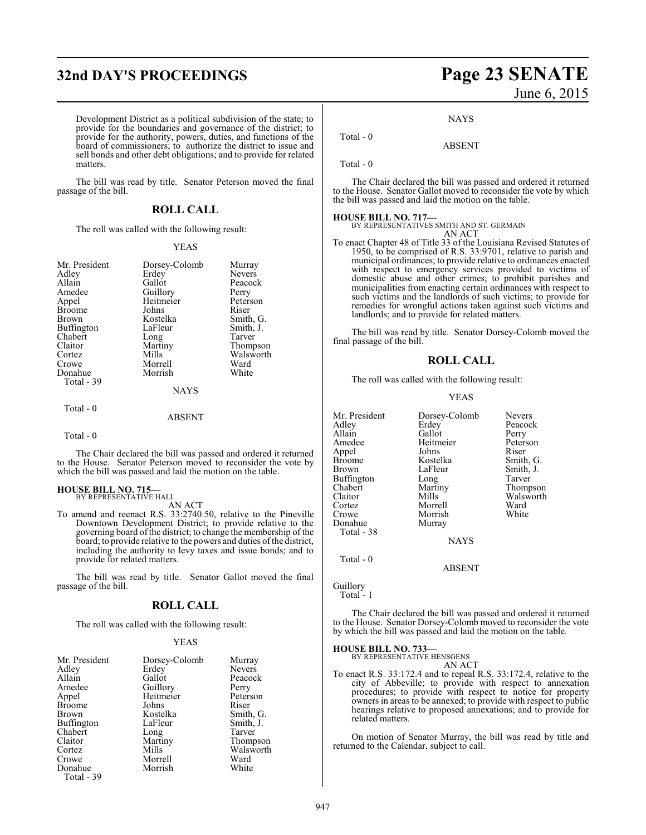## **32nd DAY'S PROCEEDINGS Page 23 SENATE**

June 6, 2015

**NAYS** 

Development District as a political subdivision of the state; to provide for the boundaries and governance of the district; to provide for the authority, powers, duties, and functions of the board of commissioners; to authorize the district to issue and sell bonds and other debt obligations; and to provide for related matters.

The bill was read by title. Senator Peterson moved the final passage of the bill.

#### **ROLL CALL**

The roll was called with the following result:

#### YEAS

| Mr. President<br>Adley<br>Allain<br>Amedee<br>Appel<br><b>Broome</b><br>Brown<br>Buffington<br>Chabert<br>Claitor<br>Cortez<br>Crowe<br>Donahue | Dorsey-Colomb<br>Erdey<br>Gallot<br>Guillory<br>Heitmeier<br>Johns<br>Kostelka<br>LaFleur<br>Long<br>Martiny<br>Mills<br>Morrell<br>Morrish | Murray<br><b>Nevers</b><br>Peacock<br>Perry<br>Peterson<br>Riser<br>Smith, G.<br>Smith, J.<br>Tarver<br>Thompson<br>Walsworth<br>Ward<br>White |
|-------------------------------------------------------------------------------------------------------------------------------------------------|---------------------------------------------------------------------------------------------------------------------------------------------|------------------------------------------------------------------------------------------------------------------------------------------------|
| Total - 39                                                                                                                                      | NAYS                                                                                                                                        |                                                                                                                                                |
| Total - 0                                                                                                                                       |                                                                                                                                             |                                                                                                                                                |

#### ABSENT

#### Total - 0

The Chair declared the bill was passed and ordered it returned to the House. Senator Peterson moved to reconsider the vote by which the bill was passed and laid the motion on the table.

#### **HOUSE BILL NO. 715—** BY REPRESENTATIVE HALL

AN ACT

To amend and reenact R.S. 33:2740.50, relative to the Pineville Downtown Development District; to provide relative to the governing board ofthe district; to change the membership of the board; to provide relative to the powers and duties ofthe district, including the authority to levy taxes and issue bonds; and to provide for related matters.

The bill was read by title. Senator Gallot moved the final passage of the bill.

#### **ROLL CALL**

The roll was called with the following result:

#### YEAS

| Mr. President | Dorsey-Colomb | Murray        |
|---------------|---------------|---------------|
| Adley         | Erdey         | <b>Nevers</b> |
| Allain        | Gallot        | Peacock       |
| Amedee        | Guillory      | Perry         |
| Appel         | Heitmeier     | Peterson      |
| <b>Broome</b> | Johns         | Riser         |
| Brown         | Kostelka      | Smith, G.     |
| Buffington    | LaFleur       | Smith, J.     |
| Chabert       | Long          | Tarver        |
| Claitor       | Martiny       | Thompson      |
| Cortez        | Mills         | Walsworth     |
| Crowe         | Morrell       | Ward          |
| Donahue       | Morrish       | White         |
| Total - 39    |               |               |

# ABSENT

Total - 0

Total - 0

The Chair declared the bill was passed and ordered it returned to the House. Senator Gallot moved to reconsider the vote by which the bill was passed and laid the motion on the table.

**HOUSE BILL NO. 717—** BY REPRESENTATIVES SMITH AND ST. GERMAIN AN ACT

To enact Chapter 48 of Title 33 of the Louisiana Revised Statutes of 1950, to be comprised of R.S. 33:9701, relative to parish and municipal ordinances; to provide relative to ordinances enacted with respect to emergency services provided to victims of domestic abuse and other crimes; to prohibit parishes and municipalities from enacting certain ordinances with respect to such victims and the landlords of such victims; to provide for remedies for wrongful actions taken against such victims and landlords; and to provide for related matters.

The bill was read by title. Senator Dorsey-Colomb moved the final passage of the bill.

#### **ROLL CALL**

The roll was called with the following result:

#### YEAS

| Mr. President     | Dorsey-Colomb | <b>Nevers</b> |
|-------------------|---------------|---------------|
| Adley             | Erdey         | Peacock       |
| Allain            | Gallot        | Perry         |
| Amedee            | Heitmeier     | Peterson      |
| Appel             | Johns         | Riser         |
| <b>Broome</b>     | Kostelka      | Smith, G.     |
| Brown             | LaFleur       | Smith, J.     |
| <b>Buffington</b> | Long          | Tarver        |
| Chabert           | Martiny       | Thompson      |
| Claitor           | Mills         | Walsworth     |
| Cortez            | Morrell       | Ward          |
| Crowe             | Morrish       | White         |
| Donahue           | Murray        |               |
| Total - 38        |               |               |
|                   | <b>NAYS</b>   |               |
| Total - 0         |               |               |

ABSENT

Guillory

Total - 1

The Chair declared the bill was passed and ordered it returned to the House. Senator Dorsey-Colomb moved to reconsider the vote by which the bill was passed and laid the motion on the table.

#### **HOUSE BILL NO. 733—**

BY REPRESENTATIVE HENSGENS AN ACT

To enact R.S. 33:172.4 and to repeal R.S. 33:172.4, relative to the city of Abbeville; to provide with respect to annexation procedures; to provide with respect to notice for property owners in areas to be annexed; to provide with respect to public hearings relative to proposed annexations; and to provide for related matters.

On motion of Senator Murray, the bill was read by title and returned to the Calendar, subject to call.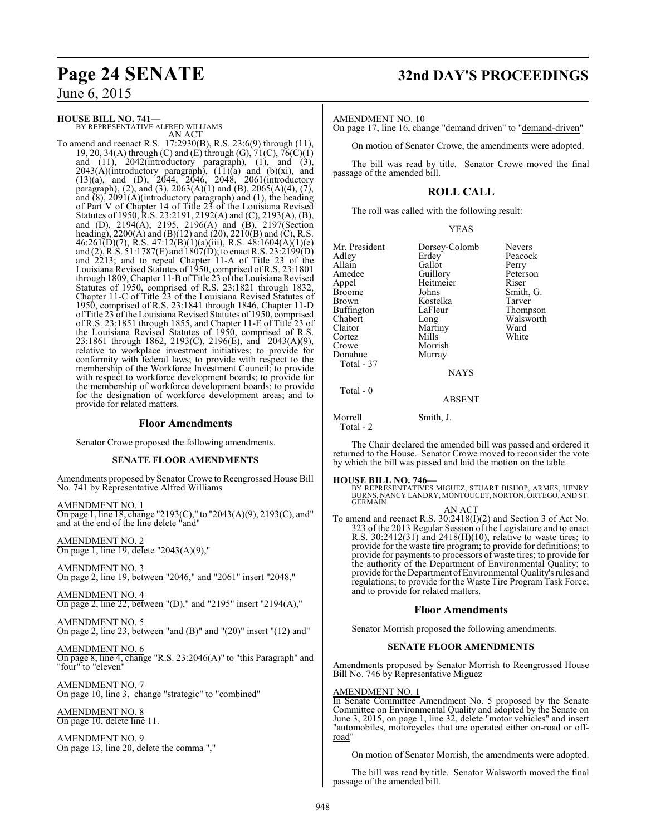#### **HOUSE BILL NO. 741—**

BY REPRESENTATIVE ALFRED WILLIAMS AN ACT

To amend and reenact R.S. 17:2930(B), R.S. 23:6(9) through (11), 19, 20, 34(A) through (C) and (E) through (G),  $71(C)$ ,  $76(C)(1)$ and (11), 2042(introductory paragraph), (1), and (3),  $2043(A)$ (introductory paragraph),  $(11)(a)$  and  $(b)(xi)$ , and (13)(a), and (D), 2044, 2046, 2048, 2061(introductory paragraph), (2), and (3), 2063(A)(1) and (B), 2065(A)(4), (7), and  $(8)$ , 2091(A)(introductory paragraph) and (1), the heading of Part V of Chapter 14 of Title 23 of the Louisiana Revised Statutes of 1950, R.S. 23:2191, 2192(A) and (C), 2193(A), (B), and (D), 2194(A), 2195, 2196(A) and (B), 2197(Section heading), 2200(A) and (B)(12) and (20), 2210(B) and (C), R.S. 46:261(D)(7), R.S. 47:12(B)(1)(a)(iii), R.S. 48:1604(A)(1)(e) and (2), R.S. 51:1787(E) and 1807(D); to enact R.S. 23:2199(D) and 2213; and to repeal Chapter 11-A of Title 23 of the Louisiana Revised Statutes of 1950, comprised of R.S. 23:1801 through 1809, Chapter 11-B ofTitle 23 ofthe Louisiana Revised Statutes of 1950, comprised of R.S. 23:1821 through 1832, Chapter 11-C of Title 23 of the Louisiana Revised Statutes of 1950, comprised of R.S. 23:1841 through 1846, Chapter 11-D ofTitle 23 ofthe Louisiana Revised Statutes of 1950, comprised of R.S. 23:1851 through 1855, and Chapter 11-E of Title 23 of the Louisiana Revised Statutes of 1950, comprised of R.S. 23:1861 through 1862, 2193(C), 2196(E), and 2043(A)(9), relative to workplace investment initiatives; to provide for conformity with federal laws; to provide with respect to the membership of the Workforce Investment Council; to provide with respect to workforce development boards; to provide for the membership of workforce development boards; to provide for the designation of workforce development areas; and to provide for related matters.

#### **Floor Amendments**

Senator Crowe proposed the following amendments.

#### **SENATE FLOOR AMENDMENTS**

Amendments proposed by Senator Crowe to Reengrossed House Bill No. 741 by Representative Alfred Williams

AMENDMENT NO. 1 On page 1, line 18, change "2193(C)," to "2043(A)(9), 2193(C), and" and at the end of the line delete "and"

AMENDMENT NO. 2 On page 1, line 19, delete "2043(A)(9),"

AMENDMENT NO. 3 On page 2, line 19, between "2046," and "2061" insert "2048,"

AMENDMENT NO. 4 On page 2, line 22, between "(D)," and "2195" insert "2194(A),"

AMENDMENT NO. 5 On page 2, line 23, between "and (B)" and "(20)" insert "(12) and"

AMENDMENT NO. 6 On page 8, line 4, change "R.S. 23:2046(A)" to "this Paragraph" and "four" to "eleven"

AMENDMENT NO. 7 On page 10, line 3, change "strategic" to "combined"

AMENDMENT NO. 8 On page 10, delete line 11.

AMENDMENT NO. 9 On page 13, line 20, delete the comma ","

## **Page 24 SENATE 32nd DAY'S PROCEEDINGS**

AMENDMENT NO. 10

On page 17, line 16, change "demand driven" to "demand-driven"

On motion of Senator Crowe, the amendments were adopted.

The bill was read by title. Senator Crowe moved the final passage of the amended bill.

## **ROLL CALL**

The roll was called with the following result:

| <b>NAYS</b> | Mr. President<br>Adley<br>Allain<br>Amedee<br>Appel<br><b>Broome</b><br><b>Brown</b><br>Buffington<br>Chabert<br>Claitor<br>Cortez<br>Crowe<br>Donahue<br>Total - 37 | Dorsey-Colomb<br>Erdey<br>Gallot<br>Guillory<br>Heitmeier<br>Johns<br>Kostelka<br>LaFleur<br>Long<br>Martiny<br>Mills<br>Morrish<br>Murray | <b>Nevers</b><br>Peacock<br>Perry<br>Peterson<br>Riser<br>Smith, G.<br>Tarver<br>Thompson<br>Walsworth<br>Ward<br>White |
|-------------|----------------------------------------------------------------------------------------------------------------------------------------------------------------------|--------------------------------------------------------------------------------------------------------------------------------------------|-------------------------------------------------------------------------------------------------------------------------|
| Total - 0   |                                                                                                                                                                      |                                                                                                                                            |                                                                                                                         |

Morrell Smith, J. Total - 2

The Chair declared the amended bill was passed and ordered it returned to the House. Senator Crowe moved to reconsider the vote by which the bill was passed and laid the motion on the table.

ABSENT

**HOUSE BILL NO. 746—**<br>BY REPRESENTATIVES MIGUEZ, STUART BISHOP, ARMES, HENRY<br>BURNS, NANCY LANDRY, MONTOUCET, NORTON, ORTEGO, AND ST.<br>GERMAIN

AN ACT To amend and reenact R.S. 30:2418(I)(2) and Section 3 of Act No. 323 of the 2013 Regular Session of the Legislature and to enact R.S. 30:2412(31) and 2418(H)(10), relative to waste tires; to provide for the waste tire program; to provide for definitions; to provide for payments to processors of waste tires; to provide for the authority of the Department of Environmental Quality; to provide for the Department of Environmental Quality's rules and regulations; to provide for the Waste Tire Program Task Force; and to provide for related matters.

#### **Floor Amendments**

Senator Morrish proposed the following amendments.

#### **SENATE FLOOR AMENDMENTS**

Amendments proposed by Senator Morrish to Reengrossed House Bill No. 746 by Representative Miguez

#### AMENDMENT NO. 1

In Senate Committee Amendment No. 5 proposed by the Senate Committee on Environmental Quality and adopted by the Senate on June 3, 2015, on page 1, line 32, delete "motor vehicles" and insert "automobiles, motorcycles that are operated either on-road or offroad"

On motion of Senator Morrish, the amendments were adopted.

The bill was read by title. Senator Walsworth moved the final passage of the amended bill.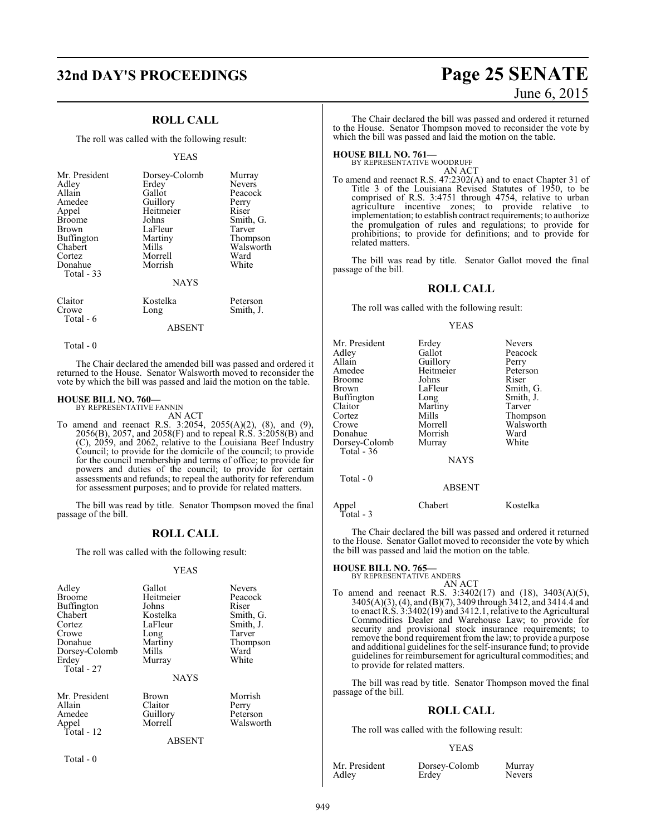## **32nd DAY'S PROCEEDINGS Page 25 SENATE**

### **ROLL CALL**

The roll was called with the following result:

#### YEAS

| Dorsey-Colomb<br>Erdey<br>Gallot<br>Guillory<br>Heitmeier<br>Johns<br>LaFleur<br>Martiny<br>Mills<br>Morrell<br>Morrish | Murray<br><b>Nevers</b><br>Peacock<br>Perry<br>Riser<br>Smith, G.<br>Tarver<br>Thompson<br>Walsworth<br>Ward<br>White |
|-------------------------------------------------------------------------------------------------------------------------|-----------------------------------------------------------------------------------------------------------------------|
| Kostelka                                                                                                                | Peterson<br>Smith, J.                                                                                                 |
|                                                                                                                         | <b>NAYS</b><br>Long                                                                                                   |

ABSENT

Total - 0

Total - 6

The Chair declared the amended bill was passed and ordered it returned to the House. Senator Walsworth moved to reconsider the vote by which the bill was passed and laid the motion on the table.

#### **HOUSE BILL NO. 760—**

BY REPRESENTATIVE FANNIN AN ACT

To amend and reenact R.S. 3:2054, 2055(A)(2), (8), and (9), 2056(B), 2057, and 2058(F) and to repeal R.S. 3:2058(B) and (C), 2059, and 2062, relative to the Louisiana Beef Industry Council; to provide for the domicile of the council; to provide for the council membership and terms of office; to provide for powers and duties of the council; to provide for certain assessments and refunds; to repeal the authority for referendum for assessment purposes; and to provide for related matters.

The bill was read by title. Senator Thompson moved the final passage of the bill.

#### **ROLL CALL**

The roll was called with the following result:

#### YEAS

| Adley         | Gallot      | <b>Nevers</b> |
|---------------|-------------|---------------|
| <b>Broome</b> | Heitmeier   | Peacock       |
| Buffington    | Johns       | Riser         |
| Chabert       | Kostelka    | Smith, G.     |
| Cortez        | LaFleur     | Smith, J.     |
| Crowe         | Long        | Tarver        |
| Donahue       | Martiny     | Thompson      |
| Dorsey-Colomb | Mills       | Ward          |
| Erdey         | Murray      | White         |
| Total - 27    |             |               |
|               | <b>NAYS</b> |               |
| Mr. President | Brown       | Morrish       |
| Allain        | Claitor     | Perry         |
| Amedee        | Guillory    | Peterson      |
| Appel         | Morrell     | Walsworth     |

#### ABSENT

Total - 0

Total - 12

# June 6, 2015

The Chair declared the bill was passed and ordered it returned to the House. Senator Thompson moved to reconsider the vote by which the bill was passed and laid the motion on the table.

## **HOUSE BILL NO. 761—** BY REPRESENTATIVE WOODRUFF

AN ACT

To amend and reenact R.S. 47:2302(A) and to enact Chapter 31 of Title 3 of the Louisiana Revised Statutes of 1950, to be comprised of R.S. 3:4751 through 4754, relative to urban agriculture incentive zones; to provide relative to implementation; to establish contract requirements; to authorize the promulgation of rules and regulations; to provide for prohibitions; to provide for definitions; and to provide for related matters.

The bill was read by title. Senator Gallot moved the final passage of the bill.

#### **ROLL CALL**

The roll was called with the following result:

#### YEAS

| Mr. President<br>Adley<br>Allain<br>Amedee<br>Broome<br>Brown<br>Buffington<br>Claitor<br>Cortez<br>Crowe<br>Donahue<br>Dorsey-Colomb<br>Total - 36<br>Total - 0 | Erdey<br>Gallot<br>Guillory<br>Heitmeier<br>Johns<br>LaFleur<br>Long<br>Martiny<br>Mills<br>Morrell<br>Morrish<br>Murray<br><b>NAYS</b> | <b>Nevers</b><br>Peacock<br>Perry<br>Peterson<br>Riser<br>Smith, G.<br>Smith, J.<br>Tarver<br>Thompson<br>Walsworth<br>Ward<br>White |
|------------------------------------------------------------------------------------------------------------------------------------------------------------------|-----------------------------------------------------------------------------------------------------------------------------------------|--------------------------------------------------------------------------------------------------------------------------------------|
|                                                                                                                                                                  | <b>ABSENT</b>                                                                                                                           |                                                                                                                                      |
| Appel<br>Total - 3                                                                                                                                               | Chabert                                                                                                                                 | Kostelka                                                                                                                             |

The Chair declared the bill was passed and ordered it returned to the House. Senator Gallot moved to reconsider the vote by which the bill was passed and laid the motion on the table.

## **HOUSE BILL NO. 765—** BY REPRESENTATIVE ANDERS

AN ACT

To amend and reenact R.S. 3:3402(17) and (18), 3403(A)(5), 3405(A)(3), (4), and (B)(7), 3409 through 3412, and 3414.4 and to enact R.S. 3:3402(19) and 3412.1, relative to the Agricultural Commodities Dealer and Warehouse Law; to provide for security and provisional stock insurance requirements; to remove the bond requirement from the law; to provide a purpose and additional guidelines for the self-insurance fund; to provide guidelines for reimbursement for agricultural commodities; and to provide for related matters.

The bill was read by title. Senator Thompson moved the final passage of the bill.

#### **ROLL CALL**

The roll was called with the following result:

#### YEAS

|       | Mr. President |  |
|-------|---------------|--|
| Adley |               |  |

Dorsey-Colomb Murray<br>Frdev Nevers Erdey<sup>1</sup>

949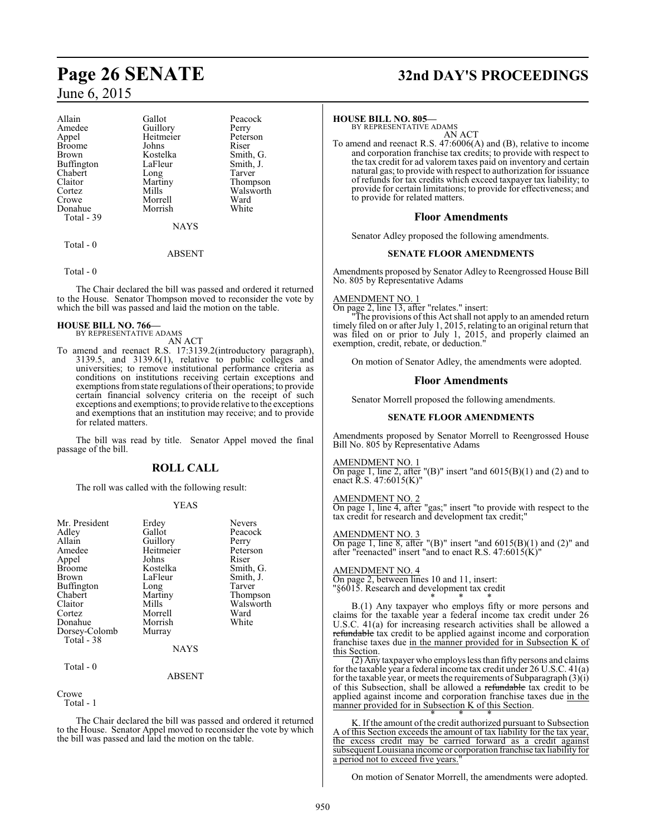| Allain        | Gallot    | Peacock   |
|---------------|-----------|-----------|
| Amedee        | Guillory  | Perry     |
| Appel         | Heitmeier | Peterson  |
| <b>Broome</b> | Johns     | Riser     |
| <b>Brown</b>  | Kostelka  | Smith, G. |
| Buffington    | LaFleur   | Smith, J. |
| Chabert       | Long      | Tarver    |
| Claitor       | Martiny   | Thompson  |
| Cortez        | Mills     | Walsworth |
| Crowe         | Morrell   | Ward      |
| Donahue       | Morrish   | White     |
| Total - 39    |           |           |
|               | NAVC      |           |

NAYS

#### ABSENT

Total - 0

Total - 0

The Chair declared the bill was passed and ordered it returned to the House. Senator Thompson moved to reconsider the vote by which the bill was passed and laid the motion on the table.

#### **HOUSE BILL NO. 766—** BY REPRESENTATIVE ADAMS

AN ACT

To amend and reenact R.S. 17:3139.2(introductory paragraph), 3139.5, and 3139.6(1), relative to public colleges and universities; to remove institutional performance criteria as conditions on institutions receiving certain exceptions and exemptions from state regulations of their operations; to provide certain financial solvency criteria on the receipt of such exceptions and exemptions; to provide relative to the exceptions and exemptions that an institution may receive; and to provide for related matters.

The bill was read by title. Senator Appel moved the final passage of the bill.

#### **ROLL CALL**

The roll was called with the following result:

#### YEAS

| Mr. President<br>Adley<br>Allain<br>Amedee<br>Appel<br><b>Broome</b><br><b>Brown</b><br>Buffington<br>Chabert<br>Claitor<br>Cortez<br>Donahue<br>Dorsey-Colomb<br>Total - 38 | Erdey<br>Gallot<br>Guillory<br>Heitmeier<br>Johns<br>Kostelka<br>LaFleur<br>Long<br>Martiny<br>Mills<br>Morrell<br>Morrish<br>Murray | <b>Nevers</b><br>Peacock<br>Perry<br>Peterson<br>Riser<br>Smith, G.<br>Smith, J.<br>Tarver<br>Thompson<br>Walsworth<br>Ward<br>White |
|------------------------------------------------------------------------------------------------------------------------------------------------------------------------------|--------------------------------------------------------------------------------------------------------------------------------------|--------------------------------------------------------------------------------------------------------------------------------------|
|                                                                                                                                                                              | <b>NAYS</b>                                                                                                                          |                                                                                                                                      |

Total - 0

Crowe Total - 1

The Chair declared the bill was passed and ordered it returned to the House. Senator Appel moved to reconsider the vote by which the bill was passed and laid the motion on the table.

ABSENT

## **Page 26 SENATE 32nd DAY'S PROCEEDINGS**

#### **HOUSE BILL NO. 805—**

BY REPRESENTATIVE ADAMS AN ACT

To amend and reenact R.S. 47:6006(A) and (B), relative to income and corporation franchise tax credits; to provide with respect to the tax credit for ad valorem taxes paid on inventory and certain natural gas; to provide with respect to authorization for issuance of refunds for tax credits which exceed taxpayer tax liability; to provide for certain limitations; to provide for effectiveness; and to provide for related matters.

#### **Floor Amendments**

Senator Adley proposed the following amendments.

#### **SENATE FLOOR AMENDMENTS**

Amendments proposed by Senator Adley to Reengrossed House Bill No. 805 by Representative Adams

#### AMENDMENT NO. 1

On page 2, line 13, after "relates." insert:

"The provisions of this Act shall not apply to an amended return timely filed on or after July 1, 2015, relating to an original return that was filed on or prior to July 1, 2015, and properly claimed an exemption, credit, rebate, or deduction."

On motion of Senator Adley, the amendments were adopted.

#### **Floor Amendments**

Senator Morrell proposed the following amendments.

#### **SENATE FLOOR AMENDMENTS**

Amendments proposed by Senator Morrell to Reengrossed House Bill No. 805 by Representative Adams

#### AMENDMENT NO. 1

On page 1, line 2, after "(B)" insert "and  $6015(B)(1)$  and (2) and to enact  $\overline{R}$ .S. 47:6015(K)"

AMENDMENT NO. 2 On page 1, line 4, after "gas;" insert "to provide with respect to the tax credit for research and development tax credit;"

AMENDMENT NO. 3 On page 1, line 8, after "(B)" insert "and 6015(B)(1) and (2)" and after "reenacted" insert "and to enact R.S.  $47:6015(K)$ "

#### AMENDMENT NO. 4

On page 2, between lines 10 and 11, insert: "§6015. Research and development tax credit \* \* \*

B.(1) Any taxpayer who employs fifty or more persons and claims for the taxable year a federal income tax credit under 26 U.S.C. 41(a) for increasing research activities shall be allowed a refundable tax credit to be applied against income and corporation franchise taxes due in the manner provided for in Subsection K of this Section.

 $\overline{(2)$  Any taxpayer who employs less than fifty persons and claims for the taxable year a federal income tax credit under 26 U.S.C. 41(a) for the taxable year, or meets the requirements of Subparagraph (3)(i) of this Subsection, shall be allowed a refundable tax credit to be applied against income and corporation franchise taxes due in the manner provided for in Subsection K of this Section.

\* \* \* K. If the amount of the credit authorized pursuant to Subsection A of this Section exceeds the amount of tax liability for the tax year, the excess credit may be carried forward as a credit against subsequent Louisiana income or corporation franchise tax liability for a period not to exceed five years."

On motion of Senator Morrell, the amendments were adopted.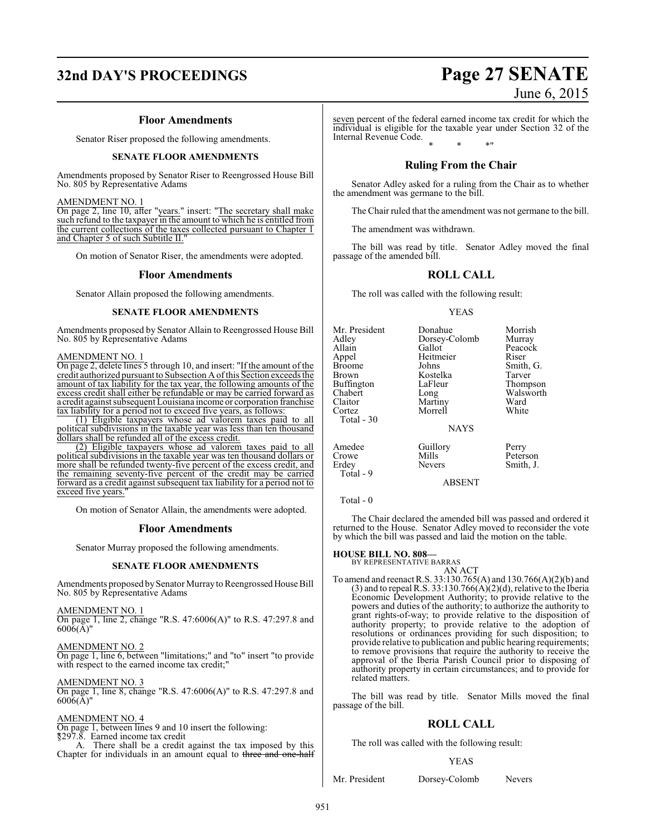## **32nd DAY'S PROCEEDINGS Page 27 SENATE**

#### **Floor Amendments**

Senator Riser proposed the following amendments.

#### **SENATE FLOOR AMENDMENTS**

Amendments proposed by Senator Riser to Reengrossed House Bill No. 805 by Representative Adams

#### AMENDMENT NO. 1

On page 2, line 10, after "years." insert: "The secretary shall make such refund to the taxpayer in the amount to which he is entitled from the current collections of the taxes collected pursuant to Chapter 1 and Chapter 5 of such Subtitle II.

On motion of Senator Riser, the amendments were adopted.

#### **Floor Amendments**

Senator Allain proposed the following amendments.

#### **SENATE FLOOR AMENDMENTS**

Amendments proposed by Senator Allain to Reengrossed House Bill No. 805 by Representative Adams

#### AMENDMENT NO. 1

On page 2, delete lines 5 through 10, and insert: "If the amount of the credit authorized pursuant to Subsection A ofthis Section exceeds the amount of tax liability for the tax year, the following amounts of the excess credit shall either be refundable or may be carried forward as a credit against subsequent Louisiana income or corporation franchise tax liability for a period not to exceed five years, as follows:

(1) Eligible taxpayers whose ad valorem taxes paid to all political subdivisions in the taxable year was less than ten thousand dollars shall be refunded all of the excess credit.

(2) Eligible taxpayers whose ad valorem taxes paid to all political subdivisions in the taxable year was ten thousand dollars or more shall be refunded twenty-five percent of the excess credit, and the remaining seventy-five percent of the credit may be carried forward as a credit against subsequent tax liability for a period not to exceed five years."

On motion of Senator Allain, the amendments were adopted.

#### **Floor Amendments**

Senator Murray proposed the following amendments.

#### **SENATE FLOOR AMENDMENTS**

Amendments proposed by Senator Murray to Reengrossed House Bill No. 805 by Representative Adams

AMENDMENT NO. 1

On page 1, line 2, change "R.S. 47:6006(A)" to R.S. 47:297.8 and 6006(A)"

AMENDMENT NO. 2

On page 1, line 6, between "limitations;" and "to" insert "to provide with respect to the earned income tax credit;"

AMENDMENT NO. 3

On page 1, line 8, change "R.S. 47:6006(A)" to R.S. 47:297.8 and  $6006(A)$ "

#### AMENDMENT NO. 4

On page 1, between lines 9 and 10 insert the following:  $§297.\overline{8}$ . Earned income tax credit<br>A. There shall be a credit

There shall be a credit against the tax imposed by this Chapter for individuals in an amount equal to three and one-half seven percent of the federal earned income tax credit for which the individual is eligible for the taxable year under Section 32 of the Internal Revenue Code. \* \* \*"

#### **Ruling From the Chair**

Senator Adley asked for a ruling from the Chair as to whether the amendment was germane to the bill.

The Chair ruled that the amendment was not germane to the bill.

The amendment was withdrawn.

The bill was read by title. Senator Adley moved the final passage of the amended bill.

### **ROLL CALL**

The roll was called with the following result:

#### YEAS

| Mr. President<br>Adlev<br>Allain<br>Appel<br><b>Broome</b><br>Brown<br>Buffington | Donahue<br>Dorsey-Colomb<br>Gallot<br>Heitmeier<br>Johns<br>Kostelka<br>LaFleur | Morrish<br>Murray<br>Peacock<br>Riser<br>Smith, G.<br>Tarver<br>Thompson |
|-----------------------------------------------------------------------------------|---------------------------------------------------------------------------------|--------------------------------------------------------------------------|
| Chabert<br>Claitor<br>Cortez<br>Total - 30                                        | Long<br>Martiny<br>Morrell                                                      | Walsworth<br>Ward<br>White                                               |
|                                                                                   | <b>NAYS</b>                                                                     |                                                                          |
| Amedee<br>Crowe<br>Erdey                                                          | Guillory<br>Mills<br><b>Nevers</b>                                              | Perry<br>Peterson<br>Smith, J.                                           |

ABSENT

Total - 9

The Chair declared the amended bill was passed and ordered it returned to the House. Senator Adley moved to reconsider the vote by which the bill was passed and laid the motion on the table.

#### **HOUSE BILL NO. 808—**

BY REPRESENTATIVE BARRAS AN ACT

To amend and reenact R.S. 33:130.765(A) and 130.766(A)(2)(b) and  $(3)$  and to repeal R.S. 33:130.766 $(A)(2)(d)$ , relative to the Iberia Economic Development Authority; to provide relative to the powers and duties of the authority; to authorize the authority to grant rights-of-way; to provide relative to the disposition of authority property; to provide relative to the adoption of resolutions or ordinances providing for such disposition; to provide relative to publication and public hearing requirements; to remove provisions that require the authority to receive the approval of the Iberia Parish Council prior to disposing of authority property in certain circumstances; and to provide for related matters.

The bill was read by title. Senator Mills moved the final passage of the bill.

#### **ROLL CALL**

The roll was called with the following result:

#### YEAS

Mr. President Dorsey-Colomb Nevers

# June 6, 2015

Total - 0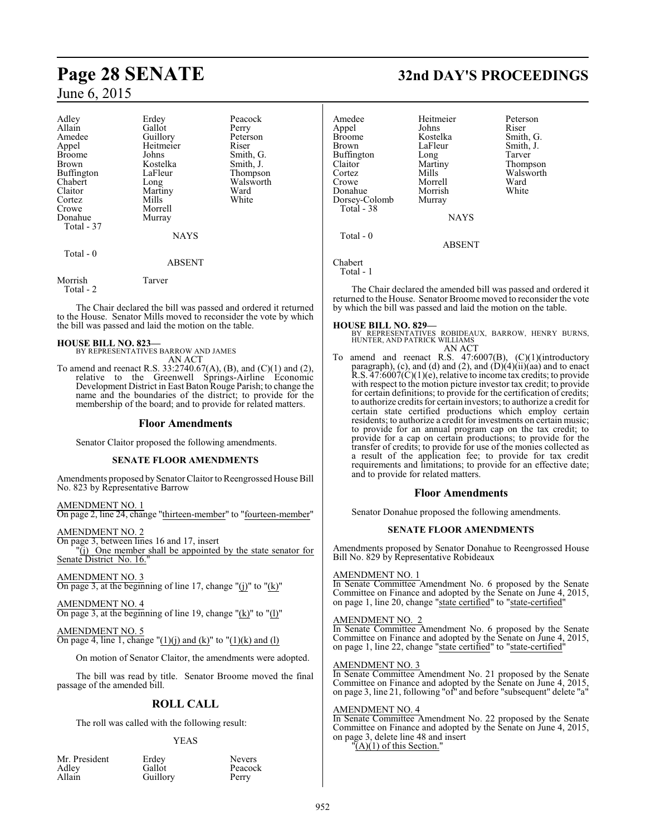| Adley<br>Allain<br>Amedee<br>Appel<br><b>Broome</b><br><b>Brown</b><br>Buffington<br>Chabert<br>Claitor<br>Cortez<br>Crowe<br>Donahue<br>Total - 37 | Erdey<br>Gallot<br>Guillory<br>Heitmeier<br>Johns<br>Kostelka<br>LaFleur<br>Long<br>Martiny<br>Mills<br>Morrell<br>Murray<br><b>NAYS</b> | Peacock<br>Perry<br>Peterson<br>Riser<br>Smith, G.<br>Smith, J.<br>Thompson<br>Walsworth<br>Ward<br>White |
|-----------------------------------------------------------------------------------------------------------------------------------------------------|------------------------------------------------------------------------------------------------------------------------------------------|-----------------------------------------------------------------------------------------------------------|
| Total - 0                                                                                                                                           | <b>ABSENT</b>                                                                                                                            |                                                                                                           |

Morrish Tarver Total - 2

The Chair declared the bill was passed and ordered it returned to the House. Senator Mills moved to reconsider the vote by which the bill was passed and laid the motion on the table.

#### **HOUSE BILL NO. 823—**

BY REPRESENTATIVES BARROW AND JAMES AN ACT

To amend and reenact R.S. 33:2740.67(A), (B), and (C)(1) and (2), relative to the Greenwell Springs-Airline Economic Development District in East Baton Rouge Parish; to change the name and the boundaries of the district; to provide for the membership of the board; and to provide for related matters.

#### **Floor Amendments**

Senator Claitor proposed the following amendments.

#### **SENATE FLOOR AMENDMENTS**

Amendments proposed by Senator Claitor to Reengrossed House Bill No. 823 by Representative Barrow

AMENDMENT NO. 1 On page 2, line 24, change "thirteen-member" to "fourteen-member"

AMENDMENT NO. 2 On page 3, between lines 16 and 17, insert "(j) One member shall be appointed by the state senator for Senate District No. 16.

AMENDMENT NO. 3 On page 3, at the beginning of line 17, change " $(j)$ " to " $(k)$ "

AMENDMENT NO. 4 On page 3, at the beginning of line 19, change " $(k)$ " to " $(l)$ "

AMENDMENT NO. 5 On page 4, line 1, change " $(1)(i)$  and  $(k)$ " to " $(1)(k)$  and  $(l)$ 

On motion of Senator Claitor, the amendments were adopted.

The bill was read by title. Senator Broome moved the final passage of the amended bill.

## **ROLL CALL**

The roll was called with the following result:

#### YEAS

Peacock<br>Perry

|        | Mr. Preside |
|--------|-------------|
| Adley  |             |
| Allain |             |

nt Erdey Nevers<br>Gallot Peacocl Guillory

## **Page 28 SENATE 32nd DAY'S PROCEEDINGS**

Walsworth<br>Ward

Amedee Heitmeier Peterson<br>
Appel Johns Riser Appel Johns<br>Broome Kostelka Broome Kostelka Smith, G.<br>Brown I aFleur Smith I LaFleur Smith, J.<br>
Long Tarver Buffington Long<br>Claitor Martiny Claitor Martiny Thompson<br>
Cortez Mills Walsworth Crowe Morrell Ward<br>
Donahue Morrish White Donahue Morrish<br>Dorsey-Colomb Murray Dorsey-Colomb Total - 38 **NAYS**  Total - 0 ABSENT

Chabert Total - 1

The Chair declared the amended bill was passed and ordered it returned to the House. Senator Broome moved to reconsider the vote by which the bill was passed and laid the motion on the table.

**HOUSE BILL NO. 829—** BY REPRESENTATIVES ROBIDEAUX, BARROW, HENRY BURNS, HUNTER, AND PATRICK WILLIAMS

AN ACT

To amend and reenact R.S. 47:6007(B), (C)(1)(introductory paragraph), (c), and (d) and (2), and  $(D)(4)(ii)(aa)$  and to enact R.S.  $47:6007(\hat{C})(1)(e)$ , relative to income tax credits; to provide with respect to the motion picture investor tax credit; to provide for certain definitions; to provide for the certification of credits; to authorize credits for certain investors; to authorize a credit for certain state certified productions which employ certain residents; to authorize a credit for investments on certain music; to provide for an annual program cap on the tax credit; to provide for a cap on certain productions; to provide for the transfer of credits; to provide for use of the monies collected as a result of the application fee; to provide for tax credit requirements and limitations; to provide for an effective date; and to provide for related matters.

#### **Floor Amendments**

Senator Donahue proposed the following amendments.

#### **SENATE FLOOR AMENDMENTS**

Amendments proposed by Senator Donahue to Reengrossed House Bill No. 829 by Representative Robideaux

#### AMENDMENT NO. 1

In Senate Committee Amendment No. 6 proposed by the Senate Committee on Finance and adopted by the Senate on June 4, 2015, on page 1, line 20, change "state certified" to "state-certified"

#### AMENDMENT NO. 2

In Senate Committee Amendment No. 6 proposed by the Senate Committee on Finance and adopted by the Senate on June 4, 2015, on page 1, line 22, change "state certified" to "state-certified"

#### AMENDMENT NO. 3

In Senate Committee Amendment No. 21 proposed by the Senate Committee on Finance and adopted by the Senate on June 4, 2015, on page 3, line 21, following "of" and before "subsequent" delete "a"

#### AMENDMENT NO. 4

In Senate Committee Amendment No. 22 proposed by the Senate Committee on Finance and adopted by the Senate on June 4, 2015, on page 3, delete line 48 and insert  $\tilde{A}(A)(1)$  of this Section.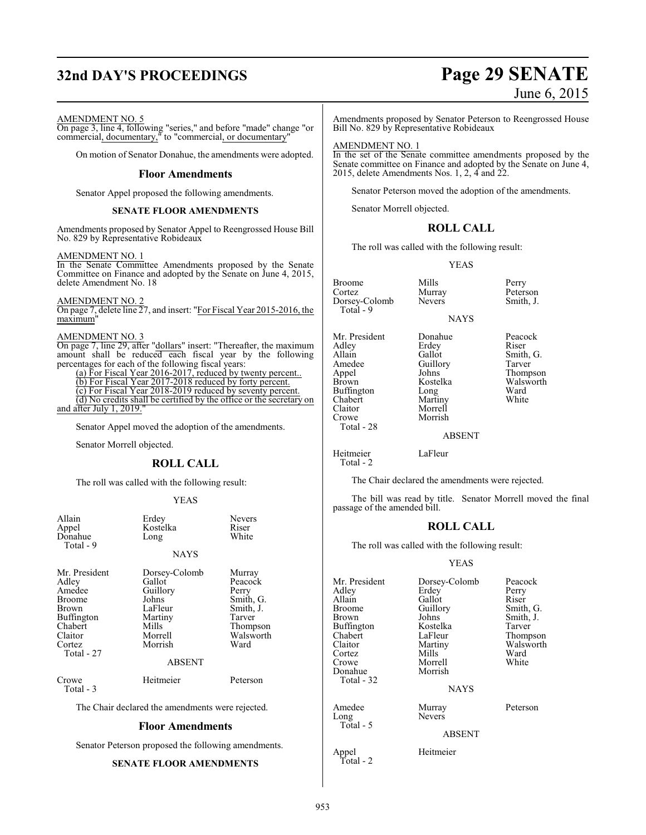# **32nd DAY'S PROCEEDINGS Page 29 SENATE**

# June 6, 2015

#### AMENDMENT NO. 5

On page 3, line 4, following "series," and before "made" change "or commercial, documentary," to "commercial, or documentary"

On motion of Senator Donahue, the amendments were adopted.

#### **Floor Amendments**

Senator Appel proposed the following amendments.

#### **SENATE FLOOR AMENDMENTS**

Amendments proposed by Senator Appel to Reengrossed House Bill No. 829 by Representative Robideaux

#### AMENDMENT NO. 1

In the Senate Committee Amendments proposed by the Senate Committee on Finance and adopted by the Senate on June 4, 2015, delete Amendment No. 18

#### AMENDMENT NO. 2

On page 7, delete line 27, and insert: "For Fiscal Year 2015-2016, the maximum"

#### AMENDMENT NO. 3

On page 7, line 29, after "dollars" insert: "Thereafter, the maximum amount shall be reduced each fiscal year by the following percentages for each of the following fiscal years:

(a) For Fiscal Year 2016-2017, reduced by twenty percent..

(b) For Fiscal Year 2017-2018 reduced by forty percent.

(c) For Fiscal Year 2018-2019 reduced by seventy percent.

(d) No credits shall be certified by the office or the secretary on and after July 1, 2019."

Senator Appel moved the adoption of the amendments.

Senator Morrell objected.

#### **ROLL CALL**

The roll was called with the following result:

#### YEAS

| Allain<br>Appel<br>Donahue<br>Total - 9                                                                                | Erdey<br>Kostelka<br>Long                                                                         | <b>Nevers</b><br>Riser<br>White                                                                 |
|------------------------------------------------------------------------------------------------------------------------|---------------------------------------------------------------------------------------------------|-------------------------------------------------------------------------------------------------|
|                                                                                                                        | NAYS                                                                                              |                                                                                                 |
| Mr. President<br>Adley<br>Amedee<br><b>Broome</b><br>Brown<br>Buffington<br>Chabert<br>Claitor<br>Cortez<br>Total - 27 | Dorsey-Colomb<br>Gallot<br>Guillory<br>Johns<br>LaFleur<br>Martiny<br>Mills<br>Morrell<br>Morrish | Murray<br>Peacock<br>Perry<br>Smith, G.<br>Smith, J.<br>Tarver<br>Thompson<br>Walsworth<br>Ward |
|                                                                                                                        | <b>ABSENT</b>                                                                                     |                                                                                                 |
| Crowe<br>Total - 3                                                                                                     | Heitmeier                                                                                         | Peterson                                                                                        |
| The Chair declared the amendments were rejected.                                                                       |                                                                                                   |                                                                                                 |
| Floor Amendments                                                                                                       |                                                                                                   |                                                                                                 |

Senator Peterson proposed the following amendments.

#### **SENATE FLOOR AMENDMENTS**

Amendments proposed by Senator Peterson to Reengrossed House Bill No. 829 by Representative Robideaux

### AMENDMENT NO. 1

In the set of the Senate committee amendments proposed by the Senate committee on Finance and adopted by the Senate on June 4, 2015, delete Amendments Nos. 1, 2, 4 and 22.

Senator Peterson moved the adoption of the amendments.

Senator Morrell objected.

#### **ROLL CALL**

The roll was called with the following result:

#### YEAS

**NAYS** 

Broome Mills Perry<br>
Cortez Murray Peters Dorsey-Colomb Total - 9

Mr. President Donahue Peacock<br>Adley Erdey Riser Adley Erdey<br>Allain Gallot Allain Gallot Smith, G.<br>Amedee Guillory Tarver Amedee Guillory<br>Appel Johns Appel Johns Thompson Buffington Long Ward<br>Chabert Martiny White Chabert Martiny<br>Claitor Morrell Claitor Morrell Total - 28

Morrish

Murray Peterson<br>Nevers Smith, J.

Walsworth<br>Ward

#### ABSENT

Heitmeier LaFleur Total - 2

The Chair declared the amendments were rejected.

The bill was read by title. Senator Morrell moved the final passage of the amended bill.

#### **ROLL CALL**

The roll was called with the following result:

#### YEAS

| Mr. President<br>Adley<br>Allain<br>Broome<br>Brown<br>Buffington<br>Chabert<br>Claitor<br>Cortez<br>Crowe | Dorsey-Colomb<br>Erdey<br>Gallot<br>Guillory<br>Johns<br>Kostelka<br>LaFleur<br>Martiny<br>Mills<br>Morrell | Peacock<br>Perry<br>Riser<br>Smith, G.<br>Smith, J.<br>Tarver<br>Thompson<br>Walsworth<br>Ward<br>White |
|------------------------------------------------------------------------------------------------------------|-------------------------------------------------------------------------------------------------------------|---------------------------------------------------------------------------------------------------------|
| Donahue<br>Total - 32                                                                                      | Morrish<br><b>NAYS</b>                                                                                      |                                                                                                         |
| Amedee<br>Long<br>Total - 5                                                                                | Murray<br><b>Nevers</b>                                                                                     | Peterson                                                                                                |
|                                                                                                            | <b>ABSENT</b>                                                                                               |                                                                                                         |

Appel Heitmeier

Total - 2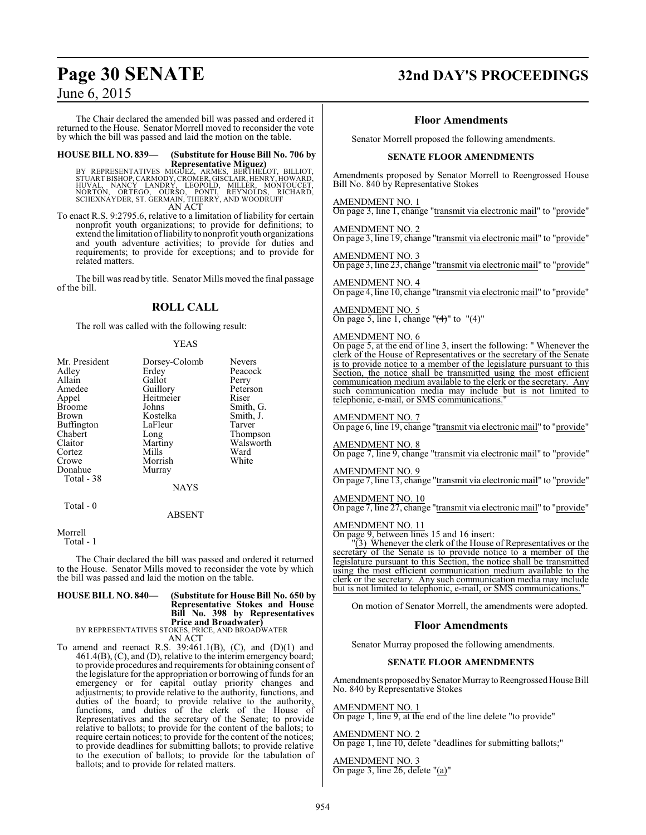The Chair declared the amended bill was passed and ordered it returned to the House. Senator Morrell moved to reconsider the vote by which the bill was passed and laid the motion on the table.

## **HOUSE BILL NO. 839— (Substitute for House Bill No. 706 by**

**Representative Miguez)**<br>BTUART BISHOP, CARMOUZ, ARMES, BERTHELOT, BILLIOT,<br>STUART BISHOP, CARMODY, CROMER, GISCLAIR, HENRY, HOWARD,<br>NORTON, ORTEGO, OURSO, PONTI, REYNOLDS, RICHARD,<br>SCHEXNAYDER, ST. GERMAIN, THIERRY, AND W AN ACT

To enact R.S. 9:2795.6, relative to a limitation of liability for certain nonprofit youth organizations; to provide for definitions; to extend the limitation ofliability to nonprofit youth organizations and youth adventure activities; to provide for duties and requirements; to provide for exceptions; and to provide for related matters.

The bill was read by title. Senator Mills moved the final passage of the bill.

## **ROLL CALL**

The roll was called with the following result:

#### YEAS

| Mr. President | Dorsey-Colomb | <b>Nevers</b> |
|---------------|---------------|---------------|
| Adley         | Erdey         | Peacock       |
| Allain        | Gallot        | Perry         |
| Amedee        | Guillory      | Peterson      |
| Appel         | Heitmeier     | Riser         |
| <b>Broome</b> | Johns         | Smith, G.     |
| Brown         | Kostelka      | Smith, J.     |
| Buffington    | LaFleur       | Tarver        |
| Chabert       | Long          | Thompson      |
| Claitor       | Martiny       | Walsworth     |
| Cortez        | Mills         | Ward          |
| Crowe         | Morrish       | White         |
| Donahue       | Murray        |               |
| Total - 38    |               |               |
|               | <b>NAYS</b>   |               |
| Total - 0     |               |               |
|               | ABSENT        |               |

#### Morrell

Total - 1

The Chair declared the bill was passed and ordered it returned to the House. Senator Mills moved to reconsider the vote by which the bill was passed and laid the motion on the table.

## **HOUSE BILL NO. 840— (Substitute for House Bill No. 650 by Representative Stokes and House Bill No. 398 by Representatives Price and Broadwater)**<br>BY REPRESENTATIVES STOKES, PRICE, AND BROADWATER<br>AN ACT

To amend and reenact R.S.  $39:461.1(B)$ , (C), and (D)(1) and 461.4(B), (C), and (D), relative to the interim emergency board; to provide procedures and requirements for obtaining consent of the legislature for the appropriation or borrowing of funds for an emergency or for capital outlay priority changes and adjustments; to provide relative to the authority, functions, and duties of the board; to provide relative to the authority, functions, and duties of the clerk of the House of Representatives and the secretary of the Senate; to provide relative to ballots; to provide for the content of the ballots; to require certain notices; to provide for the content of the notices; to provide deadlines for submitting ballots; to provide relative to the execution of ballots; to provide for the tabulation of ballots; and to provide for related matters.

## **Page 30 SENATE 32nd DAY'S PROCEEDINGS**

#### **Floor Amendments**

Senator Morrell proposed the following amendments.

#### **SENATE FLOOR AMENDMENTS**

Amendments proposed by Senator Morrell to Reengrossed House Bill No. 840 by Representative Stokes

AMENDMENT NO. 1

On page 3, line 1, change "transmit via electronic mail" to "provide"

AMENDMENT NO. 2 On page 3, line 19, change "transmit via electronic mail" to "provide"

AMENDMENT NO. 3 On page 3, line 23, change "transmit via electronic mail" to "provide"

AMENDMENT NO. 4 On page 4, line 10, change "transmit via electronic mail" to "provide"

AMENDMENT NO. 5 On page 5, line 1, change " $(4)$ " to " $(4)$ "

#### AMENDMENT NO. 6

On page 5, at the end of line 3, insert the following: " Whenever the clerk of the House of Representatives or the secretary of the Senate is to provide notice to a member of the legislature pursuant to this Section, the notice shall be transmitted using the most efficient communication medium available to the clerk or the secretary. Any such communication media may include but is not limited to telephonic, e-mail, or SMS communications."

#### AMENDMENT NO. 7

On page 6, line 19, change "transmit via electronic mail" to "provide"

#### AMENDMENT NO. 8

On page 7, line 9, change "transmit via electronic mail" to "provide"

AMENDMENT NO. 9

On page 7, line 13, change "transmit via electronic mail" to "provide"

#### AMENDMENT NO. 10

On page 7, line 27, change "transmit via electronic mail" to "provide"

#### AMENDMENT NO. 11

On page 9, between lines 15 and 16 insert:

"(3) Whenever the clerk of the House of Representatives or the secretary of the Senate is to provide notice to a member of the legislature pursuant to this Section, the notice shall be transmitted using the most efficient communication medium available to the clerk or the secretary. Any such communication media may include but is not limited to telephonic, e-mail, or SMS communications.

On motion of Senator Morrell, the amendments were adopted.

#### **Floor Amendments**

Senator Murray proposed the following amendments.

#### **SENATE FLOOR AMENDMENTS**

Amendments proposed by Senator Murray to Reengrossed House Bill No. 840 by Representative Stokes

AMENDMENT NO. 1

On page 1, line 9, at the end of the line delete "to provide"

#### AMENDMENT NO. 2

On page 1, line 10, delete "deadlines for submitting ballots;"

AMENDMENT NO. 3 On page 3, line 26, delete "(a)"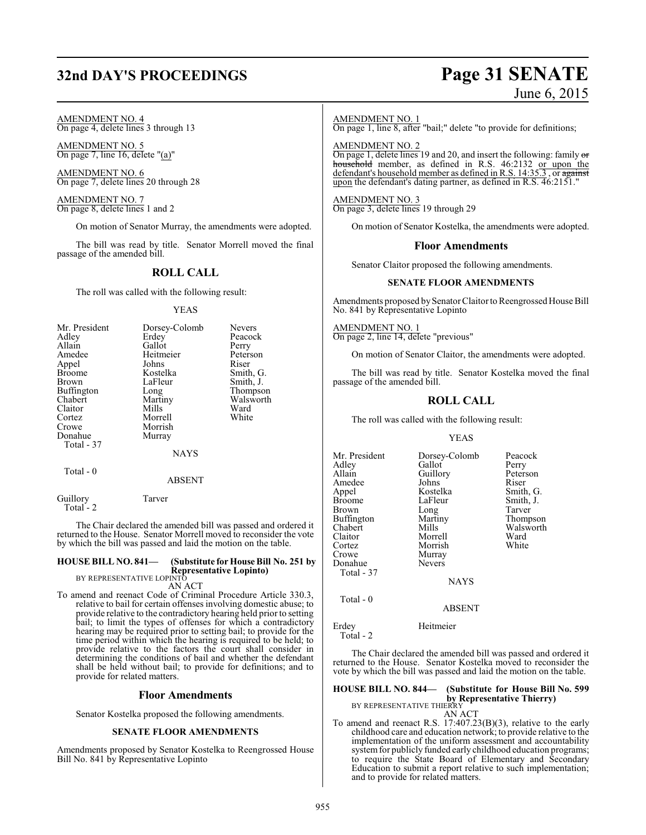## **32nd DAY'S PROCEEDINGS Page 31 SENATE**

# June 6, 2015

AMENDMENT NO. 4 On page 4, delete lines 3 through 13

AMENDMENT NO. 5 On page 7, line 16, delete "(a)"

AMENDMENT NO. 6 On page 7, delete lines 20 through 28

AMENDMENT NO. 7 On page 8, delete lines 1 and 2

On motion of Senator Murray, the amendments were adopted.

The bill was read by title. Senator Morrell moved the final passage of the amended bill.

#### **ROLL CALL**

The roll was called with the following result:

#### YEAS

| Mr. President | Dorsey-Colomb | <b>Nevers</b> |
|---------------|---------------|---------------|
| Adley         | Erdey         | Peacock       |
| Allain        | Gallot        | Perry         |
| Amedee        | Heitmeier     | Peterson      |
| Appel         | Johns         | Riser         |
| <b>Broome</b> | Kostelka      | Smith, G.     |
| Brown         | LaFleur       | Smith, J.     |
| Buffington    | Long          | Thompson      |
| Chabert       | Martiny       | Walsworth     |
| Claitor       | Mills         | Ward          |
| Cortez        | Morrell       | White         |
| Crowe         | Morrish       |               |
| Donahue       | Murray        |               |
| Total - 37    |               |               |
|               | <b>NAYS</b>   |               |
| Total - 0     |               |               |
|               | ABSENT        |               |

Guillory Tarver Total - 2

The Chair declared the amended bill was passed and ordered it returned to the House. Senator Morrell moved to reconsider the vote by which the bill was passed and laid the motion on the table.

## **HOUSE BILL NO. 841— (Substitute for House Bill No. 251 by Representative Lopinto)** BY REPRESENTATIVE LOPINTO

AN ACT

To amend and reenact Code of Criminal Procedure Article 330.3, relative to bail for certain offenses involving domestic abuse; to provide relative to the contradictory hearing held prior to setting bail; to limit the types of offenses for which a contradictory hearing may be required prior to setting bail; to provide for the time period within which the hearing is required to be held; to provide relative to the factors the court shall consider in determining the conditions of bail and whether the defendant shall be held without bail; to provide for definitions; and to provide for related matters.

#### **Floor Amendments**

Senator Kostelka proposed the following amendments.

#### **SENATE FLOOR AMENDMENTS**

Amendments proposed by Senator Kostelka to Reengrossed House Bill No. 841 by Representative Lopinto

#### AMENDMENT NO. 1

On page 1, line 8, after "bail;" delete "to provide for definitions;

AMENDMENT NO. 2

On page 1, delete lines 19 and 20, and insert the following: family or household member, as defined in R.S. 46:2132 or upon the defendant's household member as defined in R.S. 14:35.3, or against upon the defendant's dating partner, as defined in R.S. 46:2151."

#### AMENDMENT NO. 3

On page 3, delete lines 19 through 29

On motion of Senator Kostelka, the amendments were adopted.

#### **Floor Amendments**

Senator Claitor proposed the following amendments.

#### **SENATE FLOOR AMENDMENTS**

Amendments proposed by Senator Claitor to Reengrossed House Bill No. 841 by Representative Lopinto

AMENDMENT NO. 1 On page 2, line 14, delete "previous"

On motion of Senator Claitor, the amendments were adopted.

The bill was read by title. Senator Kostelka moved the final passage of the amended bill.

#### **ROLL CALL**

The roll was called with the following result:

#### YEAS

| Mr. President<br>Adlev<br>Allain<br>Amedee<br>Appel<br><b>Broome</b><br>Brown<br>Buffington<br>Chabert<br>Claitor<br>Cortez<br>Crowe | Dorsey-Colomb<br>Gallot<br>Guillory<br>Johns<br>Kostelka<br>LaFleur<br>Long<br>Martiny<br>Mills<br>Morrell<br>Morrish<br>Murray | Peacock<br>Perry<br>Peterson<br>Riser<br>Smith, G.<br>Smith, J.<br>Tarver<br>Thompson<br>Walsworth<br>Ward<br>White |
|--------------------------------------------------------------------------------------------------------------------------------------|---------------------------------------------------------------------------------------------------------------------------------|---------------------------------------------------------------------------------------------------------------------|
| Donahue<br>Total - 37                                                                                                                | <b>Nevers</b>                                                                                                                   |                                                                                                                     |
|                                                                                                                                      | <b>NAYS</b>                                                                                                                     |                                                                                                                     |
| Total - 0                                                                                                                            | <b>ARSENT</b>                                                                                                                   |                                                                                                                     |

Erdey Heitmeier

Total - 2

The Chair declared the amended bill was passed and ordered it returned to the House. Senator Kostelka moved to reconsider the vote by which the bill was passed and laid the motion on the table.

## **HOUSE BILL NO. 844— (Substitute for House Bill No. 599 by Representative Thierry)**<br>BY REPRESENTATIVE THIERRY

AN ACT

To amend and reenact R.S. 17:407.23(B)(3), relative to the early childhood care and education network; to provide relative to the implementation of the uniform assessment and accountability system for publicly funded early childhood education programs; to require the State Board of Elementary and Secondary Education to submit a report relative to such implementation; and to provide for related matters.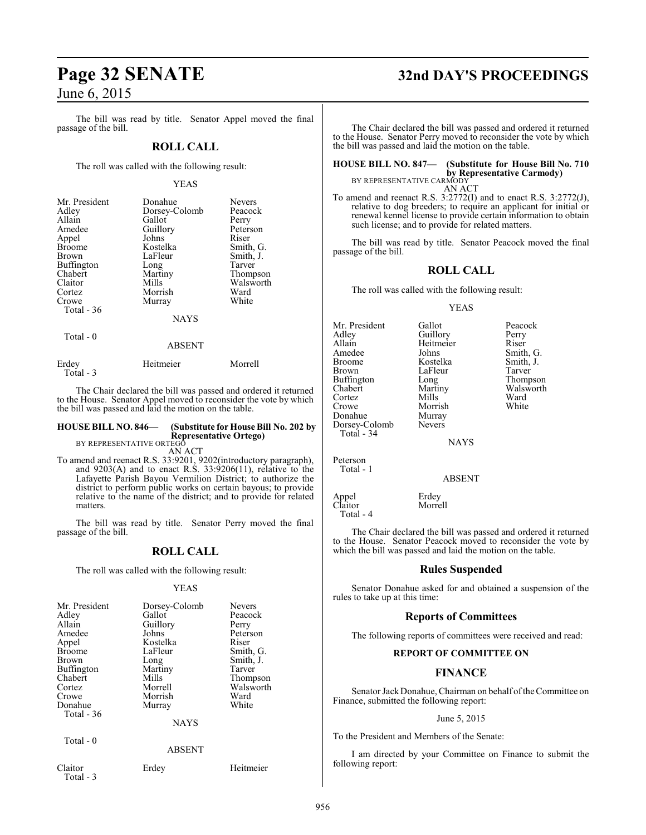The bill was read by title. Senator Appel moved the final passage of the bill.

#### **ROLL CALL**

The roll was called with the following result:

#### YEAS

| Mr. President<br>Adley<br>Allain<br>Amedee<br>Appel<br><b>Broome</b><br><b>Brown</b><br>Buffington<br>Chabert<br>Claitor<br>Cortez | Donahue<br>Dorsey-Colomb<br>Gallot<br>Guillory<br>Johns<br>Kostelka<br>LaFleur<br>Long<br>Martiny<br>Mills<br>Morrish | <b>Nevers</b><br>Peacock<br>Perry<br>Peterson<br>Riser<br>Smith, G.<br>Smith, J.<br>Tarver<br>Thompson<br>Walsworth<br>Ward |
|------------------------------------------------------------------------------------------------------------------------------------|-----------------------------------------------------------------------------------------------------------------------|-----------------------------------------------------------------------------------------------------------------------------|
| Crowe<br>Total $-36$                                                                                                               | Murray<br><b>NAYS</b>                                                                                                 | White                                                                                                                       |
| Total - 0                                                                                                                          | <b>ARSENT</b>                                                                                                         |                                                                                                                             |

Erdey Heitmeier Morrell Total - 3

The Chair declared the bill was passed and ordered it returned to the House. Senator Appel moved to reconsider the vote by which the bill was passed and laid the motion on the table.

## **HOUSE BILL NO. 846— (Substitute for House Bill No. 202 by Representative Ortego)** BY REPRESENTATIVE ORTEGO

AN ACT

To amend and reenact R.S. 33:9201, 9202(introductory paragraph), and  $9203(A)$  and to enact R.S.  $33:9206(11)$ , relative to the Lafayette Parish Bayou Vermilion District; to authorize the district to perform public works on certain bayous; to provide relative to the name of the district; and to provide for related matters.

The bill was read by title. Senator Perry moved the final passage of the bill.

## **ROLL CALL**

The roll was called with the following result:

#### YEAS

| Mr. President<br>Adley<br>Allain<br>Amedee<br>Appel<br><b>Broome</b><br><b>Brown</b><br><b>Buffington</b><br>Chabert<br>Cortez<br>Crowe<br>Donahue<br>Total $-36$ | Dorsey-Colomb<br>Gallot<br>Guillory<br>Johns<br>Kostelka<br>LaFleur<br>Long<br>Martiny<br>Mills<br>Morrell<br>Morrish<br>Murray<br><b>NAYS</b> | <b>Nevers</b><br>Peacock<br>Perry<br>Peterson<br>Riser<br>Smith, G.<br>Smith, J.<br>Tarver<br>Thompson<br>Walsworth<br>Ward<br>White |
|-------------------------------------------------------------------------------------------------------------------------------------------------------------------|------------------------------------------------------------------------------------------------------------------------------------------------|--------------------------------------------------------------------------------------------------------------------------------------|
|                                                                                                                                                                   |                                                                                                                                                |                                                                                                                                      |
| Total - 0                                                                                                                                                         | <b>ABSENT</b>                                                                                                                                  |                                                                                                                                      |

Claitor Erdey Heitmeier Total - 3

# **Page 32 SENATE 32nd DAY'S PROCEEDINGS**

The Chair declared the bill was passed and ordered it returned to the House. Senator Perry moved to reconsider the vote by which the bill was passed and laid the motion on the table.

**HOUSE BILL NO. 847— (Substitute for House Bill No. 710 by Representative Carmody)**<br>BY REPRESENTATIVE CARMODY AN ACT

To amend and reenact R.S. 3:2772(I) and to enact R.S. 3:2772(J), relative to dog breeders; to require an applicant for initial or renewal kennel license to provide certain information to obtain such license; and to provide for related matters.

The bill was read by title. Senator Peacock moved the final passage of the bill.

#### **ROLL CALL**

The roll was called with the following result:

#### YEAS

| Mr. President | Gallot      | Peacock   |
|---------------|-------------|-----------|
| Adley         | Guillory    | Perry     |
| Allain        | Heitmeier   | Riser     |
| Amedee        | Johns       | Smith, G. |
| <b>Broome</b> | Kostelka    | Smith, J. |
| Brown         | LaFleur     | Tarver    |
| Buffington    | Long        | Thompson  |
| Chabert       | Martiny     | Walsworth |
| Cortez        | Mills       | Ward      |
| Crowe         | Morrish     | White     |
| Donahue       | Murray      |           |
| Dorsey-Colomb | Nevers      |           |
| Total - 34    |             |           |
|               | <b>NAYS</b> |           |
| Peterson      |             |           |
| Total - 1     |             |           |

ABSENT

Appel Erdey<br>Claitor Morrell Total - 4

The Chair declared the bill was passed and ordered it returned to the House. Senator Peacock moved to reconsider the vote by which the bill was passed and laid the motion on the table.

#### **Rules Suspended**

Senator Donahue asked for and obtained a suspension of the rules to take up at this time:

#### **Reports of Committees**

The following reports of committees were received and read:

#### **REPORT OF COMMITTEE ON**

#### **FINANCE**

Senator JackDonahue, Chairman on behalf ofthe Committee on Finance, submitted the following report:

#### June 5, 2015

To the President and Members of the Senate:

I am directed by your Committee on Finance to submit the following report:

Claitor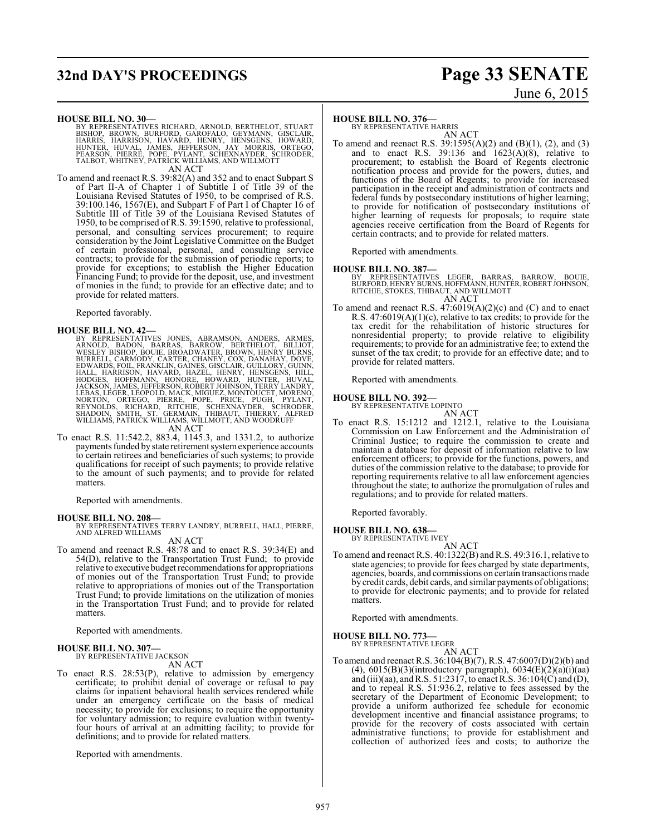# **32nd DAY'S PROCEEDINGS Page 33 SENATE**

# June 6, 2015

#### **HOUSE BILL NO. 30—**

BY REPRESENTATIVES RICHARD, ARNOLD, BERTHELOT, STUART<br>BISHOP, BROWN, BURFORD, GAROFALO, GEYMANN, GISCLAIR,<br>HARRIS, HARRISON, HAVARD, HENRY, HENSGENS, HOWARD,<br>HUNTER, HUVAL, JAMES, JEFFERSON, JAY MORRIS, ORTEGO,<br>PEARSON, PI AN ACT

To amend and reenact R.S. 39:82(A) and 352 and to enact Subpart S of Part II-A of Chapter 1 of Subtitle I of Title 39 of the Louisiana Revised Statutes of 1950, to be comprised of R.S. 39:100.146, 1567(E), and Subpart F of Part I of Chapter 16 of Subtitle III of Title 39 of the Louisiana Revised Statutes of 1950, to be comprised of R.S. 39:1590, relative to professional, personal, and consulting services procurement; to require consideration by the Joint Legislative Committee on the Budget of certain professional, personal, and consulting service contracts; to provide for the submission of periodic reports; to provide for exceptions; to establish the Higher Education Financing Fund; to provide for the deposit, use, and investment of monies in the fund; to provide for an effective date; and to provide for related matters.

Reported favorably.

#### **HOUSE BILL NO. 42—**

BY REPRESENTATIVES JONES, ABRAMSON, ANDERS, ARMES, ARNOLD, BADON, BARRAS, BARROW, BERTHELOT, BILLIOT, BURNES, WESLEY BISHOP, BOUIE, BROADWATER, BROWN, HENRY BURNS, BURRELL, CARMODY, CARTER, CHANEY, COX, DANAHAY, DOVE, DURR AN ACT

To enact R.S. 11:542.2, 883.4, 1145.3, and 1331.2, to authorize payments funded by state retirement systemexperience accounts to certain retirees and beneficiaries of such systems; to provide qualifications for receipt of such payments; to provide relative to the amount of such payments; and to provide for related matters.

Reported with amendments.

#### **HOUSE BILL NO. 208—**

BY REPRESENTATIVES TERRY LANDRY, BURRELL, HALL, PIERRE, AND ALFRED WILLIAMS

AN ACT

To amend and reenact R.S. 48:78 and to enact R.S. 39:34(E) and 54(D), relative to the Transportation Trust Fund; to provide relative to executive budget recommendations for appropriations of monies out of the Transportation Trust Fund; to provide relative to appropriations of monies out of the Transportation Trust Fund; to provide limitations on the utilization of monies in the Transportation Trust Fund; and to provide for related matters.

Reported with amendments.

#### **HOUSE BILL NO. 307—**

BY REPRESENTATIVE JACKSON

AN ACT

To enact R.S. 28:53(P), relative to admission by emergency certificate; to prohibit denial of coverage or refusal to pay claims for inpatient behavioral health services rendered while under an emergency certificate on the basis of medical necessity; to provide for exclusions; to require the opportunity for voluntary admission; to require evaluation within twentyfour hours of arrival at an admitting facility; to provide for definitions; and to provide for related matters.

Reported with amendments.

#### **HOUSE BILL NO. 376—**

BY REPRESENTATIVE HARRIS AN ACT

To amend and reenact R.S. 39:1595(A)(2) and (B)(1), (2), and (3) and to enact R.S. 39:136 and  $1623(A)(8)$ , relative to procurement; to establish the Board of Regents electronic notification process and provide for the powers, duties, and functions of the Board of Regents; to provide for increased participation in the receipt and administration of contracts and federal funds by postsecondary institutions of higher learning; to provide for notification of postsecondary institutions of higher learning of requests for proposals; to require state agencies receive certification from the Board of Regents for certain contracts; and to provide for related matters.

Reported with amendments.

#### **HOUSE BILL NO. 387—**

BY REPRESENTATIVES LEGER, BARRAS, BARROW, BOUIE,<br>BURFORD,HENRYBURNS,HOFFMANN,HUNTER,ROBERTJOHNSON,<br>RITCHIE,STOKES,THIBAUT,ANDWILLMOTT AN ACT

To amend and reenact R.S. 47:6019(A)(2)(c) and (C) and to enact R.S. 47:6019(A)(1)(c), relative to tax credits; to provide for the tax credit for the rehabilitation of historic structures for nonresidential property; to provide relative to eligibility requirements; to provide for an administrative fee; to extend the sunset of the tax credit; to provide for an effective date; and to provide for related matters.

Reported with amendments.

#### **HOUSE BILL NO. 392—**

BY REPRESENTATIVE LOPINTO AN ACT

To enact R.S. 15:1212 and 1212.1, relative to the Louisiana Commission on Law Enforcement and the Administration of Criminal Justice; to require the commission to create and maintain a database for deposit of information relative to law enforcement officers; to provide for the functions, powers, and duties of the commission relative to the database; to provide for reporting requirements relative to all law enforcement agencies throughout the state; to authorize the promulgation of rules and regulations; and to provide for related matters.

Reported favorably.

#### **HOUSE BILL NO. 638—**

BY REPRESENTATIVE IVEY

AN ACT To amend and reenact R.S. 40:1322(B) and R.S. 49:316.1, relative to state agencies; to provide for fees charged by state departments, agencies, boards, and commissions on certain transactions made by credit cards, debit cards, and similar payments of obligations; to provide for electronic payments; and to provide for related matters.

Reported with amendments.

## **HOUSE BILL NO. 773—** BY REPRESENTATIVE LEGER

AN ACT

To amend and reenact R.S. 36:104(B)(7), R.S. 47:6007(D)(2)(b) and (4),  $6015(B)(3)$ (introductory paragraph),  $6034(E)(2)(a)(i)(aa)$ and (iii)(aa), and R.S. 51:2317, to enact R.S. 36:104(C) and (D), and to repeal R.S. 51:936.2, relative to fees assessed by the secretary of the Department of Economic Development; to provide a uniform authorized fee schedule for economic development incentive and financial assistance programs; to provide for the recovery of costs associated with certain administrative functions; to provide for establishment and collection of authorized fees and costs; to authorize the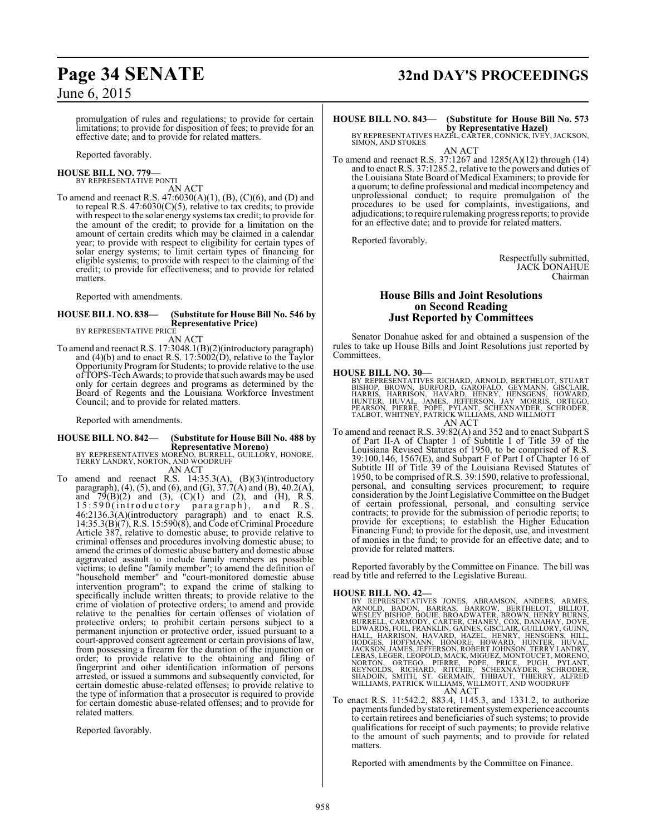promulgation of rules and regulations; to provide for certain limitations; to provide for disposition of fees; to provide for an effective date; and to provide for related matters.

Reported favorably.

#### **HOUSE BILL NO. 779—** BY REPRESENTATIVE PONTI

AN ACT

To amend and reenact R.S. 47:6030(A)(1), (B), (C)(6), and (D) and to repeal R.S.  $47:6030(C)(5)$ , relative to tax credits; to provide with respect to the solar energy systems tax credit; to provide for the amount of the credit; to provide for a limitation on the amount of certain credits which may be claimed in a calendar year; to provide with respect to eligibility for certain types of solar energy systems; to limit certain types of financing for eligible systems; to provide with respect to the claiming of the credit; to provide for effectiveness; and to provide for related matters.

Reported with amendments.

#### **HOUSE BILL NO. 838— (Substitute for House Bill No. 546 by Representative Price)** BY REPRESENTATIVE PRICE

AN ACT

To amend and reenact R.S. 17:3048.1(B)(2)(introductory paragraph) and (4)(b) and to enact R.S. 17:5002(D), relative to the Taylor Opportunity Programfor Students; to provide relative to the use of TOPS-Tech Awards; to provide that such awards may be used only for certain degrees and programs as determined by the Board of Regents and the Louisiana Workforce Investment Council; and to provide for related matters.

Reported with amendments.

# **HOUSE BILL NO. 842— (Substitute for House Bill No. 488 by**

**Representative Moreno)** BY REPRESENTATIVES MORENO, BURRELL, GUILLORY, HONORE, TERRY LANDRY, NORTON, AND WOODRUFF AN ACT

To amend and reenact R.S. 14:35.3(A), (B)(3)(introductory paragraph), (4), (5), and (6), and (G),  $37.7(A)$  and (B), 40.2(A), and  $79(B)(2)$  and  $(3)$ ,  $(C)(1)$  and  $(2)$ , and  $(H)$ , R.S. 15:590(introductory paragraph), and R.S. 46:2136.3(A)(introductory paragraph) and to enact R.S. 14:35.3(B)(7), R.S. 15:590(8), and Code ofCriminal Procedure Article 387, relative to domestic abuse; to provide relative to criminal offenses and procedures involving domestic abuse; to amend the crimes of domestic abuse battery and domestic abuse aggravated assault to include family members as possible victims; to define "family member"; to amend the definition of "household member" and "court-monitored domestic abuse intervention program"; to expand the crime of stalking to specifically include written threats; to provide relative to the crime of violation of protective orders; to amend and provide relative to the penalties for certain offenses of violation of protective orders; to prohibit certain persons subject to a permanent injunction or protective order, issued pursuant to a court-approved consent agreement or certain provisions of law, from possessing a firearm for the duration of the injunction or order; to provide relative to the obtaining and filing of fingerprint and other identification information of persons arrested, or issued a summons and subsequently convicted, for certain domestic abuse-related offenses; to provide relative to the type of information that a prosecutor is required to provide for certain domestic abuse-related offenses; and to provide for related matters.

Reported favorably.

# **Page 34 SENATE 32nd DAY'S PROCEEDINGS**

## **HOUSE BILL NO. 843— (Substitute for House Bill No. 573 by Representative Hazel)** BY REPRESENTATIVES HAZEL, CARTER, CONNICK, IVEY, JACKSON,

SIMON, AND STOKES AN ACT

To amend and reenact R.S. 37:1267 and 1285(A)(12) through (14) and to enact R.S. 37:1285.2, relative to the powers and duties of the Louisiana State Board of Medical Examiners; to provide for a quorum; to define professional and medical incompetency and unprofessional conduct; to require promulgation of the procedures to be used for complaints, investigations, and adjudications; to require rulemaking progress reports; to provide for an effective date; and to provide for related matters.

Reported favorably.

Respectfully submitted, JACK DONAHUE Chairman

#### **House Bills and Joint Resolutions on Second Reading Just Reported by Committees**

Senator Donahue asked for and obtained a suspension of the rules to take up House Bills and Joint Resolutions just reported by Committees.

#### **HOUSE BILL NO. 30—**

BY REPRESENTATIVES RICHARD, ARNOLD, BERTHELOT, STUART<br>BISHOP, BROWN, BURFORD, GAROFALO, GEYMANN, GISCLAIR,<br>HARRIS, HARRISON, HAVARD, HENRY, HENSGENS, HOWARD,<br>HUNTER, HUVAL, JAMES, JEFFERSON, JAY MORRIS, ORTEGO,<br>PEARSON, PI AN ACT

To amend and reenact R.S. 39:82(A) and 352 and to enact Subpart S of Part II-A of Chapter 1 of Subtitle I of Title 39 of the Louisiana Revised Statutes of 1950, to be comprised of R.S. 39:100.146, 1567(E), and Subpart F of Part I of Chapter 16 of Subtitle III of Title 39 of the Louisiana Revised Statutes of 1950, to be comprised of R.S. 39:1590, relative to professional, personal, and consulting services procurement; to require consideration by the Joint Legislative Committee on the Budget of certain professional, personal, and consulting service contracts; to provide for the submission of periodic reports; to provide for exceptions; to establish the Higher Education Financing Fund; to provide for the deposit, use, and investment of monies in the fund; to provide for an effective date; and to provide for related matters.

Reported favorably by the Committee on Finance. The bill was read by title and referred to the Legislative Bureau.

- HOUSE BILL NO. 42—<br>
BY REPRESENTATIVES JONES, ABRAMSON, ANDERS, ARMES, ARNOLD, BADON, BARRAS, BARROW, BERTHELOT, BILLIOT, WESLEY BISHOP, BOUIE, BROADWATER, BROWN, HENRY BURNS, BURRELL, CARMODY, CARTER, CHANEY, COX, DANAHAY
- To enact R.S. 11:542.2, 883.4, 1145.3, and 1331.2, to authorize payments funded by state retirement systemexperience accounts to certain retirees and beneficiaries of such systems; to provide qualifications for receipt of such payments; to provide relative to the amount of such payments; and to provide for related matters.

Reported with amendments by the Committee on Finance.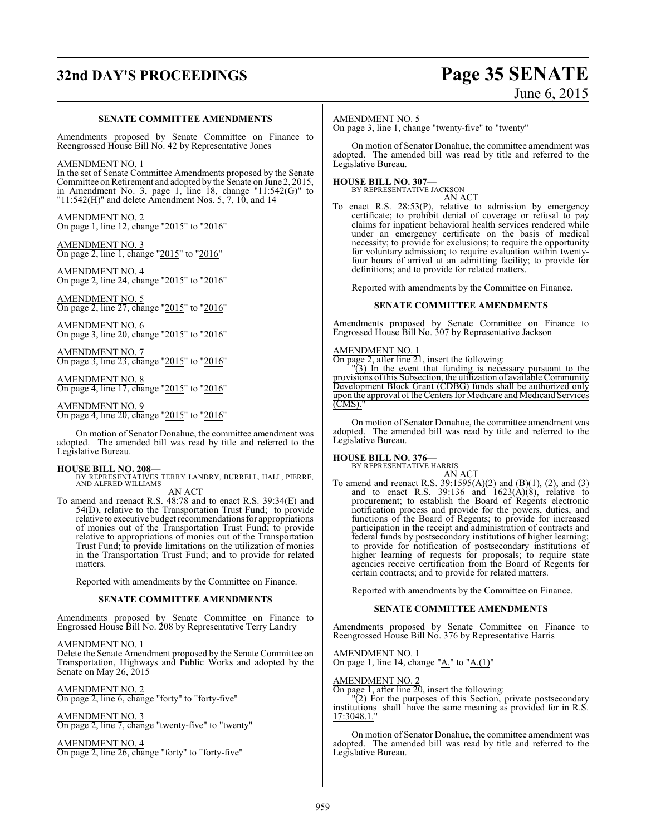# **32nd DAY'S PROCEEDINGS Page 35 SENATE**

# June 6, 2015

#### **SENATE COMMITTEE AMENDMENTS**

Amendments proposed by Senate Committee on Finance to Reengrossed House Bill No. 42 by Representative Jones

#### AMENDMENT NO. 1

In the set of Senate Committee Amendments proposed by the Senate Committee on Retirement and adopted by the Senate on June 2, 2015, in Amendment No. 3, page 1, line 18, change "11:542(G)" to " $11:542(H)$ " and delete Amendment Nos. 5, 7, 10, and 14

AMENDMENT NO. 2 On page 1, line 12, change "2015" to "2016"

AMENDMENT NO. 3 On page 2, line 1, change "2015" to "2016"

AMENDMENT NO. 4 On page 2, line 24, change "2015" to "2016"

AMENDMENT NO. 5 On page 2, line 27, change "2015" to "2016"

AMENDMENT NO. 6 On page 3, line 20, change "2015" to "2016"

AMENDMENT NO. 7 On page 3, line 23, change "2015" to "2016"

AMENDMENT NO. 8 On page 4, line 17, change "2015" to "2016"

AMENDMENT NO. 9 On page 4, line 20, change "2015" to "2016"

On motion of Senator Donahue, the committee amendment was adopted. The amended bill was read by title and referred to the Legislative Bureau.

#### **HOUSE BILL NO. 208—**

BY REPRESENTATIVES TERRY LANDRY, BURRELL, HALL, PIERRE, AND ALFRED WILLIAMS AN ACT

To amend and reenact R.S. 48:78 and to enact R.S. 39:34(E) and 54(D), relative to the Transportation Trust Fund; to provide relative to executive budget recommendations for appropriations of monies out of the Transportation Trust Fund; to provide relative to appropriations of monies out of the Transportation Trust Fund; to provide limitations on the utilization of monies in the Transportation Trust Fund; and to provide for related matters.

Reported with amendments by the Committee on Finance.

#### **SENATE COMMITTEE AMENDMENTS**

Amendments proposed by Senate Committee on Finance to Engrossed House Bill No. 208 by Representative Terry Landry

#### AMENDMENT NO. 1

Delete the Senate Amendment proposed by the Senate Committee on Transportation, Highways and Public Works and adopted by the Senate on May 26, 2015

AMENDMENT NO. 2 On page 2, line 6, change "forty" to "forty-five"

AMENDMENT NO. 3 On page 2, line 7, change "twenty-five" to "twenty"

AMENDMENT NO. 4 On page 2, line 26, change "forty" to "forty-five"

#### AMENDMENT NO. 5

On page 3, line 1, change "twenty-five" to "twenty"

On motion of Senator Donahue, the committee amendment was adopted. The amended bill was read by title and referred to the Legislative Bureau.

## **HOUSE BILL NO. 307—** BY REPRESENTATIVE JACKSON

AN ACT

To enact R.S. 28:53(P), relative to admission by emergency certificate; to prohibit denial of coverage or refusal to pay claims for inpatient behavioral health services rendered while under an emergency certificate on the basis of medical necessity; to provide for exclusions; to require the opportunity for voluntary admission; to require evaluation within twentyfour hours of arrival at an admitting facility; to provide for definitions; and to provide for related matters.

Reported with amendments by the Committee on Finance.

#### **SENATE COMMITTEE AMENDMENTS**

Amendments proposed by Senate Committee on Finance to Engrossed House Bill No. 307 by Representative Jackson

#### AMENDMENT NO. 1

On page 2, after line 21, insert the following:

"(3) In the event that funding is necessary pursuant to the provisions ofthis Subsection, the utilization of available Community Development Block Grant (CDBG) funds shall be authorized only upon the approval oftheCenters for Medicare and Medicaid Services (CMS)."

On motion of Senator Donahue, the committee amendment was adopted. The amended bill was read by title and referred to the Legislative Bureau.

## **HOUSE BILL NO. 376—** BY REPRESENTATIVE HARRIS

AN ACT To amend and reenact R.S. 39:1595(A)(2) and (B)(1), (2), and (3) and to enact R.S. 39:136 and  $1623(A)(8)$ , relative to procurement; to establish the Board of Regents electronic notification process and provide for the powers, duties, and functions of the Board of Regents; to provide for increased participation in the receipt and administration of contracts and federal funds by postsecondary institutions of higher learning; to provide for notification of postsecondary institutions of higher learning of requests for proposals; to require state agencies receive certification from the Board of Regents for certain contracts; and to provide for related matters.

Reported with amendments by the Committee on Finance.

#### **SENATE COMMITTEE AMENDMENTS**

Amendments proposed by Senate Committee on Finance to Reengrossed House Bill No. 376 by Representative Harris

AMENDMENT NO. 1 On page 1, line 14, change "A." to "A. $(1)$ "

AMENDMENT NO. 2

On page 1, after line 20, insert the following:

"(2) For the purposes of this Section, private postsecondary institutions shall have the same meaning as provided for in R.S. 17:3048.1."

On motion of Senator Donahue, the committee amendment was adopted. The amended bill was read by title and referred to the Legislative Bureau.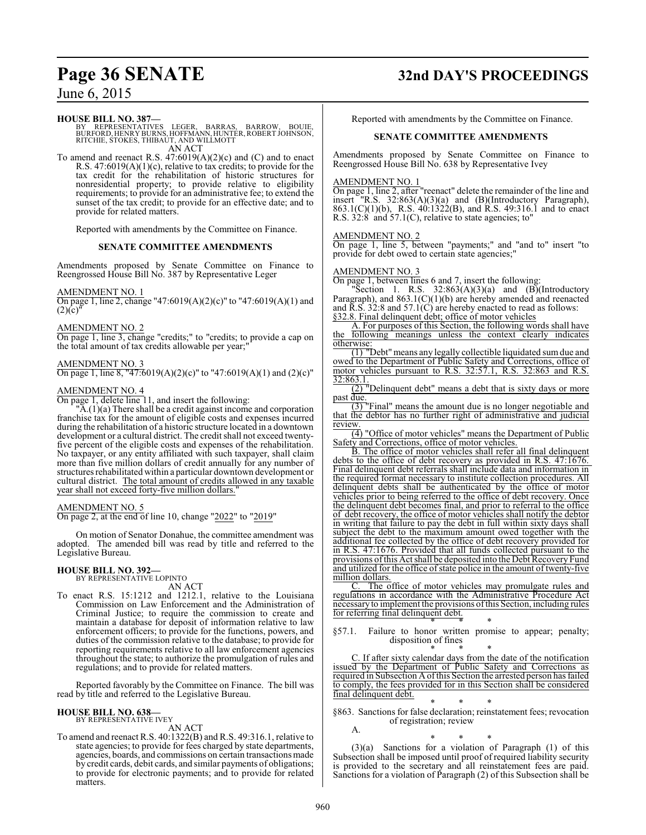#### **HOUSE BILL NO. 387—**

BY REPRESENTATIVES LEGER, BARRAS, BARROW, BOUIE, BURFORD, HENRY BURNS, HOFFMANN, HUNTER,ROBERT JOHNSON, RITCHIE, STOKES, THIBAUT, AND WILLMOTT AN ACT

To amend and reenact R.S. 47:6019(A)(2)(c) and (C) and to enact R.S.  $47:6019(A)(1)(c)$ , relative to tax credits; to provide for the tax credit for the rehabilitation of historic structures for nonresidential property; to provide relative to eligibility requirements; to provide for an administrative fee; to extend the sunset of the tax credit; to provide for an effective date; and to provide for related matters.

Reported with amendments by the Committee on Finance.

#### **SENATE COMMITTEE AMENDMENTS**

Amendments proposed by Senate Committee on Finance to Reengrossed House Bill No. 387 by Representative Leger

AMENDMENT NO. 1

On page 1, line 2, change "47:6019(A)(2)(c)" to "47:6019(A)(1) and  $(2)(c)$ 

#### AMENDMENT NO. 2

On page 1, line 3, change "credits;" to "credits; to provide a cap on the total amount of tax credits allowable per year;"

#### AMENDMENT NO. 3

On page 1, line 8, "47:6019(A)(2)(c)" to "47:6019(A)(1) and (2)(c)"

## AMENDMENT NO. 4

On page 1, delete line 11, and insert the following:

 $\mathbb{A}(1)(a)$  There shall be a credit against income and corporation franchise tax for the amount of eligible costs and expenses incurred during the rehabilitation of a historic structure located in a downtown development or a cultural district. The credit shall not exceed twentyfive percent of the eligible costs and expenses of the rehabilitation. No taxpayer, or any entity affiliated with such taxpayer, shall claim more than five million dollars of credit annually for any number of structures rehabilitated within a particular downtown development or cultural district. The total amount of credits allowed in any taxable year shall not exceed forty-five million dollars."

#### AMENDMENT NO. 5

On page 2, at the end of line 10, change "2022" to "2019"

On motion of Senator Donahue, the committee amendment was adopted. The amended bill was read by title and referred to the Legislative Bureau.

#### **HOUSE BILL NO. 392—**

BY REPRESENTATIVE LOPINTO AN ACT

To enact R.S. 15:1212 and 1212.1, relative to the Louisiana Commission on Law Enforcement and the Administration of Criminal Justice; to require the commission to create and maintain a database for deposit of information relative to law enforcement officers; to provide for the functions, powers, and duties of the commission relative to the database; to provide for reporting requirements relative to all law enforcement agencies throughout the state; to authorize the promulgation of rules and regulations; and to provide for related matters.

Reported favorably by the Committee on Finance. The bill was read by title and referred to the Legislative Bureau.

#### **HOUSE BILL NO. 638—** BY REPRESENTATIVE IVEY

AN ACT

To amend and reenact R.S. 40:1322(B) and R.S. 49:316.1, relative to state agencies; to provide for fees charged by state departments, agencies, boards, and commissions on certain transactions made by credit cards, debit cards, and similar payments of obligations; to provide for electronic payments; and to provide for related matters.

## **Page 36 SENATE 32nd DAY'S PROCEEDINGS**

Reported with amendments by the Committee on Finance.

#### **SENATE COMMITTEE AMENDMENTS**

Amendments proposed by Senate Committee on Finance to Reengrossed House Bill No. 638 by Representative Ivey

#### AMENDMENT NO. 1

On page 1, line 2, after "reenact" delete the remainder of the line and insert "R.S. 32:863(A)(3)(a) and (B)(Introductory Paragraph), 863.1(C)(1)(b), R.S. 40:1322(B), and R.S. 49:316.1 and to enact R.S.  $32:8$  and  $57.1(C)$ , relative to state agencies; to"

#### AMENDMENT NO. 2

On page 1, line 5, between "payments;" and "and to" insert "to provide for debt owed to certain state agencies;"

#### AMENDMENT NO. 3

On page 1, between lines 6 and 7, insert the following:

"Section 1. R.S.  $32:863(A)(3)(a)$  and  $(B)(Introducing$ Paragraph), and 863.1(C)(1)(b) are hereby amended and reenacted and  $\overline{R}$ . S. 32:8 and 57.1(C) are hereby enacted to read as follows: §32.8. Final delinquent debt; office of motor vehicles

A. For purposes of this Section, the following words shall have the following meanings unless the context clearly indicates otherwise:

(1) "Debt" means any legally collectible liquidated sum due and owed to the Department of Public Safety and Corrections, office of motor vehicles pursuant to R.S. 32:57.1, R.S. 32:863 and R.S. 32:863.1.

(2) "Delinquent debt" means a debt that is sixty days or more past due

(3) "Final" means the amount due is no longer negotiable and that the debtor has no further right of administrative and judicial review.

(4) "Office of motor vehicles" means the Department of Public Safety and Corrections, office of motor vehicles.

B. The office of motor vehicles shall refer all final delinquent debts to the office of debt recovery as provided in R.S. 47:1676. Final delinquent debt referrals shall include data and information in the required format necessary to institute collection procedures. All delinquent debts shall be authenticated by the office of motor vehicles prior to being referred to the office of debt recovery. Once the delinquent debt becomes final, and prior to referral to the office of debt recovery, the office of motor vehicles shall notify the debtor in writing that failure to pay the debt in full within sixty days shall subject the debt to the maximum amount owed together with the additional fee collected by the office of debt recovery provided for in R.S. 47:1676. Provided that all funds collected pursuant to the provisions of this Act shall be deposited into the Debt Recovery Fund and utilized for the office of state police in the amount of twenty-five million dollars.

The office of motor vehicles may promulgate rules and regulations in accordance with the Administrative Procedure Act necessaryto implement the provisions ofthis Section, including rules for referring final delinquent debt.

\* \* \* §57.1. Failure to honor written promise to appear; penalty; disposition of fines

\* \* \* C. If after sixty calendar days from the date of the notification issued by the Department of Public Safety and Corrections as required in Subsection A ofthis Section the arrested person has failed to comply, the fees provided for in this Section shall be considered final delinquent debt.

\* \* \* §863. Sanctions for false declaration; reinstatement fees; revocation of registration; review

\* \* \* (3)(a) Sanctions for a violation of Paragraph (1) of this Subsection shall be imposed until proof of required liability security is provided to the secretary and all reinstatement fees are paid. Sanctions for a violation of Paragraph (2) of this Subsection shall be

A.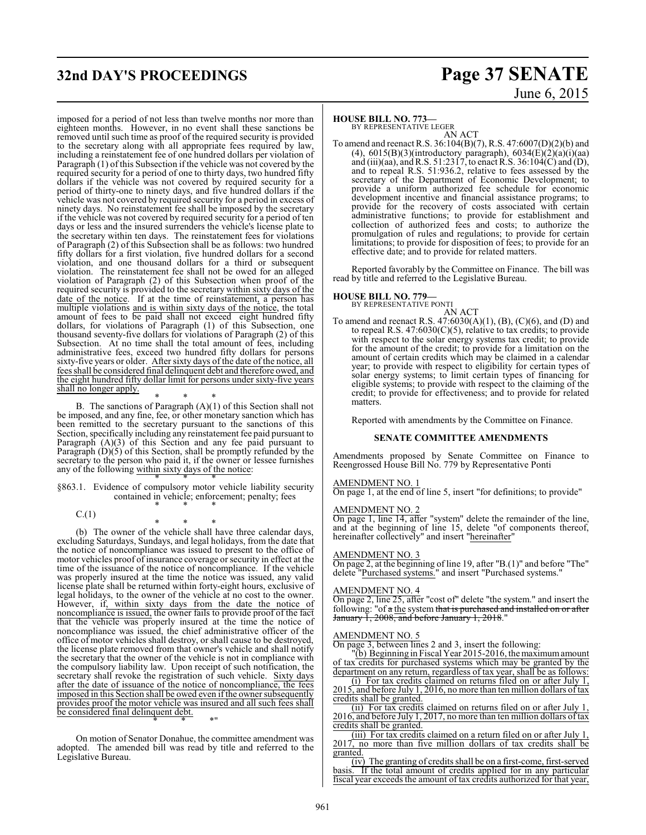## **32nd DAY'S PROCEEDINGS Page 37 SENATE**

imposed for a period of not less than twelve months nor more than eighteen months. However, in no event shall these sanctions be removed until such time as proof of the required security is provided to the secretary along with all appropriate fees required by law, including a reinstatement fee of one hundred dollars per violation of Paragraph (1) of this Subsection if the vehicle was not covered by the required security for a period of one to thirty days, two hundred fifty dollars if the vehicle was not covered by required security for a period of thirty-one to ninety days, and five hundred dollars if the vehicle was not covered by required security for a period in excess of ninety days. No reinstatement fee shall be imposed by the secretary if the vehicle was not covered by required security for a period of ten days or less and the insured surrenders the vehicle's license plate to the secretary within ten days. The reinstatement fees for violations of Paragraph (2) of this Subsection shall be as follows: two hundred fifty dollars for a first violation, five hundred dollars for a second violation, and one thousand dollars for a third or subsequent violation. The reinstatement fee shall not be owed for an alleged violation of Paragraph (2) of this Subsection when proof of the required security is provided to the secretary within sixty days of the date of the notice. If at the time of reinstatement, a person has multiple violations and is within sixty days of the notice, the total amount of fees to be paid shall not exceed eight hundred fifty dollars, for violations of Paragraph (1) of this Subsection, one thousand seventy-five dollars for violations of Paragraph (2) of this Subsection. At no time shall the total amount of fees, including administrative fees, exceed two hundred fifty dollars for persons sixty-five years or older. After sixty days of the date of the notice, all fees shall be considered final delinquent debt and therefore owed, and the eight hundred fifty dollar limit for persons under sixty-five years shall no longer apply.

\* \* \* B. The sanctions of Paragraph (A)(1) of this Section shall not be imposed, and any fine, fee, or other monetary sanction which has been remitted to the secretary pursuant to the sanctions of this Section, specifically including any reinstatement fee paid pursuant to Paragraph (A)(3) of this Section and any fee paid pursuant to Paragraph (D)(5) of this Section, shall be promptly refunded by the secretary to the person who paid it, if the owner or lessee furnishes any of the following within sixty days of the notice:

\* \* \* §863.1. Evidence of compulsory motor vehicle liability security contained in vehicle; enforcement; penalty; fees \* \* \*

 $C.(1)$ 

\* \* \* (b) The owner of the vehicle shall have three calendar days, excluding Saturdays, Sundays, and legal holidays, from the date that the notice of noncompliance was issued to present to the office of motor vehicles proof of insurance coverage or security in effect at the time of the issuance of the notice of noncompliance. If the vehicle was properly insured at the time the notice was issued, any valid license plate shall be returned within forty-eight hours, exclusive of legal holidays, to the owner of the vehicle at no cost to the owner. However, if, within sixty days from the date the notice of noncompliance is issued, the owner fails to provide proof of the fact that the vehicle was properly insured at the time the notice of noncompliance was issued, the chief administrative officer of the office of motor vehicles shall destroy, or shall cause to be destroyed, the license plate removed from that owner's vehicle and shall notify the secretary that the owner of the vehicle is not in compliance with the compulsory liability law. Upon receipt of such notification, the secretary shall revoke the registration of such vehicle. Sixty days after the date of issuance of the notice of noncompliance, the fees imposed in this Section shall be owed even if the owner subsequently provides proof the motor vehicle was insured and all such fees shall be considered final delinquent debt.

On motion of Senator Donahue, the committee amendment was adopted. The amended bill was read by title and referred to the Legislative Bureau.

\* \* \*"

# June 6, 2015

#### **HOUSE BILL NO. 773—**

BY REPRESENTATIVE LEGER AN ACT

To amend and reenact R.S. 36:104(B)(7), R.S. 47:6007(D)(2)(b) and (4),  $6015(B)(3)$ (introductory paragraph),  $6034(E)(2)(a)(i)(aa)$ and (iii)(aa), and R.S. 51:2317, to enact R.S. 36:104(C) and (D), and to repeal R.S. 51:936.2, relative to fees assessed by the secretary of the Department of Economic Development; to provide a uniform authorized fee schedule for economic development incentive and financial assistance programs; to provide for the recovery of costs associated with certain administrative functions; to provide for establishment and collection of authorized fees and costs; to authorize the promulgation of rules and regulations; to provide for certain limitations; to provide for disposition of fees; to provide for an effective date; and to provide for related matters.

Reported favorably by the Committee on Finance. The bill was read by title and referred to the Legislative Bureau.

## **HOUSE BILL NO. 779—** BY REPRESENTATIVE PONTI

AN ACT To amend and reenact R.S. 47:6030(A)(1), (B), (C)(6), and (D) and to repeal R.S.  $47:6030(C)(5)$ , relative to tax credits; to provide with respect to the solar energy systems tax credit; to provide for the amount of the credit; to provide for a limitation on the amount of certain credits which may be claimed in a calendar year; to provide with respect to eligibility for certain types of solar energy systems; to limit certain types of financing for eligible systems; to provide with respect to the claiming of the credit; to provide for effectiveness; and to provide for related matters.

Reported with amendments by the Committee on Finance.

#### **SENATE COMMITTEE AMENDMENTS**

Amendments proposed by Senate Committee on Finance to Reengrossed House Bill No. 779 by Representative Ponti

#### AMENDMENT NO. 1

On page 1, at the end of line 5, insert "for definitions; to provide"

#### AMENDMENT NO. 2

On page 1, line 14, after "system" delete the remainder of the line, and at the beginning of line 15, delete "of components thereof, hereinafter collectively" and insert "hereinafter"

#### AMENDMENT NO. 3

On page 2, at the beginning of line 19, after "B.(1)" and before "The" delete "Purchased systems." and insert "Purchased systems."

#### AMENDMENT NO. 4

On page 2, line 25, after "cost of" delete "the system." and insert the following: "of a the system that is purchased and installed on or after January 1, 2008, and before January 1, 2018."

#### AMENDMENT NO. 5

On page 3, between lines 2 and 3, insert the following:

"(b) Beginning in Fiscal Year 2015-2016, the maximumamount of tax credits for purchased systems which may be granted by the department on any return, regardless of tax year, shall be as follows:

(i) For tax credits claimed on returns filed on or after July 1, 2015, and before July 1, 2016, no more than ten million dollars of tax credits shall be granted.

(ii) For tax credits claimed on returns filed on or after July 1, 2016, and before July 1, 2017, no more than ten million dollars oftax credits shall be granted.

(iii) For tax credits claimed on a return filed on or after July 1, 2017, no more than five million dollars of tax credits shall be granted.

(iv) The granting of credits shall be on a first-come, first-served basis. If the total amount of credits applied for in any particular fiscal year exceeds the amount of tax credits authorized for that year,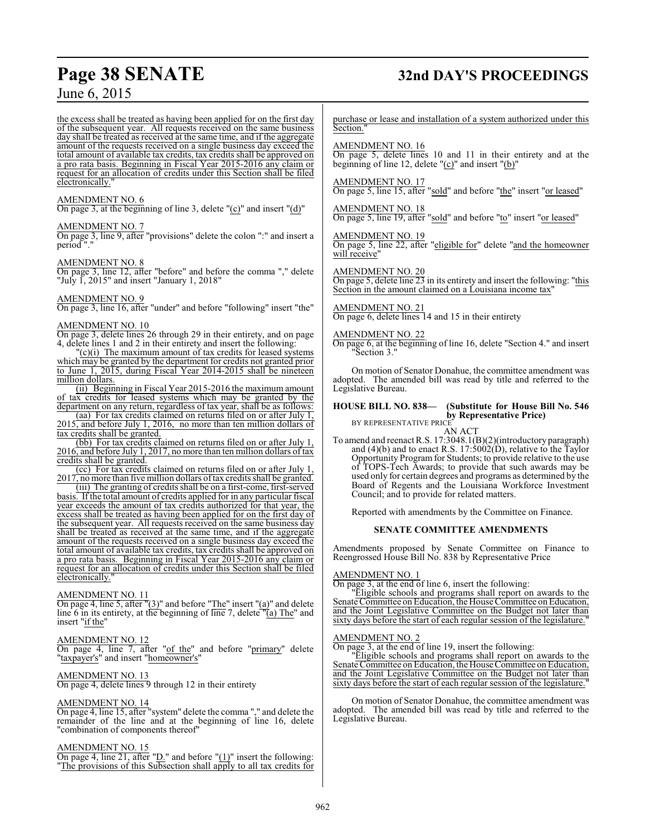# **Page 38 SENATE 32nd DAY'S PROCEEDINGS**

the excess shall be treated as having been applied for on the first day of the subsequent year. All requests received on the same business day shall be treated as received at the same time, and if the aggregate amount of the requests received on a single business day exceed the total amount of available tax credits, tax credits shall be approved on a pro rata basis. Beginning in Fiscal Year 2015-2016 any claim or request for an allocation of credits under this Section shall be filed electronically.

#### AMENDMENT NO. 6

On page 3, at the beginning of line 3, delete "(c)" and insert "(d)"

#### AMENDMENT NO. 7

On page 3, line 9, after "provisions" delete the colon ":" and insert a period "."

#### AMENDMENT NO. 8

On page 3, line 12, after "before" and before the comma "," delete "July  $\tilde{I}$ , 2015" and insert "January 1, 2018"

### AMENDMENT NO. 9

On page 3, line 16, after "under" and before "following" insert "the"

#### AMENDMENT NO. 10

On page 3, delete lines 26 through 29 in their entirety, and on page 4, delete lines 1 and 2 in their entirety and insert the following:

 $\Gamma(c)(i)$  The maximum amount of tax credits for leased systems which may be granted by the department for credits not granted prior to June 1, 2015, during Fiscal Year 2014-2015 shall be nineteen million dollars.

(ii) Beginning in Fiscal Year 2015-2016 the maximum amount of tax credits for leased systems which may be granted by the department on any return, regardless of tax year, shall be as follows:

(aa) For tax credits claimed on returns filed on or after July 1, 2015, and before July 1, 2016, no more than ten million dollars of tax credits shall be granted.

(bb) For tax credits claimed on returns filed on or after July 1, 2016, and before July 1, 2017, no more than ten million dollars of tax credits shall be granted.

(cc) For tax credits claimed on returns filed on or after July 1, 2017, no more than five million dollars oftax credits shall be granted.

(iii) The granting of credits shall be on a first-come, first-served basis. If the total amount of credits applied for in any particular fiscal year exceeds the amount of tax credits authorized for that year, the excess shall be treated as having been applied for on the first day of the subsequent year. All requests received on the same business day shall be treated as received at the same time, and if the aggregate amount of the requests received on a single business day exceed the total amount of available tax credits, tax credits shall be approved on a pro rata basis. Beginning in Fiscal Year 2015-2016 any claim or request for an allocation of credits under this Section shall be filed electronically."

#### AMENDMENT NO. 11

On page 4, line 5, after "(3)" and before "The" insert "(a)" and delete line 6 in its entirety, at the beginning of line 7, delete  $\overline{a}$  The" and insert "if the"

### AMENDMENT NO. 12

On page 4, line 7, after "of the" and before "primary" delete "taxpayer's" and insert "homeowner's"

#### AMENDMENT NO. 13

On page 4, delete lines 9 through 12 in their entirety

#### AMENDMENT NO. 14

On page 4, line 15, after "system" delete the comma "," and delete the remainder of the line and at the beginning of line 16, delete "combination of components thereof"

#### AMENDMENT NO. 15

On page 4, line 21, after " $D$ ." and before " $(1)$ " insert the following: "The provisions of this Subsection shall apply to all tax credits for purchase or lease and installation of a system authorized under this Section."

#### AMENDMENT NO. 16

On page 5, delete lines 10 and 11 in their entirety and at the beginning of line 12, delete "(c)" and insert "(b)"

### AMENDMENT NO. 17

On page 5, line 15, after "sold" and before "the" insert "or leased"

AMENDMENT NO. 18 On page 5, line 19, after "sold" and before "to" insert "or leased"

AMENDMENT NO. 19 On page 5, line 22, after "eligible for" delete "and the homeowner will receive"

AMENDMENT NO. 20

On page 5, delete line 23 in its entirety and insert the following: "this Section in the amount claimed on a Louisiana income tax"

#### AMENDMENT NO. 21

On page 6, delete lines 14 and 15 in their entirety

#### AMENDMENT NO. 22

On page 6, at the beginning of line 16, delete "Section 4." and insert "Section 3."

On motion of Senator Donahue, the committee amendment was adopted. The amended bill was read by title and referred to the Legislative Bureau.

#### **HOUSE BILL NO. 838— (Substitute for House Bill No. 546 by Representative Price)**

BY REPRESENTATIVE PRICE

AN ACT To amend and reenact R.S. 17:3048.1(B)(2)(introductory paragraph) and (4)(b) and to enact R.S. 17:5002(D), relative to the Taylor Opportunity Program for Students; to provide relative to the use of TOPS-Tech Awards; to provide that such awards may be used only for certain degrees and programs as determined by the Board of Regents and the Louisiana Workforce Investment Council; and to provide for related matters.

Reported with amendments by the Committee on Finance.

#### **SENATE COMMITTEE AMENDMENTS**

Amendments proposed by Senate Committee on Finance to Reengrossed House Bill No. 838 by Representative Price

#### AMENDMENT NO. 1

On page 3, at the end of line 6, insert the following:

"Eligible schools and programs shall report on awards to the Senate Committee on Education, the House Committee on Education, and the Joint Legislative Committee on the Budget not later than sixty days before the start of each regular session of the legislature."

#### AMENDMENT NO. 2

On page 3, at the end of line 19, insert the following:

"Eligible schools and programs shall report on awards to the Senate Committee on Education, the House Committee on Education, and the Joint Legislative Committee on the Budget not later than sixty days before the start of each regular session of the legislature."

On motion of Senator Donahue, the committee amendment was adopted. The amended bill was read by title and referred to the Legislative Bureau.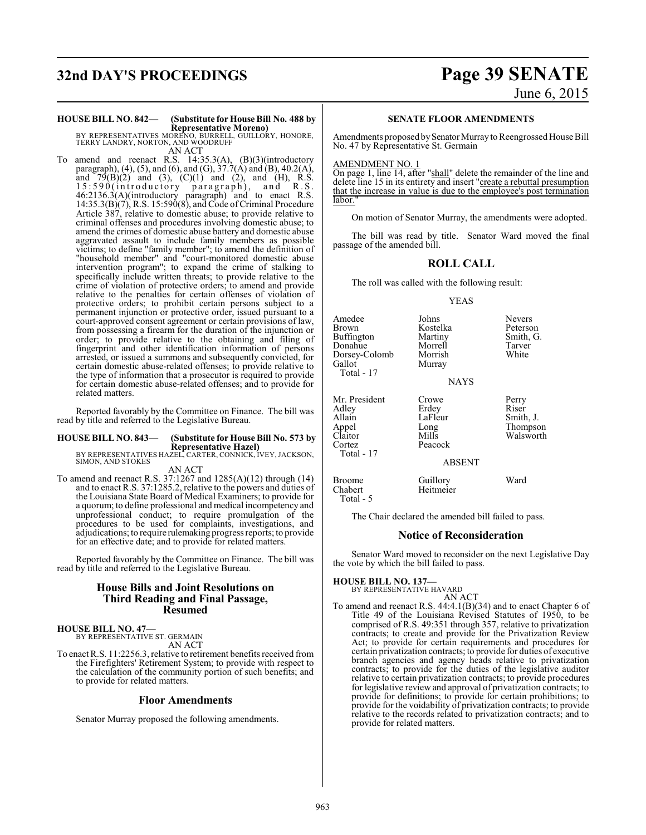# **32nd DAY'S PROCEEDINGS Page 39 SENATE** June 6, 2015

# **HOUSE BILL NO. 842— (Substitute for House Bill No. 488 by**

**Representative Moreno)** BY REPRESENTATIVES MORENO, BURRELL, GUILLORY, HONORE, TERRY LANDRY, NORTON, AND WOODRUFF AN ACT

To amend and reenact R.S. 14:35.3(A), (B)(3)(introductory paragraph), (4), (5), and (6), and (G),  $37.7(A)$  and (B), 40.2(A), and  $79(B)(2)$  and  $(3)$ ,  $(C)(1)$  and  $(2)$ , and  $(H)$ , R.S. 15:590(introductory paragraph), and R.S. 46:2136.3(A)(introductory paragraph) and to enact R.S. 14:35.3(B)(7), R.S. 15:590(8), and Code of Criminal Procedure Article 387, relative to domestic abuse; to provide relative to criminal offenses and procedures involving domestic abuse; to amend the crimes of domestic abuse battery and domestic abuse aggravated assault to include family members as possible victims; to define "family member"; to amend the definition of "household member" and "court-monitored domestic abuse intervention program"; to expand the crime of stalking to specifically include written threats; to provide relative to the crime of violation of protective orders; to amend and provide relative to the penalties for certain offenses of violation of protective orders; to prohibit certain persons subject to a permanent injunction or protective order, issued pursuant to a court-approved consent agreement or certain provisions of law, from possessing a firearm for the duration of the injunction or order; to provide relative to the obtaining and filing of fingerprint and other identification information of persons arrested, or issued a summons and subsequently convicted, for certain domestic abuse-related offenses; to provide relative to the type of information that a prosecutor is required to provide for certain domestic abuse-related offenses; and to provide for related matters.

Reported favorably by the Committee on Finance. The bill was read by title and referred to the Legislative Bureau.

### **HOUSE BILL NO. 843— (Substitute for House Bill No. 573 by**

**Representative Hazel)** BY REPRESENTATIVES HAZEL, CARTER, CONNICK, IVEY, JACKSON, SIMON, AND STOKES

AN ACT To amend and reenact R.S. 37:1267 and 1285(A)(12) through (14) and to enact R.S. 37:1285.2, relative to the powers and duties of the Louisiana State Board of Medical Examiners; to provide for a quorum; to define professional and medical incompetency and unprofessional conduct; to require promulgation of the procedures to be used for complaints, investigations, and adjudications; to require rulemaking progress reports; to provide for an effective date; and to provide for related matters.

Reported favorably by the Committee on Finance. The bill was read by title and referred to the Legislative Bureau.

#### **House Bills and Joint Resolutions on Third Reading and Final Passage, Resumed**

#### **HOUSE BILL NO. 47—**

BY REPRESENTATIVE ST. GERMAIN AN ACT

To enact R.S. 11:2256.3, relative to retirement benefits received from the Firefighters' Retirement System; to provide with respect to the calculation of the community portion of such benefits; and to provide for related matters.

#### **Floor Amendments**

Senator Murray proposed the following amendments.

#### **SENATE FLOOR AMENDMENTS**

Amendments proposed by Senator Murray to Reengrossed House Bill No. 47 by Representative St. Germain

#### AMENDMENT NO. 1

On page 1, line 14, after "shall" delete the remainder of the line and delete line 15 in its entirety and insert "create a rebuttal presumption that the increase in value is due to the employee's post termination labor.

On motion of Senator Murray, the amendments were adopted.

The bill was read by title. Senator Ward moved the final passage of the amended bill.

#### **ROLL CALL**

The roll was called with the following result:

#### YEAS

| Amedee<br>Brown<br>Buffington<br>Donahue<br>Dorsey-Colomb<br>Gallot<br>Total - 17 | Johns<br>Kostelka<br>Martiny<br>Morrell<br>Morrish<br>Murray<br><b>NAYS</b> | <b>Nevers</b><br>Peterson<br>Smith, G.<br>Tarver<br>White |
|-----------------------------------------------------------------------------------|-----------------------------------------------------------------------------|-----------------------------------------------------------|
| Mr. President<br>Adley<br>Allain<br>Appel<br>Claitor<br>Cortez<br>Total - 17      | Crowe<br>Erdey<br>LaFleur<br>Long<br>Mills<br>Peacock<br><b>ABSENT</b>      | Perry<br>Riser<br>Smith, J.<br>Thompson<br>Walsworth      |

The Chair declared the amended bill failed to pass.

Broome Guillory Ward<br>Chabert Heitmeier Heitmeier

#### **Notice of Reconsideration**

Senator Ward moved to reconsider on the next Legislative Day the vote by which the bill failed to pass.

#### **HOUSE BILL NO. 137—** BY REPRESENTATIVE HAVARD

Total - 5

## AN ACT

To amend and reenact R.S. 44:4.1(B)(34) and to enact Chapter 6 of Title 49 of the Louisiana Revised Statutes of 1950, to be comprised of R.S. 49:351 through 357, relative to privatization contracts; to create and provide for the Privatization Review Act; to provide for certain requirements and procedures for certain privatization contracts; to provide for duties of executive branch agencies and agency heads relative to privatization contracts; to provide for the duties of the legislative auditor relative to certain privatization contracts; to provide procedures for legislative review and approval of privatization contracts; to provide for definitions; to provide for certain prohibitions; to provide for the voidability of privatization contracts; to provide relative to the records related to privatization contracts; and to provide for related matters.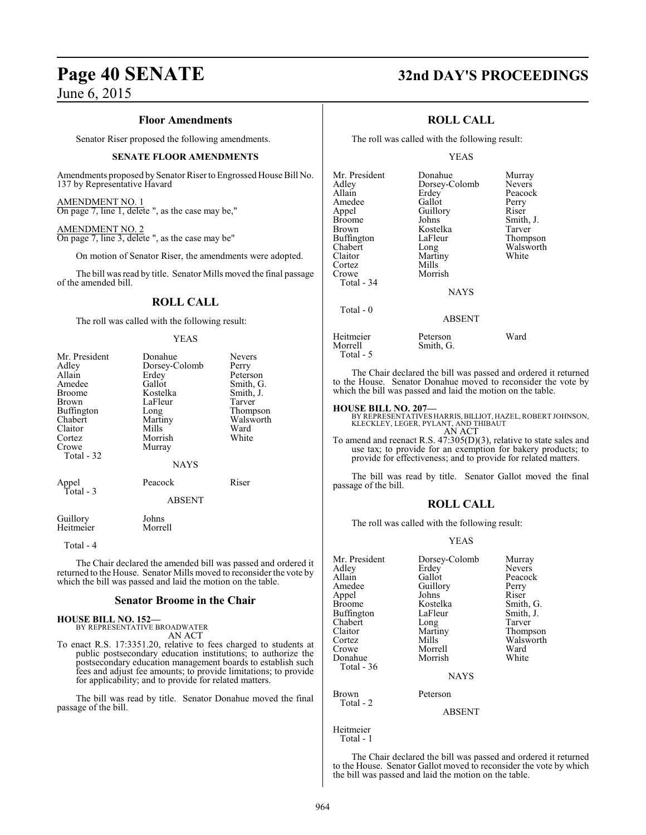#### **Floor Amendments**

Senator Riser proposed the following amendments.

#### **SENATE FLOOR AMENDMENTS**

Amendments proposed by Senator Riser to Engrossed House Bill No. 137 by Representative Havard

#### AMENDMENT NO. 1

On page 7, line 1, delete ", as the case may be,"

#### AMENDMENT NO. 2

On page 7, line 3, delete ", as the case may be"

On motion of Senator Riser, the amendments were adopted.

The bill was read by title. Senator Mills moved the final passage of the amended bill.

## **ROLL CALL**

The roll was called with the following result:

#### YEAS

| Mr. President<br>Adley<br>Allain<br>Amedee<br>Broome<br>Brown<br>Buffington<br>Chabert<br>Claitor<br>Cortez<br>Crowe<br>Total - 32 | Donahue<br>Dorsey-Colomb<br>Erdey<br>Gallot<br>Kostelka<br>LaFleur<br>Long<br>Martiny<br>Mills<br>Morrish<br>Murray<br><b>NAYS</b> | <b>Nevers</b><br>Perry<br>Peterson<br>Smith, G.<br>Smith, J.<br>Tarver<br>Thompson<br>Walsworth<br>Ward<br>White |
|------------------------------------------------------------------------------------------------------------------------------------|------------------------------------------------------------------------------------------------------------------------------------|------------------------------------------------------------------------------------------------------------------|
| Appel<br>Total - 3                                                                                                                 | Peacock<br><b>ABSENT</b>                                                                                                           | Riser                                                                                                            |
| Guillory<br>Heitmeier                                                                                                              | Johns<br>Morrell                                                                                                                   |                                                                                                                  |

Total - 4

The Chair declared the amended bill was passed and ordered it returned to the House. Senator Mills moved to reconsider the vote by which the bill was passed and laid the motion on the table.

#### **Senator Broome in the Chair**

#### **HOUSE BILL NO. 152—** BY REPRESENTATIVE BROADWATER AN ACT

To enact R.S. 17:3351.20, relative to fees charged to students at public postsecondary education institutions; to authorize the postsecondary education management boards to establish such fees and adjust fee amounts; to provide limitations; to provide for applicability; and to provide for related matters.

The bill was read by title. Senator Donahue moved the final passage of the bill.

## **Page 40 SENATE 32nd DAY'S PROCEEDINGS**

#### **ROLL CALL**

The roll was called with the following result:

#### YEAS

| Mr. President                      | Donahue       | Murray        |
|------------------------------------|---------------|---------------|
| Adley                              | Dorsey-Colomb | <b>Nevers</b> |
| Allain                             | Erdey         | Peacock       |
| Amedee                             | Gallot        | Perry         |
| Appel                              | Guillory      | Riser         |
| <b>Broome</b>                      | Johns         | Smith, J.     |
| <b>Brown</b>                       | Kostelka      | Tarver        |
| Buffington                         | LaFleur       | Thompson      |
| Chabert                            | Long          | Walsworth     |
| Claitor                            | Martiny       | White         |
| Cortez                             | Mills         |               |
| Crowe                              | Morrish       |               |
| Total - 34                         |               |               |
|                                    | <b>NAYS</b>   |               |
| Total $-0$                         |               |               |
|                                    | <b>ABSENT</b> |               |
| $TT$ , $T$ , $T$ , $T$ , $T$ , $T$ | <b>D</b>      | TT7.1         |

Smith, G.

Heitmeier Peterson Ward Total - 5

The Chair declared the bill was passed and ordered it returned to the House. Senator Donahue moved to reconsider the vote by which the bill was passed and laid the motion on the table.

#### **HOUSE BILL NO. 207—**

BY REPRESENTATIVES HARRIS, BILLIOT, HAZEL, ROBERT JOHNSON,<br>KLECKLEY, LEGER, PYLANT, AND THIBAUT<br>AN ACT

To amend and reenact R.S. 47:305(D)(3), relative to state sales and use tax; to provide for an exemption for bakery products; to provide for effectiveness; and to provide for related matters.

The bill was read by title. Senator Gallot moved the final passage of the bill.

#### **ROLL CALL**

The roll was called with the following result:

#### YEAS

| Mr. President<br>Adley<br>Allain<br>Amedee<br>Appel<br><b>Broome</b> | Dorsey-Colomb<br>Erdey<br>Gallot<br>Guillory<br>Johns<br>Kostelka | Murray<br><b>Nevers</b><br>Peacock<br>Perry<br>Riser<br>Smith, G. |
|----------------------------------------------------------------------|-------------------------------------------------------------------|-------------------------------------------------------------------|
| Buffington                                                           | LaFleur                                                           | Smith, J.                                                         |
| Chabert                                                              | Long                                                              | Tarver                                                            |
| Claitor                                                              | Martiny                                                           | Thompson                                                          |
| Cortez                                                               | Mills                                                             | Walsworth                                                         |
| Crowe                                                                | Morrell                                                           | Ward                                                              |
| Donahue<br>Total - 36                                                | Morrish                                                           | White                                                             |
|                                                                      | <b>NAYS</b>                                                       |                                                                   |
| Brown<br>Total - 2                                                   | Peterson                                                          |                                                                   |
|                                                                      | <b>ABSENT</b>                                                     |                                                                   |
| Heitmeier                                                            |                                                                   |                                                                   |

Total - 1

The Chair declared the bill was passed and ordered it returned to the House. Senator Gallot moved to reconsider the vote by which the bill was passed and laid the motion on the table.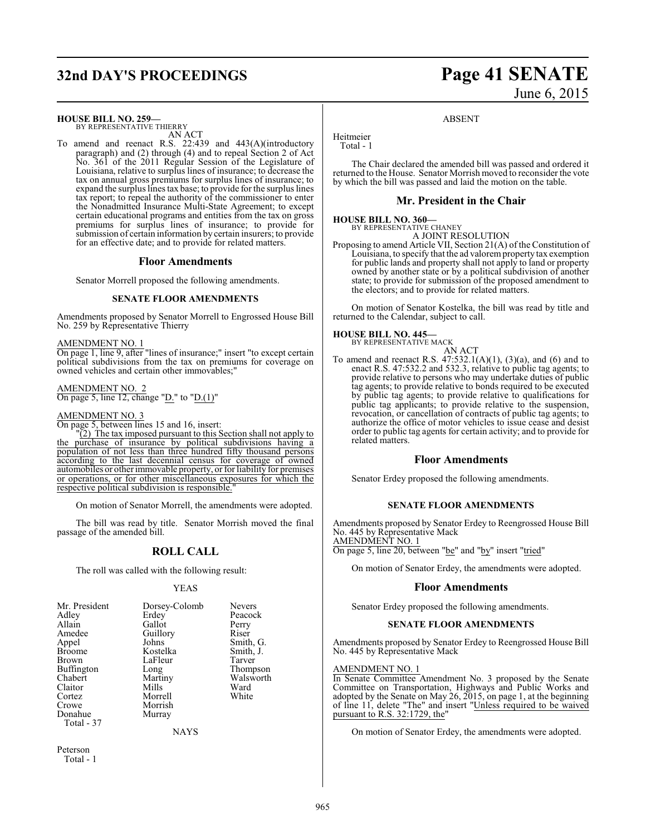## **32nd DAY'S PROCEEDINGS Page 41 SENATE**

#### **HOUSE BILL NO. 259—**

BY REPRESENTATIVE THIERRY AN ACT

To amend and reenact R.S. 22:439 and 443(A)(introductory paragraph) and (2) through (4) and to repeal Section 2 of Act No. 361 of the 2011 Regular Session of the Legislature of Louisiana, relative to surplus lines of insurance; to decrease the tax on annual gross premiums for surplus lines of insurance; to expand the surplus lines tax base; to provide for the surplus lines tax report; to repeal the authority of the commissioner to enter the Nonadmitted Insurance Multi-State Agreement; to except certain educational programs and entities from the tax on gross premiums for surplus lines of insurance; to provide for submission of certain information by certain insurers; to provide for an effective date; and to provide for related matters.

#### **Floor Amendments**

Senator Morrell proposed the following amendments.

#### **SENATE FLOOR AMENDMENTS**

Amendments proposed by Senator Morrell to Engrossed House Bill No. 259 by Representative Thierry

AMENDMENT NO. 1

On page 1, line 9, after "lines of insurance;" insert "to except certain political subdivisions from the tax on premiums for coverage on owned vehicles and certain other immovables;"

#### AMENDMENT NO. 2 On page 5, line 12, change " $\underline{D}$ ." to " $\underline{D}$ .(1)"

#### AMENDMENT NO. 3

On page 5, between lines 15 and 16, insert:

"(2) The tax imposed pursuant to this Section shall not apply to purchase of insurance by political subdivisions having a population of not less than three hundred fifty thousand persons according to the last decennial census for coverage of owned automobiles or other immovable property, or for liability for premises or operations, or for other miscellaneous exposures for which the respective political subdivision is responsible."

On motion of Senator Morrell, the amendments were adopted.

The bill was read by title. Senator Morrish moved the final passage of the amended bill.

## **ROLL CALL**

The roll was called with the following result:

#### YEAS

| LaFleur<br><b>Brown</b><br><b>Buffington</b><br>Long<br>Chabert<br>Martiny<br>Mills<br>Claitor<br>Morrell<br>Cortez<br>Morrish<br>Crowe<br>Donahue<br>Murray<br>Total - 37 | Tarver<br>Thompson<br>Walsworth<br>Ward<br>White |
|----------------------------------------------------------------------------------------------------------------------------------------------------------------------------|--------------------------------------------------|
|                                                                                                                                                                            |                                                  |

NAYS

Peterson Total - 1

# June 6, 2015

#### ABSENT

Heitmeier Total - 1

The Chair declared the amended bill was passed and ordered it returned to the House. Senator Morrish moved to reconsider the vote by which the bill was passed and laid the motion on the table.

#### **Mr. President in the Chair**

#### **HOUSE BILL NO. 360—**

BY REPRESENTATIVE CHANEY A JOINT RESOLUTION

Proposing to amend Article VII, Section 21(A) of the Constitution of Louisiana, to specify that the ad valorem property tax exemption for public lands and property shall not apply to land or property owned by another state or by a political subdivision of another state; to provide for submission of the proposed amendment to the electors; and to provide for related matters.

On motion of Senator Kostelka, the bill was read by title and returned to the Calendar, subject to call.

#### **HOUSE BILL NO. 445—**

BY REPRESENTATIVE MACK AN ACT

To amend and reenact R.S.  $47:532.1(A)(1)$ ,  $(3)(a)$ , and  $(6)$  and to enact R.S. 47:532.2 and 532.3, relative to public tag agents; to provide relative to persons who may undertake duties of public tag agents; to provide relative to bonds required to be executed by public tag agents; to provide relative to qualifications for public tag applicants; to provide relative to the suspension, revocation, or cancellation of contracts of public tag agents; to authorize the office of motor vehicles to issue cease and desist order to public tag agents for certain activity; and to provide for related matters.

#### **Floor Amendments**

Senator Erdey proposed the following amendments.

#### **SENATE FLOOR AMENDMENTS**

Amendments proposed by Senator Erdey to Reengrossed House Bill No. 445 by Representative Mack AMENDMENT NO. 1

On page 5, line 20, between "be" and "by" insert "tried"

On motion of Senator Erdey, the amendments were adopted.

#### **Floor Amendments**

Senator Erdey proposed the following amendments.

#### **SENATE FLOOR AMENDMENTS**

Amendments proposed by Senator Erdey to Reengrossed House Bill No. 445 by Representative Mack

### AMENDMENT NO. 1

In Senate Committee Amendment No. 3 proposed by the Senate Committee on Transportation, Highways and Public Works and adopted by the Senate on May 26, 2015, on page 1, at the beginning of line 11, delete "The" and insert "Unless required to be waived pursuant to R.S. 32:1729, the"

On motion of Senator Erdey, the amendments were adopted.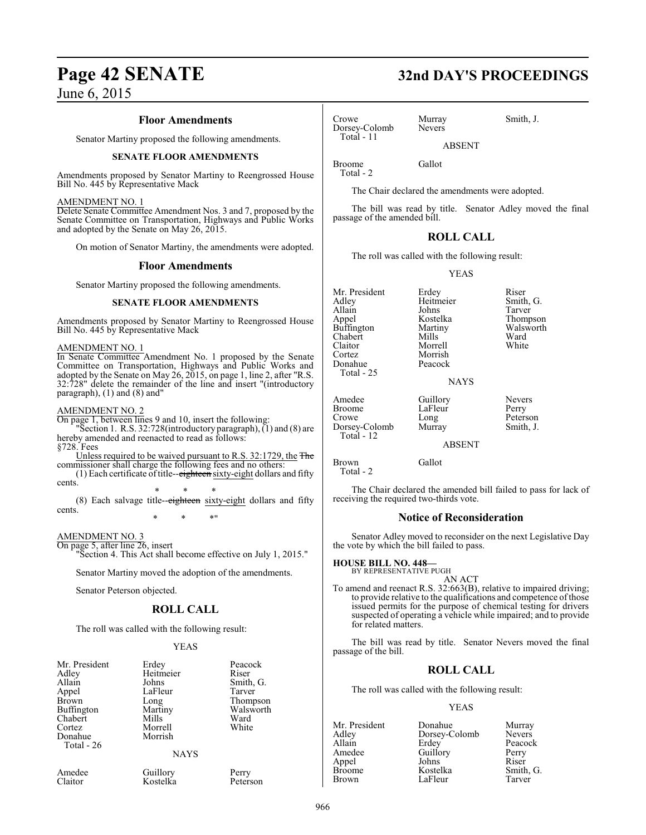#### **Floor Amendments**

Senator Martiny proposed the following amendments.

#### **SENATE FLOOR AMENDMENTS**

Amendments proposed by Senator Martiny to Reengrossed House Bill No. 445 by Representative Mack

#### AMENDMENT NO. 1

Delete Senate Committee Amendment Nos. 3 and 7, proposed by the Senate Committee on Transportation, Highways and Public Works and adopted by the Senate on May 26, 2015.

On motion of Senator Martiny, the amendments were adopted.

#### **Floor Amendments**

Senator Martiny proposed the following amendments.

#### **SENATE FLOOR AMENDMENTS**

Amendments proposed by Senator Martiny to Reengrossed House Bill No. 445 by Representative Mack

#### AMENDMENT NO. 1

In Senate Committee Amendment No. 1 proposed by the Senate Committee on Transportation, Highways and Public Works and adopted by the Senate on May 26, 2015, on page 1, line 2, after "R.S. 32:728" delete the remainder of the line and insert "(introductory paragraph), (1) and (8) and"

#### AMENDMENT NO. 2

On page 1, between lines 9 and 10, insert the following: Section 1. R.S. 32:728(introductory paragraph), (1) and (8) are hereby amended and reenacted to read as follows: §728. Fees

Unless required to be waived pursuant to R.S. 32:1729, the The commissioner shall charge the following fees and no others:

 $(1)$  Each certificate of title-- $e$ ighteen sixty-eight dollars and fifty cents.

\* \* \* (8) Each salvage title--eighteen sixty-eight dollars and fifty cents.

\* \* \*"

#### AMENDMENT NO. 3

On page 5, after line 26, insert "Section 4. This Act shall become effective on July 1, 2015."

Senator Martiny moved the adoption of the amendments.

Senator Peterson objected.

#### **ROLL CALL**

The roll was called with the following result:

#### YEAS

| Mr. President<br>Adley<br>Allain<br>Appel<br>Brown<br>Buffington<br>Chabert<br>Cortez<br>Donahue<br>Total - 26 | Erdey<br>Heitmeier<br>Johns<br>LaFleur<br>Long<br>Martiny<br>Mills<br>Morrell<br>Morrish | Peacock<br>Riser<br>Smith, G.<br>Tarver<br>Thompson<br>Walsworth<br>Ward<br>White |
|----------------------------------------------------------------------------------------------------------------|------------------------------------------------------------------------------------------|-----------------------------------------------------------------------------------|
|                                                                                                                | <b>NAYS</b>                                                                              |                                                                                   |

Amedee Guillory Perry<br>Claitor Kostelka Peterson Kostelka

# **Page 42 SENATE 32nd DAY'S PROCEEDINGS**

Crowe Murray Smith, J.<br>Dorsey-Colomb Nevers Dorsey-Colomb Total - 11

ABSENT

Broome Gallot Total - 2

The Chair declared the amendments were adopted.

The bill was read by title. Senator Adley moved the final passage of the amended bill.

#### **ROLL CALL**

The roll was called with the following result:

YEAS

| Mr. President<br>Adlev<br>Allain<br>Appel<br>Buffington<br>Chabert<br>Claitor<br>Cortez<br>Donahue<br>Total - 25 | Erdey<br>Heitmeier<br>Johns<br>Kostelka<br>Martiny<br>Mills<br>Morrell<br>Morrish<br>Peacock<br><b>NAYS</b> | Riser<br>Smith, G.<br>Tarver<br>Thompson<br>Walsworth<br>Ward<br>White |
|------------------------------------------------------------------------------------------------------------------|-------------------------------------------------------------------------------------------------------------|------------------------------------------------------------------------|
| Amedee<br>Broome<br>Crowe<br>Dorsey-Colomb<br>Total - 12                                                         | Guillory<br>LaFleur<br>Long<br>Murray                                                                       | <b>Nevers</b><br>Perry<br>Peterson<br>Smith, J.                        |

ABSENT

Brown Gallot Total - 2

The Chair declared the amended bill failed to pass for lack of receiving the required two-thirds vote.

#### **Notice of Reconsideration**

Senator Adley moved to reconsider on the next Legislative Day the vote by which the bill failed to pass.

#### **HOUSE BILL NO. 448—**

BY REPRESENTATIVE PUGH

AN ACT To amend and reenact R.S. 32:663(B), relative to impaired driving; to provide relative to the qualifications and competence of those issued permits for the purpose of chemical testing for drivers suspected of operating a vehicle while impaired; and to provide for related matters.

The bill was read by title. Senator Nevers moved the final passage of the bill.

#### **ROLL CALL**

The roll was called with the following result:

#### YEAS

Mr. President Donahue Murray<br>Adley Dorsey-Colomb Nevers Adley Dorsey-Colomb<br>Allain Erdey Allain Erdey Peacock<br>Amedee Guillory Perry Appel Johns<br>Broome Kostelka Broome Kostelka Smith, G.<br>Brown LaFleur Tarver LaFleur

Guillory Perry<br>Johns Riser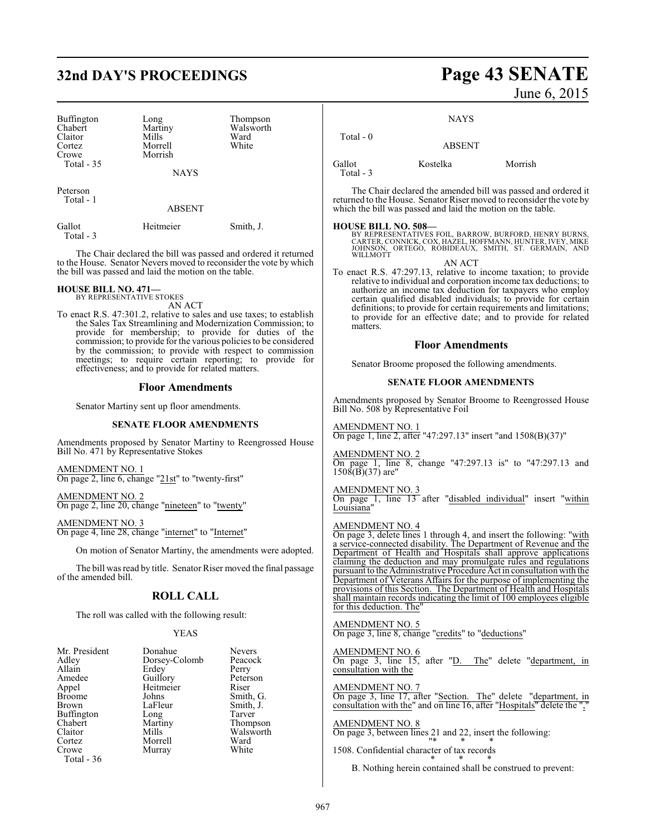## **32nd DAY'S PROCEEDINGS Page 43 SENATE**

| Buffington<br>Chabert<br>Claitor<br>Cortez<br>Crowe<br>Total $-35$ | Long<br>Martiny<br>Mills<br>Morrell<br>Morrish<br><b>NAYS</b> | Thompson<br>Walsworth<br>Ward<br>White |
|--------------------------------------------------------------------|---------------------------------------------------------------|----------------------------------------|
| Peterson<br>Total - 1                                              |                                                               |                                        |

ABSENT

| Gallot     | Heitmeier | Smith, J. |
|------------|-----------|-----------|
| Total $-3$ |           |           |

The Chair declared the bill was passed and ordered it returned to the House. Senator Nevers moved to reconsider the vote by which the bill was passed and laid the motion on the table.

#### **HOUSE BILL NO. 471—** BY REPRESENTATIVE STOKES

AN ACT

To enact R.S. 47:301.2, relative to sales and use taxes; to establish the Sales Tax Streamlining and Modernization Commission; to provide for membership; to provide for duties of the commission; to provide for the various policies to be considered by the commission; to provide with respect to commission meetings; to require certain reporting; to provide for effectiveness; and to provide for related matters.

#### **Floor Amendments**

Senator Martiny sent up floor amendments.

#### **SENATE FLOOR AMENDMENTS**

Amendments proposed by Senator Martiny to Reengrossed House Bill No. 471 by Representative Stokes

AMENDMENT NO. 1 On page 2, line 6, change "21st" to "twenty-first"

AMENDMENT NO. 2 On page 2, line 20, change "nineteen" to "twenty"

AMENDMENT NO. 3 On page 4, line 28, change "internet" to "Internet"

On motion of Senator Martiny, the amendments were adopted.

The bill was read by title. Senator Riser moved the final passage of the amended bill.

#### **ROLL CALL**

The roll was called with the following result:

#### YEAS

| Mr. President     | Donahue       | Nevers    |
|-------------------|---------------|-----------|
| Adley             | Dorsey-Colomb | Peacock   |
| Allain            | Erdey         | Perry     |
| Amedee            | Guillory      | Peterson  |
| Appel             | Heitmeier     | Riser     |
| <b>Broome</b>     | Johns         | Smith, G. |
| <b>Brown</b>      | LaFleur       | Smith, J. |
| <b>Buffington</b> | Long          | Tarver    |
| Chabert           | Martiny       | Thompson  |
| Claitor           | Mills         | Walsworth |
| Cortez            | Morrell       | Ward      |
| Crowe             | Murray        | White     |
| Total - 36        |               |           |

# June 6, 2015

NAYS

 Total - 0 ABSENT Gallot Kostelka Morrish

Total - 3

The Chair declared the amended bill was passed and ordered it returned to the House. Senator Riser moved to reconsider the vote by which the bill was passed and laid the motion on the table.

**HOUSE BILL NO. 508—**<br>BY REPRESENTATIVES FOIL, BARROW, BURFORD, HENRY BURNS, CARTER, CONNICK, COX, HAZEL, HOFFMANN, HUNTER, IVEY, MIKE<br>JOHNSON, ORTEGO, ROBIDEAUX, SMITH, ST. GERMAIN, AND<br>WILLMOTT AN ACT

To enact R.S. 47:297.13, relative to income taxation; to provide relative to individual and corporation income tax deductions; to authorize an income tax deduction for taxpayers who employ certain qualified disabled individuals; to provide for certain definitions; to provide for certain requirements and limitations; to provide for an effective date; and to provide for related matters.

#### **Floor Amendments**

Senator Broome proposed the following amendments.

#### **SENATE FLOOR AMENDMENTS**

Amendments proposed by Senator Broome to Reengrossed House Bill No. 508 by Representative Foil

AMENDMENT NO. 1 On page 1, line 2, after "47:297.13" insert "and 1508(B)(37)"

## AMENDMENT NO. 2

On page 1, line 8, change "47:297.13 is" to "47:297.13 and  $150\overline{8}$ (B)(37) are"

#### AMENDMENT NO. 3

On page 1, line 13 after "disabled individual" insert "within Louisiana"

#### AMENDMENT NO. 4

On page 3, delete lines 1 through 4, and insert the following: "with a service-connected disability. The Department of Revenue and the Department of Health and Hospitals shall approve applications claiming the deduction and may promulgate rules and regulations pursuant to the Administrative Procedure Act in consultation with the Department of Veterans Affairs for the purpose of implementing the provisions of this Section. The Department of Health and Hospitals shall maintain records indicating the limit of 100 employees eligible for this deduction. The

## AMENDMENT NO. 5

On page 3, line 8, change "credits" to "deductions"

#### AMENDMENT NO. 6

On page 3, line 15, after "D. The" delete "department, in consultation with the

#### AMENDMENT NO. 7

On page 3, line 17, after "Section. The" delete "department, in consultation with the" and on line 16, after "Hospitals" delete the ","

#### AMENDMENT NO. 8 On page 3, between lines 21 and 22, insert the following:

"\* \* \* 1508. Confidential character of tax records

> \* \* \* B. Nothing herein contained shall be construed to prevent: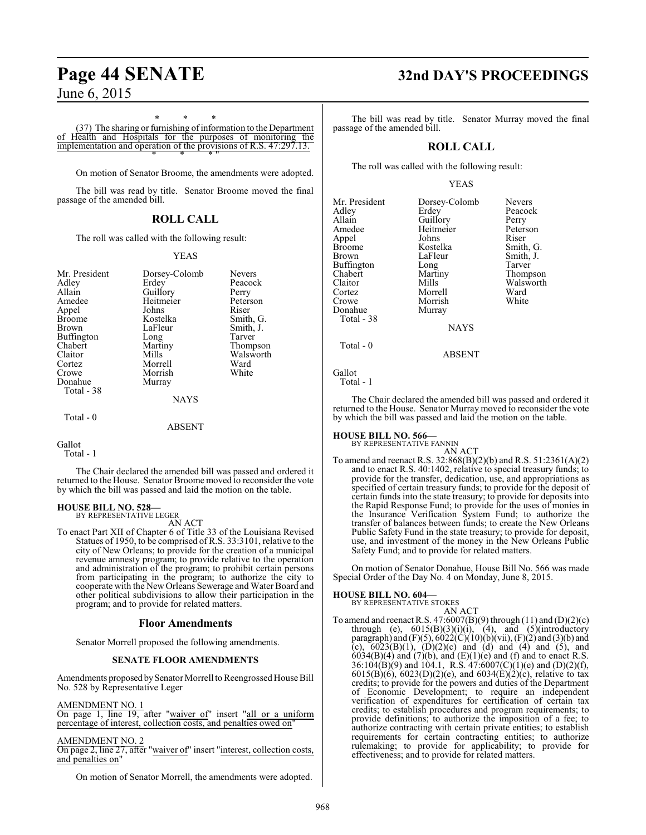\* \* \*

(37) The sharing or furnishing of information to the Department of Health and Hospitals for the purposes of monitoring the implementation and operation of the provisions of R.S. 47:297.13. \* \* \* "

On motion of Senator Broome, the amendments were adopted.

The bill was read by title. Senator Broome moved the final passage of the amended bill.

### **ROLL CALL**

The roll was called with the following result:

#### YEAS

| Mr. President     |               | <b>Nevers</b> |
|-------------------|---------------|---------------|
|                   | Dorsey-Colomb |               |
| Adley             | Erdev         | Peacock       |
| Allain            | Guillory      | Perry         |
| Amedee            | Heitmeier     | Peterson      |
| Appel             | Johns         | Riser         |
| Broome            | Kostelka      | Smith, G.     |
| Brown             | LaFleur       | Smith, J.     |
| <b>Buffington</b> | Long          | Tarver        |
| Chabert           | Martiny       | Thompson      |
| Claitor           | Mills         | Walsworth     |
| Cortez            | Morrell       | Ward          |
| Crowe             | Morrish       | White         |
| Donahue           | Murray        |               |
| Total - 38        |               |               |
|                   | <b>NAYS</b>   |               |
| Total - 0         |               |               |
|                   | ABSENT        |               |

Gallot

Total - 1

The Chair declared the amended bill was passed and ordered it returned to the House. Senator Broome moved to reconsider the vote by which the bill was passed and laid the motion on the table.

## **HOUSE BILL NO. 528—** BY REPRESENTATIVE LEGER

AN ACT

To enact Part XII of Chapter 6 of Title 33 of the Louisiana Revised Statues of 1950, to be comprised of R.S. 33:3101, relative to the city of New Orleans; to provide for the creation of a municipal revenue amnesty program; to provide relative to the operation and administration of the program; to prohibit certain persons from participating in the program; to authorize the city to cooperate with the New Orleans Sewerage and Water Board and other political subdivisions to allow their participation in the program; and to provide for related matters.

#### **Floor Amendments**

Senator Morrell proposed the following amendments.

#### **SENATE FLOOR AMENDMENTS**

Amendments proposed by Senator Morrell to Reengrossed House Bill No. 528 by Representative Leger

#### AMENDMENT NO. 1

On page 1, line 19, after "waiver of" insert "all or a uniform percentage of interest, collection costs, and penalties owed on"

#### AMENDMENT NO. 2

On page 2, line 27, after "waiver of" insert "interest, collection costs, and penalties on"

On motion of Senator Morrell, the amendments were adopted.

## **Page 44 SENATE 32nd DAY'S PROCEEDINGS**

The bill was read by title. Senator Murray moved the final passage of the amended bill.

### **ROLL CALL**

The roll was called with the following result:

#### YEAS

| Mr. President<br>Adley<br>Allain<br>Amedee<br>Appel<br><b>Broome</b><br>Brown<br>Buffington<br>Chabert<br>Claitor | Dorsey-Colomb<br>Erdev<br>Guillory<br>Heitmeier<br>Johns<br>Kostelka<br>LaFleur<br>Long<br>Martiny<br>Mills | <b>Nevers</b><br>Peacock<br>Perry<br>Peterson<br>Riser<br>Smith, G.<br>Smith, J.<br>Tarver<br>Thompson<br>Walsworth |
|-------------------------------------------------------------------------------------------------------------------|-------------------------------------------------------------------------------------------------------------|---------------------------------------------------------------------------------------------------------------------|
| Cortez<br>Crowe<br>Donahue<br>Total - 38                                                                          | Morrell<br>Morrish<br>Murray                                                                                | Ward<br>White                                                                                                       |
| Total - 0                                                                                                         | <b>NAYS</b>                                                                                                 |                                                                                                                     |
|                                                                                                                   | <b>ADCENT</b>                                                                                               |                                                                                                                     |

ABSENT

Gallot

Total - 1

The Chair declared the amended bill was passed and ordered it returned to the House. Senator Murray moved to reconsider the vote by which the bill was passed and laid the motion on the table.

# **HOUSE BILL NO. 566—** BY REPRESENTATIVE FANNIN

AN ACT

To amend and reenact R.S. 32:868(B)(2)(b) and R.S. 51:2361(A)(2) and to enact R.S. 40:1402, relative to special treasury funds; to provide for the transfer, dedication, use, and appropriations as specified of certain treasury funds; to provide for the deposit of certain funds into the state treasury; to provide for deposits into the Rapid Response Fund; to provide for the uses of monies in the Insurance Verification System Fund; to authorize the transfer of balances between funds; to create the New Orleans Public Safety Fund in the state treasury; to provide for deposit, use, and investment of the money in the New Orleans Public Safety Fund; and to provide for related matters.

On motion of Senator Donahue, House Bill No. 566 was made Special Order of the Day No. 4 on Monday, June 8, 2015.

#### **HOUSE BILL NO. 604—**

- BY REPRESENTATIVE STOKES
- AN ACT To amend and reenact R.S.  $47:6007(B)(9)$  through  $(11)$  and  $(D)(2)(c)$ through (e),  $6015(B)(3)(i)(i)$ ,  $(4)$ , and  $(5)(introducing$ paragraph) and  $(F)(5)$ ,  $6022(C)(10)(b)(vii)$ ,  $(F)(2)$  and  $(3)(b)$  and (c),  $6023(B)(1)$ ,  $(D)(2)(c)$  and  $(d)$  and  $(4)$  and  $(5)$ , and  $6034(B)(4)$  and  $(7)(b)$ , and  $(E)(1)(e)$  and  $(f)$  and to enact R.S. 36:104(B)(9) and 104.1, R.S.  $47:6007(C)(1)(e)$  and (D)(2)(f), 6015(B)(6), 6023(D)(2)(e), and 6034(E)(2)(c), relative to tax credits; to provide for the powers and duties of the Department of Economic Development; to require an independent verification of expenditures for certification of certain tax credits; to establish procedures and program requirements; to provide definitions; to authorize the imposition of a fee; to authorize contracting with certain private entities; to establish requirements for certain contracting entities; to authorize rulemaking; to provide for applicability; to provide for effectiveness; and to provide for related matters.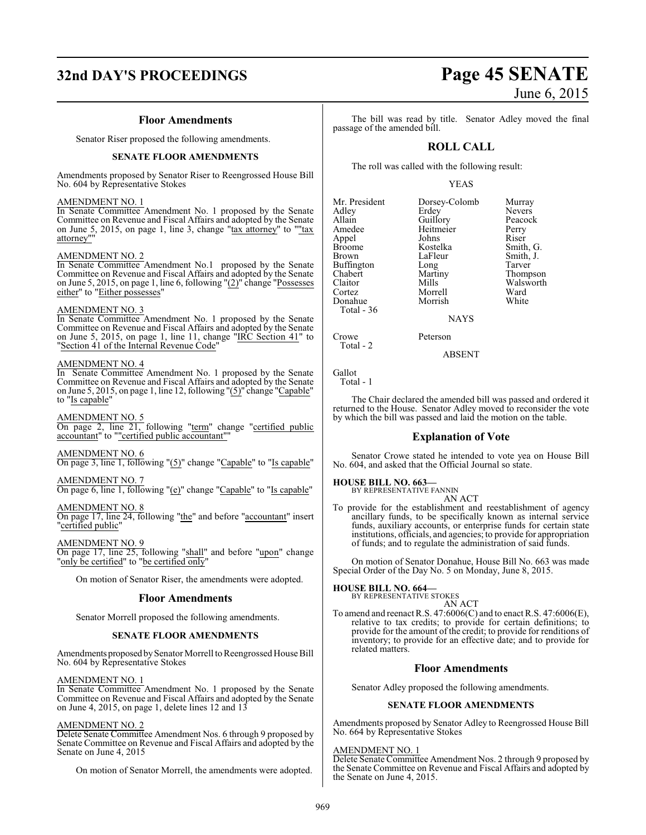# **32nd DAY'S PROCEEDINGS Page 45 SENATE**

#### **Floor Amendments**

Senator Riser proposed the following amendments.

#### **SENATE FLOOR AMENDMENTS**

Amendments proposed by Senator Riser to Reengrossed House Bill No. 604 by Representative Stokes

#### AMENDMENT NO. 1

In Senate Committee Amendment No. 1 proposed by the Senate Committee on Revenue and Fiscal Affairs and adopted by the Senate on June 5, 2015, on page 1, line 3, change "tax attorney" to ""tax attorney""

#### AMENDMENT NO. 2

In Senate Committee Amendment No.1 proposed by the Senate Committee on Revenue and Fiscal Affairs and adopted by the Senate on June 5, 2015, on page 1, line 6, following "(2)" change "Possesses either" to "Either possesses"

#### AMENDMENT NO. 3

In Senate Committee Amendment No. 1 proposed by the Senate Committee on Revenue and Fiscal Affairs and adopted by the Senate on June 5, 2015, on page 1, line 11, change "IRC Section 41" to "Section 41 of the Internal Revenue Code"

#### AMENDMENT NO. 4

In Senate Committee Amendment No. 1 proposed by the Senate Committee on Revenue and Fiscal Affairs and adopted by the Senate on June 5, 2015, on page 1, line 12, following "(5)" change "Capable" to "Is capable"

#### AMENDMENT NO. 5

On page 2, line 21, following "term" change "certified public accountant" to ""certified public accountant""

#### AMENDMENT NO. 6

On page 3, line 1, following "(5)" change "Capable" to "Is capable"

#### AMENDMENT NO. 7

On page 6, line 1, following "(e)" change "Capable" to "Is capable"

#### AMENDMENT NO. 8

On page 17, line 24, following "the" and before "accountant" insert "certified public"

#### AMENDMENT NO. 9

On page 17, line 25, following "shall" and before "upon" change 'only be certified" to "be certified only

On motion of Senator Riser, the amendments were adopted.

#### **Floor Amendments**

Senator Morrell proposed the following amendments.

#### **SENATE FLOOR AMENDMENTS**

Amendments proposed by Senator Morrell to Reengrossed House Bill No. 604 by Representative Stokes

### AMENDMENT NO. 1

In Senate Committee Amendment No. 1 proposed by the Senate Committee on Revenue and Fiscal Affairs and adopted by the Senate on June 4, 2015, on page 1, delete lines 12 and 13

#### AMENDMENT NO. 2

Delete Senate Committee Amendment Nos. 6 through 9 proposed by Senate Committee on Revenue and Fiscal Affairs and adopted by the Senate on June 4, 2015

On motion of Senator Morrell, the amendments were adopted.

The bill was read by title. Senator Adley moved the final passage of the amended bill.

### **ROLL CALL**

The roll was called with the following result:

#### YEAS

| Mr. President     | Dorsey-Colomb | Murray        |
|-------------------|---------------|---------------|
| Adley             | Erdey         | <b>Nevers</b> |
| Allain            | Guillory      | Peacock       |
| Amedee            | Heitmeier     | Perry         |
| Appel             | Johns         | Riser         |
| <b>Broome</b>     | Kostelka      | Smith, G.     |
| <b>Brown</b>      | LaFleur       | Smith, J.     |
| <b>Buffington</b> | Long          | Tarver        |
| Chabert           | Martiny       | Thompson      |
| Claitor           | Mills         | Walsworth     |
| Cortez            | Morrell       | Ward          |
| Donahue           | Morrish       | White         |
| Total $-36$       |               |               |
|                   | <b>NAYS</b>   |               |

**NAYS** 

Crowe Peterson Total - 2

ABSENT

Gallot Total - 1

The Chair declared the amended bill was passed and ordered it returned to the House. Senator Adley moved to reconsider the vote by which the bill was passed and laid the motion on the table.

#### **Explanation of Vote**

Senator Crowe stated he intended to vote yea on House Bill No. 604, and asked that the Official Journal so state.

#### **HOUSE BILL NO. 663—**

BY REPRESENTATIVE FANNIN AN ACT

To provide for the establishment and reestablishment of agency ancillary funds, to be specifically known as internal service funds, auxiliary accounts, or enterprise funds for certain state institutions, officials, and agencies; to provide for appropriation of funds; and to regulate the administration of said funds.

On motion of Senator Donahue, House Bill No. 663 was made Special Order of the Day No. 5 on Monday, June 8, 2015.

## **HOUSE BILL NO. 664—** BY REPRESENTATIVE STOKES

AN ACT

To amend and reenact R.S. 47:6006(C) and to enact R.S. 47:6006(E), relative to tax credits; to provide for certain definitions; to provide for the amount of the credit; to provide for renditions of inventory; to provide for an effective date; and to provide for related matters.

#### **Floor Amendments**

Senator Adley proposed the following amendments.

#### **SENATE FLOOR AMENDMENTS**

Amendments proposed by Senator Adley to Reengrossed House Bill No. 664 by Representative Stokes

#### AMENDMENT NO. 1

Delete Senate Committee Amendment Nos. 2 through 9 proposed by the Senate Committee on Revenue and Fiscal Affairs and adopted by the Senate on June 4, 2015.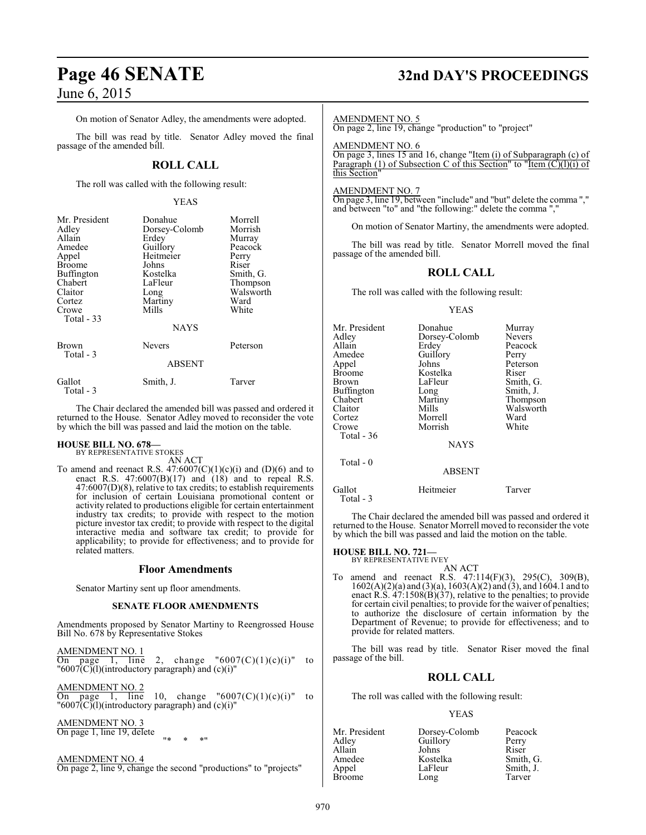On motion of Senator Adley, the amendments were adopted.

The bill was read by title. Senator Adley moved the final passage of the amended bill.

## **ROLL CALL**

The roll was called with the following result:

#### YEAS

| Mr. President<br>Adley<br>Allain<br>Amedee<br>Appel<br>Broome<br>Buffington<br>Chabert<br>Claitor<br>Cortez<br>Crowe<br>Total - 33 | Donahue<br>Dorsey-Colomb<br>Erdey<br>Guillory<br>Heitmeier<br>Johns<br>Kostelka<br>LaFleur<br>Long<br>Martiny<br>Mills<br><b>NAYS</b> | Morrell<br>Morrish<br>Murray<br>Peacock<br>Perry<br>Riser<br>Smith, G.<br>Thompson<br>Walsworth<br>Ward<br>White |
|------------------------------------------------------------------------------------------------------------------------------------|---------------------------------------------------------------------------------------------------------------------------------------|------------------------------------------------------------------------------------------------------------------|
| Brown<br>Total - 3                                                                                                                 | <b>Nevers</b><br><b>ABSENT</b>                                                                                                        | Peterson                                                                                                         |
| Gallot<br>Total - 3                                                                                                                | Smith, J.                                                                                                                             | Tarver                                                                                                           |

The Chair declared the amended bill was passed and ordered it returned to the House. Senator Adley moved to reconsider the vote by which the bill was passed and laid the motion on the table.

#### **HOUSE BILL NO. 678—** BY REPRESENTATIVE STOKES

AN ACT

To amend and reenact R.S.  $47:6007(C)(1)(c)(i)$  and  $(D)(6)$  and to enact R.S.  $47:6007(B)(17)$  and  $(18)$  and to repeal R.S. 47:6007(D)(8), relative to tax credits; to establish requirements for inclusion of certain Louisiana promotional content or activity related to productions eligible for certain entertainment industry tax credits; to provide with respect to the motion picture investor tax credit; to provide with respect to the digital interactive media and software tax credit; to provide for applicability; to provide for effectiveness; and to provide for related matters.

#### **Floor Amendments**

Senator Martiny sent up floor amendments.

#### **SENATE FLOOR AMENDMENTS**

Amendments proposed by Senator Martiny to Reengrossed House Bill No. 678 by Representative Stokes

AMENDMENT NO. 1 On page 1, line 2, change " $6007(C)(1)(c)(i)$ " to  $"6007(\overline{C})(l)(introducing partation of the image)$  and  $(c)(i)"$ 

AMENDMENT NO. 2 On page 1, line 10, change " $6007(C)(1)(c)(i)$ " to  $"6007(\overline{C})(l)(introducing partation of the image)$  and  $(c)(i)"$ 

AMENDMENT NO. 3

On page 1, line 19, delete "\* \* \*"

AMENDMENT NO. 4 On page 2, line 9, change the second "productions" to "projects"

## **Page 46 SENATE 32nd DAY'S PROCEEDINGS**

#### AMENDMENT NO. 5

On page 2, line 19, change "production" to "project"

AMENDMENT NO. 6

On page 3, lines 15 and 16, change "Item (i) of Subparagraph (c) of Paragraph (1) of Subsection C of this Section" to "Item  $(C)(I)(i)$  of this Section

AMENDMENT NO. 7

On page 3, line 19, between "include" and "but" delete the comma "," and between "to" and "the following:" delete the comma "

On motion of Senator Martiny, the amendments were adopted.

The bill was read by title. Senator Morrell moved the final passage of the amended bill.

## **ROLL CALL**

The roll was called with the following result:

#### YEAS

| Mr. President<br>Adlev<br>Allain<br>Amedee<br>Appel | Donahue<br>Dorsey-Colomb<br>Erdev<br>Guillory<br>Johns | Murray<br><b>Nevers</b><br>Peacock<br>Perry<br>Peterson |
|-----------------------------------------------------|--------------------------------------------------------|---------------------------------------------------------|
| Broome                                              | Kostelka                                               | Riser                                                   |
| Brown                                               | LaFleur                                                | Smith, G.                                               |
| Buffington                                          | Long                                                   | Smith, J.                                               |
| Chabert                                             | Martiny                                                | Thompson                                                |
| Claitor                                             | Mills                                                  | Walsworth                                               |
| Cortez                                              | Morrell                                                | Ward                                                    |
| Crowe                                               | Morrish                                                | White                                                   |
| Total - 36                                          |                                                        |                                                         |
|                                                     | <b>NAYS</b>                                            |                                                         |
| Total $-0$                                          |                                                        |                                                         |
|                                                     | <b>ABSENT</b>                                          |                                                         |

Gallot Heitmeier Tarver Total - 3

The Chair declared the amended bill was passed and ordered it returned to the House. Senator Morrell moved to reconsider the vote by which the bill was passed and laid the motion on the table.

#### **HOUSE BILL NO. 721—** BY REPRESENTATIVE IVEY

AN ACT

To amend and reenact R.S. 47:114(F)(3), 295(C), 309(B), 1602(A)(2)(a) and (3)(a), 1603(A)(2) and (3), and 1604.1 and to enact R.S.  $47:1508(B)(37)$ , relative to the penalties; to provide for certain civil penalties; to provide for the waiver of penalties; to authorize the disclosure of certain information by the Department of Revenue; to provide for effectiveness; and to provide for related matters.

The bill was read by title. Senator Riser moved the final passage of the bill.

#### **ROLL CALL**

The roll was called with the following result:

#### YEAS

| Mr. President | Dorsey-Colomb | Peacock   |
|---------------|---------------|-----------|
| Adley         | Guillory      | Perry     |
| Allain        | Johns         | Riser     |
| Amedee        | Kostelka      | Smith, G. |
| Appel         | LaFleur       | Smith, J. |
| Broome        | Long          | Tarver    |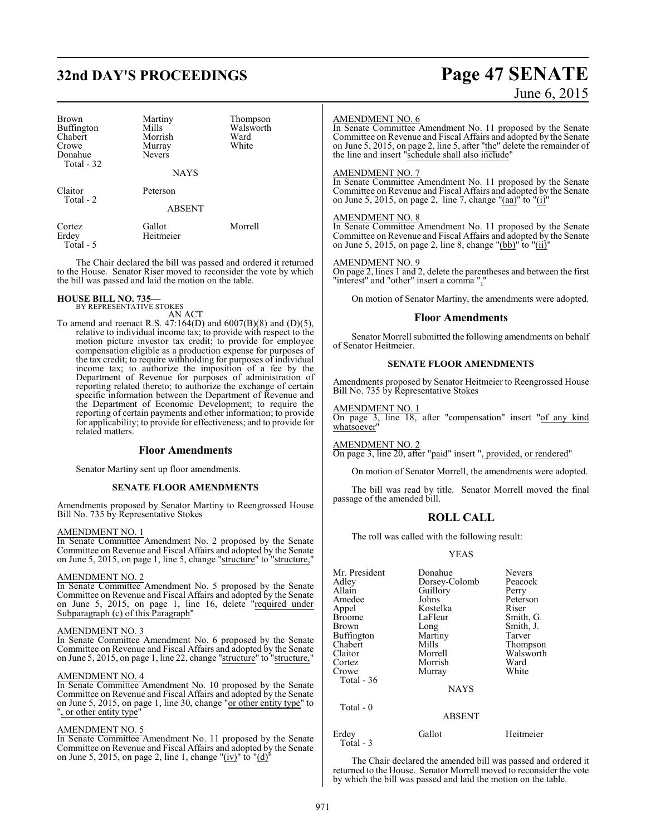## **32nd DAY'S PROCEEDINGS Page 47 SENATE**

| Brown<br><b>Buffington</b><br>Chabert<br>Crowe<br>Donahue<br>Total - 32 | Martiny<br>Mills<br>Morrish<br>Murray<br><b>Nevers</b><br><b>NAYS</b> | Thompson<br>Walsworth<br>Ward<br>White |
|-------------------------------------------------------------------------|-----------------------------------------------------------------------|----------------------------------------|
| Claitor<br>Total - 2                                                    | Peterson                                                              |                                        |
|                                                                         | <b>ABSENT</b>                                                         |                                        |
| Cortez<br>Erdey<br>Total - 5                                            | Gallot<br>Heitmeier                                                   | Morrell                                |

The Chair declared the bill was passed and ordered it returned to the House. Senator Riser moved to reconsider the vote by which the bill was passed and laid the motion on the table.

## **HOUSE BILL NO. 735—** BY REPRESENTATIVE STOKES

AN ACT

To amend and reenact R.S. 47:164(D) and 6007(B)(8) and (D)(5), relative to individual income tax; to provide with respect to the motion picture investor tax credit; to provide for employee compensation eligible as a production expense for purposes of the tax credit; to require withholding for purposes of individual income tax; to authorize the imposition of a fee by the Department of Revenue for purposes of administration of reporting related thereto; to authorize the exchange of certain specific information between the Department of Revenue and the Department of Economic Development; to require the reporting of certain payments and other information; to provide for applicability; to provide for effectiveness; and to provide for related matters.

#### **Floor Amendments**

Senator Martiny sent up floor amendments.

#### **SENATE FLOOR AMENDMENTS**

Amendments proposed by Senator Martiny to Reengrossed House Bill No. 735 by Representative Stokes

#### AMENDMENT NO. 1

In Senate Committee Amendment No. 2 proposed by the Senate Committee on Revenue and Fiscal Affairs and adopted by the Senate on June 5, 2015, on page 1, line 5, change "structure" to "structure,"

#### AMENDMENT NO. 2

In Senate Committee Amendment No. 5 proposed by the Senate Committee on Revenue and Fiscal Affairs and adopted by the Senate on June 5, 2015, on page 1, line 16, delete "required under Subparagraph (c) of this Paragraph"

#### AMENDMENT NO. 3

In Senate Committee Amendment No. 6 proposed by the Senate Committee on Revenue and Fiscal Affairs and adopted by the Senate on June 5, 2015, on page 1, line 22, change "structure" to "structure,"

#### AMENDMENT NO. 4

In Senate Committee Amendment No. 10 proposed by the Senate Committee on Revenue and Fiscal Affairs and adopted by the Senate on June 5, 2015, on page 1, line 30, change "or other entity type" to ', or other entity type'

#### AMENDMENT NO. 5

In Senate Committee Amendment No. 11 proposed by the Senate Committee on Revenue and Fiscal Affairs and adopted by the Senate on June 5, 2015, on page 2, line 1, change "(iv)" to "(d)"

#### AMENDMENT NO. 6

In Senate Committee Amendment No. 11 proposed by the Senate Committee on Revenue and Fiscal Affairs and adopted by the Senate on June 5, 2015, on page 2, line 5, after "the" delete the remainder of the line and insert "schedule shall also include"

#### AMENDMENT NO. 7

In Senate Committee Amendment No. 11 proposed by the Senate Committee on Revenue and Fiscal Affairs and adopted by the Senate on June 5, 2015, on page 2, line 7, change " $(aa)$ " to " $(i)$ "

#### AMENDMENT NO. 8

In Senate Committee Amendment No. 11 proposed by the Senate Committee on Revenue and Fiscal Affairs and adopted by the Senate on June 5, 2015, on page 2, line 8, change "(bb)" to "(ii)"

#### AMENDMENT NO. 9

On page 2, lines 1 and 2, delete the parentheses and between the first "interest" and "other" insert a comma ","

On motion of Senator Martiny, the amendments were adopted.

#### **Floor Amendments**

Senator Morrell submitted the following amendments on behalf of Senator Heitmeier.

#### **SENATE FLOOR AMENDMENTS**

Amendments proposed by Senator Heitmeier to Reengrossed House Bill No. 735 by Representative Stokes

#### AMENDMENT NO. 1

On page 3, line 18, after "compensation" insert "of any kind whatsoever

#### AMENDMENT NO. 2

On page 3, line 20, after "paid" insert ", provided, or rendered"

On motion of Senator Morrell, the amendments were adopted.

The bill was read by title. Senator Morrell moved the final passage of the amended bill.

#### **ROLL CALL**

The roll was called with the following result:

#### YEAS

| Mr. President | Donahue       | <b>Nevers</b> |
|---------------|---------------|---------------|
| Adley         | Dorsey-Colomb | Peacock       |
| Allain        | Guillory      | Perry         |
| Amedee        | Johns         | Peterson      |
| Appel         | Kostelka      | Riser         |
| Broome        | LaFleur       | Smith, G.     |
| Brown         | Long          | Smith, J.     |
| Buffington    | Martiny       | Tarver        |
| Chabert       | Mills         | Thompson      |
| Claitor       | Morrell       | Walsworth     |
| Cortez        | Morrish       | Ward          |
| Crowe         | Murray        | White         |
| Total - 36    |               |               |
|               | <b>NAYS</b>   |               |
| Total - 0     |               |               |

#### ABSENT

## Erdey Gallot Heitmeier

Total - 3

The Chair declared the amended bill was passed and ordered it returned to the House. Senator Morrell moved to reconsider the vote by which the bill was passed and laid the motion on the table.

# June 6, 2015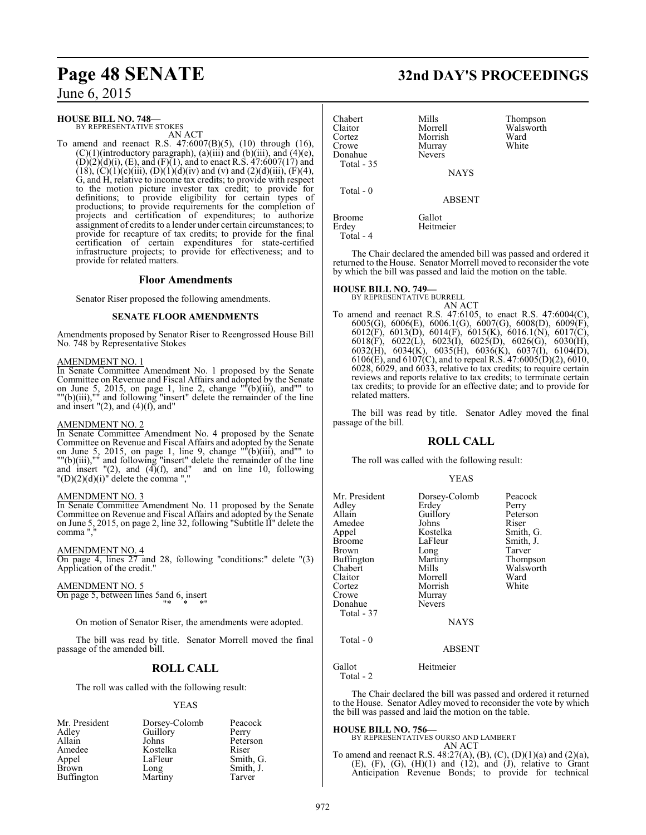# **Page 48 SENATE 32nd DAY'S PROCEEDINGS**

June 6, 2015

#### **HOUSE BILL NO. 748—**

BY REPRESENTATIVE STOKES AN ACT

To amend and reenact R.S. 47:6007(B)(5), (10) through (16),  $(C)(1)$ (introductory paragraph), (a)(iii) and (b)(iii), and (4)(e),  $(D)(2)(d)(i)$ ,  $(E)$ , and  $(F)(1)$ , and to enact R.S. 47:6007(17) and  $(18)$ ,  $(C)(1)(c)(iii)$ ,  $(D)(1)(d)(iv)$  and  $(v)$  and  $(2)(d)(iii)$ ,  $(F)(4)$ , G, and H, relative to income tax credits; to provide with respect to the motion picture investor tax credit; to provide for definitions; to provide eligibility for certain types of productions; to provide requirements for the completion of projects and certification of expenditures; to authorize assignment of credits to a lender under certain circumstances; to provide for recapture of tax credits; to provide for the final certification of certain expenditures for state-certified infrastructure projects; to provide for effectiveness; and to provide for related matters.

#### **Floor Amendments**

Senator Riser proposed the following amendments.

#### **SENATE FLOOR AMENDMENTS**

Amendments proposed by Senator Riser to Reengrossed House Bill No. 748 by Representative Stokes

#### AMENDMENT NO. 1

In Senate Committee Amendment No. 1 proposed by the Senate Committee on Revenue and Fiscal Affairs and adopted by the Senate on June 5, 2015, on page 1, line 2, change ""(b)(iii), and"" to ""(b)(iii),"" and following "insert" delete the remainder of the line and insert  $"(2)$ , and  $(4)(f)$ , and"

#### AMENDMENT NO. 2

In Senate Committee Amendment No. 4 proposed by the Senate Committee on Revenue and Fiscal Affairs and adopted by the Senate on June 5, 2015, on page 1, line 9, change ""(b)(iii), and"" to ""(b)(iii),"" and following "insert" delete the remainder of the line and insert  $\sqrt{2}$ , and  $\left(4\right)$ (f), and and on line 10, following  $"(\text{D})(2)(\text{d})(i)"$  delete the comma ","

#### AMENDMENT NO. 3

In Senate Committee Amendment No. 11 proposed by the Senate Committee on Revenue and Fiscal Affairs and adopted by the Senate on June 5, 2015, on page 2, line 32, following "Subtitle II" delete the comma ","

#### AMENDMENT NO. 4

On page 4, lines 27 and 28, following "conditions:" delete "(3) Application of the credit."

#### AMENDMENT NO. 5

On page 5, between lines 5and 6, insert "\* \* \*"

On motion of Senator Riser, the amendments were adopted.

The bill was read by title. Senator Morrell moved the final passage of the amended bill.

#### **ROLL CALL**

The roll was called with the following result:

#### YEAS

| Mr. President     | Dorsey-Colomb | Peacock   |
|-------------------|---------------|-----------|
| Adley             | Guillory      | Perry     |
| Allain            | Johns         | Peterson  |
| Amedee            | Kostelka      | Riser     |
| Appel             | LaFleur       | Smith, G. |
| <b>Brown</b>      | Long          | Smith, J. |
| <b>Buffington</b> | Martiny       | Tarver    |

| Chabert<br>Claitor<br>Cortez<br>Crowe<br>Donahue<br>Total - 35 | Mills<br>Morrell<br>Morrish<br>Murray<br><b>Nevers</b> | Thompson<br>Walsworth<br>Ward<br>White |
|----------------------------------------------------------------|--------------------------------------------------------|----------------------------------------|
|                                                                | <b>NAYS</b>                                            |                                        |
| Total - 0                                                      | <b>ABSENT</b>                                          |                                        |
| <b>Broome</b><br>Erdey                                         | Gallot<br>Heitmeier                                    |                                        |

The Chair declared the amended bill was passed and ordered it returned to the House. Senator Morrell moved to reconsider the vote by which the bill was passed and laid the motion on the table.

#### **HOUSE BILL NO. 749—**

Total - 4

BY REPRESENTATIVE BURRELL AN ACT

To amend and reenact R.S. 47:6105, to enact R.S. 47:6004(C), 6005(G), 6006(E), 6006.1(G), 6007(G), 6008(D), 6009(F), 6012(F), 6013(D), 6014(F), 6015(K), 6016.1(N), 6017(C), 6018(F), 6022(L), 6023(I), 6025(D), 6026(G), 6030(H), 6032(H), 6034(K), 6035(H), 6036(K), 6037(I), 6104(D), 6106(E), and 6107(C), and to repeal R.S. 47:6005(D)(2), 6010, 6028, 6029, and 6033, relative to tax credits; to require certain reviews and reports relative to tax credits; to terminate certain tax credits; to provide for an effective date; and to provide for related matters.

The bill was read by title. Senator Adley moved the final passage of the bill.

#### **ROLL CALL**

The roll was called with the following result:

#### YEAS

| Mr. President<br>Adlev<br>Allain<br>Amedee<br>Appel<br>Broome<br>Brown<br>Buffington<br>Chabert<br>Claitor | Dorsey-Colomb<br>Erdey<br>Guillory<br>Johns<br>Kostelka<br>LaFleur<br>Long<br>Martiny<br>Mills<br>Morrell | Peacock<br>Perry<br>Peterson<br>Riser<br>Smith, G.<br>Smith, J.<br>Tarver<br>Thompson<br>Walsworth<br>Ward |
|------------------------------------------------------------------------------------------------------------|-----------------------------------------------------------------------------------------------------------|------------------------------------------------------------------------------------------------------------|
| Cortez<br>Crowe<br>Donahue                                                                                 | Morrish<br>Murray<br><b>Nevers</b>                                                                        | White                                                                                                      |
| Total - 37                                                                                                 |                                                                                                           |                                                                                                            |
|                                                                                                            | <b>NAYS</b>                                                                                               |                                                                                                            |
| Total - 0                                                                                                  | ABSENT                                                                                                    |                                                                                                            |

Gallot Heitmeier

Total - 2

The Chair declared the bill was passed and ordered it returned to the House. Senator Adley moved to reconsider the vote by which the bill was passed and laid the motion on the table.

## **HOUSE BILL NO. 756—** BY REPRESENTATIVES OURSO AND LAMBERT

AN ACT

To amend and reenact R.S. 48:27(A), (B), (C), (D)(1)(a) and (2)(a),  $(E)$ ,  $(F)$ ,  $(G)$ ,  $(H)(1)$  and  $(12)$ , and  $(J)$ , relative to Grant Anticipation Revenue Bonds; to provide for technical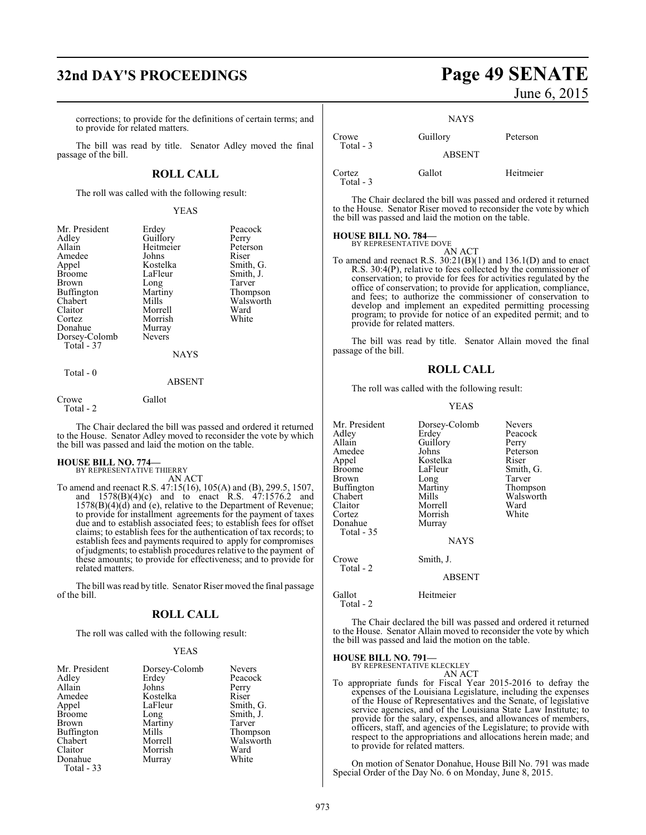## **32nd DAY'S PROCEEDINGS Page 49 SENATE**

corrections; to provide for the definitions of certain terms; and to provide for related matters.

The bill was read by title. Senator Adley moved the final passage of the bill.

#### **ROLL CALL**

The roll was called with the following result:

#### YEAS

| Mr. President | Erdey         | Peacock   |
|---------------|---------------|-----------|
| Adley         | Guillory      | Perry     |
| Allain        | Heitmeier     | Peterson  |
| Amedee        | Johns         | Riser     |
| Appel         | Kostelka      | Smith, G. |
| <b>Broome</b> | LaFleur       | Smith, J. |
| Brown         | Long          | Tarver    |
| Buffington    | Martiny       | Thompson  |
| Chabert       | Mills         | Walsworth |
| Claitor       | Morrell       | Ward      |
| Cortez        | Morrish       | White     |
| Donahue       | Murray        |           |
| Dorsey-Colomb | <b>Nevers</b> |           |
| Total - 37    |               |           |
|               | <b>NAYS</b>   |           |
| Total - 0     | ABSENT        |           |
|               |               |           |

Crowe Gallot Total - 2

The Chair declared the bill was passed and ordered it returned to the House. Senator Adley moved to reconsider the vote by which the bill was passed and laid the motion on the table.

## **HOUSE BILL NO. 774—** BY REPRESENTATIVE THIERRY

AN ACT

To amend and reenact R.S. 47:15(16), 105(A) and (B), 299.5, 1507, and 1578(B)(4)(c) and to enact R.S. 47:1576.2 and 1578(B)(4)(d) and (e), relative to the Department of Revenue; to provide for installment agreements for the payment of taxes due and to establish associated fees; to establish fees for offset claims; to establish fees for the authentication of tax records; to establish fees and payments required to apply for compromises of judgments; to establish procedures relative to the payment of these amounts; to provide for effectiveness; and to provide for related matters.

The bill was read by title. Senator Riser moved the final passage of the bill.

#### **ROLL CALL**

The roll was called with the following result:

#### YEAS

| Mr. President     | Dorsey-Colomb | <b>Nevers</b> |
|-------------------|---------------|---------------|
| Adley             | Erdey         | Peacock       |
| Allain            | Johns         | Perry         |
| Amedee            | Kostelka      | Riser         |
| Appel             | LaFleur       | Smith, G.     |
| <b>Broome</b>     | Long          | Smith, J.     |
| Brown             | Martiny       | Tarver        |
| <b>Buffington</b> | Mills         | Thompson      |
| Chabert           | Morrell       | Walsworth     |
| Claitor           | Morrish       | Ward          |
| Donahue           | Murray        | White         |
| Total $-33$       |               |               |

June 6, 2015

|                     | <b>NAYS</b>   |           |
|---------------------|---------------|-----------|
| Crowe<br>Total - 3  | Guillory      | Peterson  |
|                     | <b>ABSENT</b> |           |
| Cortez<br>Total - 3 | Gallot        | Heitmeier |

The Chair declared the bill was passed and ordered it returned to the House. Senator Riser moved to reconsider the vote by which the bill was passed and laid the motion on the table.

## **HOUSE BILL NO. 784—** BY REPRESENTATIVE DOVE

AN ACT

To amend and reenact R.S. 30:21(B)(1) and 136.1(D) and to enact R.S. 30:4(P), relative to fees collected by the commissioner of conservation; to provide for fees for activities regulated by the office of conservation; to provide for application, compliance, and fees; to authorize the commissioner of conservation to develop and implement an expedited permitting processing program; to provide for notice of an expedited permit; and to provide for related matters.

The bill was read by title. Senator Allain moved the final passage of the bill.

#### **ROLL CALL**

The roll was called with the following result:

#### YEAS

| Mr. President | Dorsey-Colomb | <b>Nevers</b> |
|---------------|---------------|---------------|
| Adley         | Erdey         | Peacock       |
| Allain        | Guillory      | Perry         |
| Amedee        | Johns         | Peterson      |
| Appel         | Kostelka      | Riser         |
| <b>Broome</b> | LaFleur       | Smith, G.     |
| Brown         | Long          | Tarver        |
| Buffington    | Martiny       | Thompson      |
| Chabert       | Mills         | Walsworth     |
| Claitor       | Morrell       | Ward          |
| Cortez        | Morrish       | White         |
| Donahue       | Murray        |               |
| Total - 35    |               |               |
|               | <b>NAYS</b>   |               |
| Crowe         | Smith, J.     |               |
| Total - 2     |               |               |
|               | <b>ABSENT</b> |               |
| Gallot        | Heitmeier     |               |
| Total - 2     |               |               |

The Chair declared the bill was passed and ordered it returned to the House. Senator Allain moved to reconsider the vote by which the bill was passed and laid the motion on the table.

## **HOUSE BILL NO. 791—** BY REPRESENTATIVE KLECKLEY

AN ACT

To appropriate funds for Fiscal Year 2015-2016 to defray the expenses of the Louisiana Legislature, including the expenses of the House of Representatives and the Senate, of legislative service agencies, and of the Louisiana State Law Institute; to provide for the salary, expenses, and allowances of members, officers, staff, and agencies of the Legislature; to provide with respect to the appropriations and allocations herein made; and to provide for related matters.

On motion of Senator Donahue, House Bill No. 791 was made Special Order of the Day No. 6 on Monday, June 8, 2015.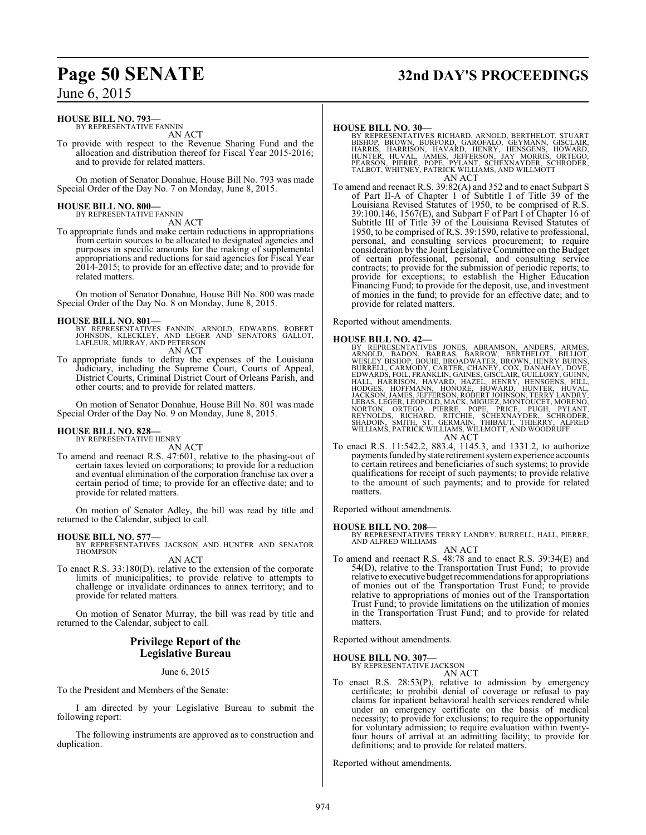## **Page 50 SENATE 32nd DAY'S PROCEEDINGS**

## June 6, 2015

#### **HOUSE BILL NO. 793—**

BY REPRESENTATIVE FANNIN AN ACT

To provide with respect to the Revenue Sharing Fund and the allocation and distribution thereof for Fiscal Year 2015-2016; and to provide for related matters.

On motion of Senator Donahue, House Bill No. 793 was made Special Order of the Day No. 7 on Monday, June 8, 2015.

#### **HOUSE BILL NO. 800—** BY REPRESENTATIVE FANNIN

AN ACT

To appropriate funds and make certain reductions in appropriations from certain sources to be allocated to designated agencies and purposes in specific amounts for the making of supplemental appropriations and reductions for said agencies for Fiscal Year 2014-2015; to provide for an effective date; and to provide for related matters.

On motion of Senator Donahue, House Bill No. 800 was made Special Order of the Day No. 8 on Monday, June 8, 2015.

- **HOUSE BILL NO. 801—**<br>BY REPRESENTATIVES FANNIN, ARNOLD, EDWARDS, ROBERT<br>JOHNSON, KLECKLEY, AND LEGER AND SENATORS GALLOT,<br>LAFLEUR, MURRAY, AND PETERSON
	- AN ACT
- To appropriate funds to defray the expenses of the Louisiana Judiciary, including the Supreme Court, Courts of Appeal, District Courts, Criminal District Court of Orleans Parish, and other courts; and to provide for related matters.

On motion of Senator Donahue, House Bill No. 801 was made Special Order of the Day No. 9 on Monday, June 8, 2015.

#### **HOUSE BILL NO. 828—**

BY REPRESENTATIVE HENRY AN ACT

To amend and reenact R.S. 47:601, relative to the phasing-out of certain taxes levied on corporations; to provide for a reduction and eventual elimination of the corporation franchise tax over a certain period of time; to provide for an effective date; and to provide for related matters.

On motion of Senator Adley, the bill was read by title and returned to the Calendar, subject to call.

#### **HOUSE BILL NO. 577—**

BY REPRESENTATIVES JACKSON AND HUNTER AND SENATOR THOMPSON AN ACT

To enact R.S. 33:180(D), relative to the extension of the corporate limits of municipalities; to provide relative to attempts to challenge or invalidate ordinances to annex territory; and to provide for related matters.

On motion of Senator Murray, the bill was read by title and returned to the Calendar, subject to call.

#### **Privilege Report of the Legislative Bureau**

#### June 6, 2015

To the President and Members of the Senate:

I am directed by your Legislative Bureau to submit the following report:

The following instruments are approved as to construction and duplication.

#### **HOUSE BILL NO. 30—**

BY REPRESENTATIVES RICHARD, ARNOLD, BERTHELOT, STUART<br>BISHOP, BROWN, BURFORD, GAROFALO, GEYMANN, GISCLAIR,<br>HARRIS, HARRISON, HAVARD, HENRY, HENSGENS, HOWARD,<br>HUNTER, HUVAL, JAMES, JEFFERSON, JAY MORRIS, ORTEGO,<br>PEARSON, PI AN ACT

To amend and reenact R.S. 39:82(A) and 352 and to enact Subpart S of Part II-A of Chapter 1 of Subtitle I of Title 39 of the Louisiana Revised Statutes of 1950, to be comprised of R.S.  $39:100.146$ ,  $1567(E)$ , and Subpart F of Part I of Chapter 16 of Subtitle III of Title 39 of the Louisiana Revised Statutes of 1950, to be comprised of R.S. 39:1590, relative to professional, personal, and consulting services procurement; to require consideration by the Joint Legislative Committee on the Budget of certain professional, personal, and consulting service contracts; to provide for the submission of periodic reports; to provide for exceptions; to establish the Higher Education Financing Fund; to provide for the deposit, use, and investment of monies in the fund; to provide for an effective date; and to provide for related matters.

Reported without amendments.

#### **HOUSE BILL NO. 42—**

- BY REPRESENTATIVES JONES, ABRAMSON, ANDERS, ARMES, ARMES, ARROW, WESLEY BILLOT, WESLEY BISHOP, BOUIE, BROADWATER, BROWN, HENRY BURNS, WESLEY BISHOP, BOUIE, BROADWATER, BROWN, HENRY BURNS, DOVE, THOMAGY, AND HENRY BURNS, ED LEBAS, LEGER, LEOPOLD, MACK, MIGUEZ, MONTOUCET, MORENO,<br>NORTON, ORTEGO, PIERRE, POPE, PRICE, PUGH, PYLANT,<br>REYNOLDS, RICHARD, RITCHIE, SCHEXNAYDER, SCHRODER,<br>SHADOIN, SMITH, ST. GERMAIN, THIBAUT, THIERRY, ALFRED<br>WILLIAMS,
- To enact R.S. 11:542.2, 883.4, 1145.3, and 1331.2, to authorize payments funded by state retirement system experience accounts to certain retirees and beneficiaries of such systems; to provide qualifications for receipt of such payments; to provide relative to the amount of such payments; and to provide for related matters.

Reported without amendments.

**HOUSE BILL NO. 208—** BY REPRESENTATIVES TERRY LANDRY, BURRELL, HALL, PIERRE, AND ALFRED WILLIAMS AN ACT

To amend and reenact R.S. 48:78 and to enact R.S. 39:34(E) and 54(D), relative to the Transportation Trust Fund; to provide relative to executive budget recommendations for appropriations of monies out of the Transportation Trust Fund; to provide relative to appropriations of monies out of the Transportation Trust Fund; to provide limitations on the utilization of monies in the Transportation Trust Fund; and to provide for related matters.

Reported without amendments.

## **HOUSE BILL NO. 307—** BY REPRESENTATIVE JACKSON

AN ACT

To enact R.S. 28:53(P), relative to admission by emergency certificate; to prohibit denial of coverage or refusal to pay claims for inpatient behavioral health services rendered while under an emergency certificate on the basis of medical necessity; to provide for exclusions; to require the opportunity for voluntary admission; to require evaluation within twentyfour hours of arrival at an admitting facility; to provide for definitions; and to provide for related matters.

Reported without amendments.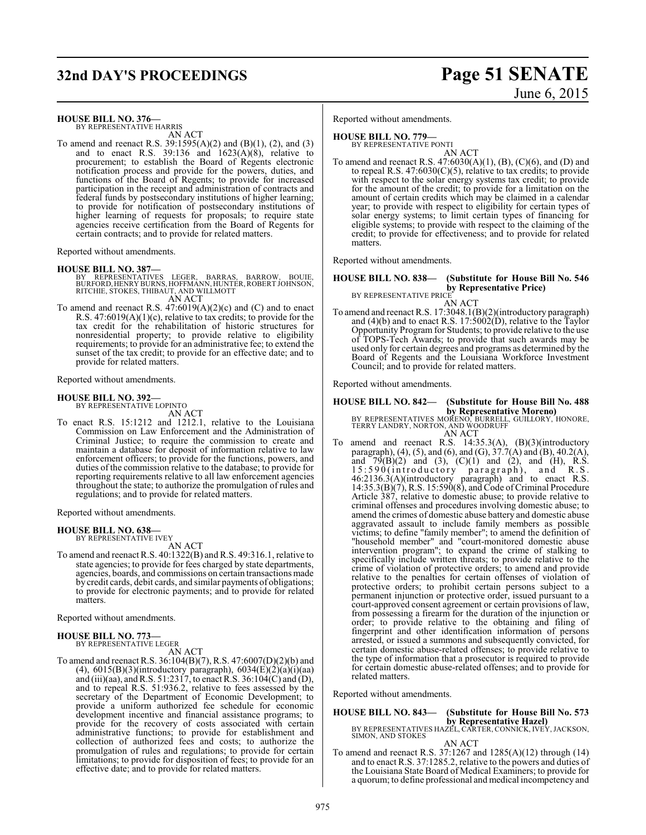## **32nd DAY'S PROCEEDINGS Page 51 SENATE**

# June 6, 2015

#### **HOUSE BILL NO. 376—**

BY REPRESENTATIVE HARRIS AN ACT

To amend and reenact R.S. 39:1595(A)(2) and (B)(1), (2), and (3) and to enact R.S. 39:136 and  $1623(A)(8)$ , relative to procurement; to establish the Board of Regents electronic notification process and provide for the powers, duties, and functions of the Board of Regents; to provide for increased participation in the receipt and administration of contracts and federal funds by postsecondary institutions of higher learning; to provide for notification of postsecondary institutions of higher learning of requests for proposals; to require state agencies receive certification from the Board of Regents for certain contracts; and to provide for related matters.

Reported without amendments.

#### **HOUSE BILL NO. 387—**

- BY REPRESENTATIVES LEGER, BARRAS, BARROW, BOUIE,<br>BURFORD,HENRYBURNS,HOFFMANN,HUNTER,ROBERTJOHNSON,<br>RITCHIE, STOKES,THIBAUT,ANDWILLMOTT<br>AN ACT
- To amend and reenact R.S. 47:6019(A)(2)(c) and (C) and to enact R.S. 47:6019(A)(1)(c), relative to tax credits; to provide for the tax credit for the rehabilitation of historic structures for nonresidential property; to provide relative to eligibility requirements; to provide for an administrative fee; to extend the sunset of the tax credit; to provide for an effective date; and to provide for related matters.

Reported without amendments.

#### **HOUSE BILL NO. 392—**

BY REPRESENTATIVE LOPINTO AN ACT

To enact R.S. 15:1212 and 1212.1, relative to the Louisiana Commission on Law Enforcement and the Administration of Criminal Justice; to require the commission to create and maintain a database for deposit of information relative to law enforcement officers; to provide for the functions, powers, and duties of the commission relative to the database; to provide for reporting requirements relative to all law enforcement agencies throughout the state; to authorize the promulgation of rules and regulations; and to provide for related matters.

Reported without amendments.

#### **HOUSE BILL NO. 638—** BY REPRESENTATIVE IVEY

AN ACT

To amend and reenact R.S. 40:1322(B) and R.S. 49:316.1, relative to state agencies; to provide for fees charged by state departments, agencies, boards, and commissions on certain transactions made by credit cards, debit cards, and similar payments of obligations; to provide for electronic payments; and to provide for related matters.

Reported without amendments.

## **HOUSE BILL NO. 773—** BY REPRESENTATIVE LEGER

AN ACT

To amend and reenact R.S. 36:104(B)(7), R.S. 47:6007(D)(2)(b) and (4),  $6015(B)(3)$ (introductory paragraph),  $6034(E)(2)(a)(i)(aa)$ and (iii)(aa), and R.S. 51:2317, to enact R.S. 36:104(C) and (D), and to repeal R.S. 51:936.2, relative to fees assessed by the secretary of the Department of Economic Development; to provide a uniform authorized fee schedule for economic development incentive and financial assistance programs; to provide for the recovery of costs associated with certain administrative functions; to provide for establishment and collection of authorized fees and costs; to authorize the promulgation of rules and regulations; to provide for certain limitations; to provide for disposition of fees; to provide for an effective date; and to provide for related matters.

Reported without amendments.

#### **HOUSE BILL NO. 779—**

BY REPRESENTATIVE PONTI AN ACT

To amend and reenact R.S. 47:6030(A)(1), (B), (C)(6), and (D) and to repeal R.S.  $47:6030(C)(5)$ , relative to tax credits; to provide with respect to the solar energy systems tax credit; to provide for the amount of the credit; to provide for a limitation on the amount of certain credits which may be claimed in a calendar year; to provide with respect to eligibility for certain types of solar energy systems; to limit certain types of financing for eligible systems; to provide with respect to the claiming of the credit; to provide for effectiveness; and to provide for related matters.

Reported without amendments.

#### **HOUSE BILL NO. 838— (Substitute for House Bill No. 546 by Representative Price)** BY REPRESENTATIVE PRICE

AN ACT

To amend and reenact R.S. 17:3048.1(B)(2)(introductory paragraph) and (4)(b) and to enact R.S. 17:5002(D), relative to the Taylor Opportunity Program for Students; to provide relative to the use of TOPS-Tech Awards; to provide that such awards may be used only for certain degrees and programs as determined by the Board of Regents and the Louisiana Workforce Investment Council; and to provide for related matters.

Reported without amendments.

# **HOUSE BILL NO. 842— (Substitute for House Bill No. 488**

**by Representative Moreno)**<br>BY REPRESENTATIVES MORENO, BURRELL, GUILLORY, HONORE,<br>TERRY LANDRY, NORTON, AND WOODRUFF AN ACT

To amend and reenact R.S. 14:35.3(A), (B)(3)(introductory paragraph), (4), (5), and (6), and (G), 37.7(A) and (B), 40.2(A), and  $79(B)(2)$  and  $(3)$ ,  $(C)(1)$  and  $(2)$ , and  $(H)$ , R.S. 15:590(introductory paragraph), and R.S. 46:2136.3(A)(introductory paragraph) and to enact R.S. 14:35.3(B)(7), R.S. 15:590(8), and Code ofCriminal Procedure Article 387, relative to domestic abuse; to provide relative to criminal offenses and procedures involving domestic abuse; to amend the crimes of domestic abuse battery and domestic abuse aggravated assault to include family members as possible victims; to define "family member"; to amend the definition of "household member" and "court-monitored domestic abuse intervention program"; to expand the crime of stalking to specifically include written threats; to provide relative to the crime of violation of protective orders; to amend and provide relative to the penalties for certain offenses of violation of protective orders; to prohibit certain persons subject to a permanent injunction or protective order, issued pursuant to a court-approved consent agreement or certain provisions of law, from possessing a firearm for the duration of the injunction or order; to provide relative to the obtaining and filing of fingerprint and other identification information of persons arrested, or issued a summons and subsequently convicted, for certain domestic abuse-related offenses; to provide relative to the type of information that a prosecutor is required to provide for certain domestic abuse-related offenses; and to provide for related matters.

Reported without amendments.

#### **HOUSE BILL NO. 843— (Substitute for House Bill No. 573 by Representative Hazel)** BY REPRESENTATIVES HAZEL, CARTER, CONNICK, IVEY, JACKSON, SIMON, AND STOKES AN ACT

To amend and reenact R.S. 37:1267 and 1285(A)(12) through (14) and to enact R.S. 37:1285.2, relative to the powers and duties of the Louisiana State Board of Medical Examiners; to provide for a quorum; to define professional and medical incompetency and